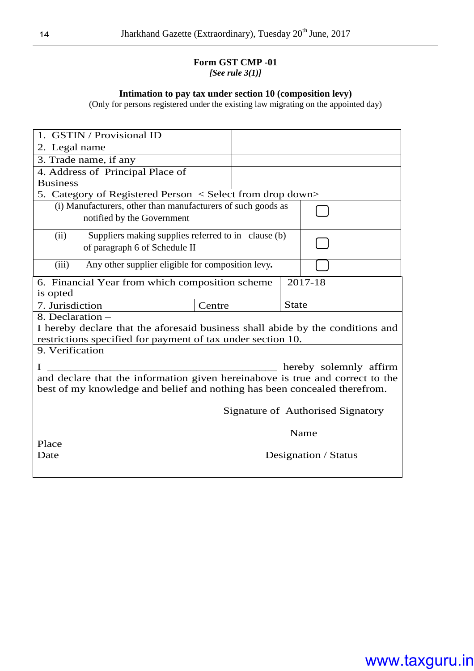#### **Form GST CMP -01**  *[See rule 3(1)]*

#### **Intimation to pay tax under section 10 (composition levy)**

(Only for persons registered under the existing law migrating on the appointed day)

| 1. GSTIN / Provisional ID                                                                                                                                  |                                                                                      |  |              |                        |  |  |
|------------------------------------------------------------------------------------------------------------------------------------------------------------|--------------------------------------------------------------------------------------|--|--------------|------------------------|--|--|
| 2. Legal name                                                                                                                                              |                                                                                      |  |              |                        |  |  |
| 3. Trade name, if any                                                                                                                                      |                                                                                      |  |              |                        |  |  |
| 4. Address of Principal Place of                                                                                                                           |                                                                                      |  |              |                        |  |  |
| <b>Business</b>                                                                                                                                            |                                                                                      |  |              |                        |  |  |
| 5. Category of Registered Person < Select from drop down>                                                                                                  |                                                                                      |  |              |                        |  |  |
| (i) Manufacturers, other than manufacturers of such goods as<br>notified by the Government                                                                 |                                                                                      |  |              |                        |  |  |
| (ii)                                                                                                                                                       | Suppliers making supplies referred to in clause (b)<br>of paragraph 6 of Schedule II |  |              |                        |  |  |
| (iii)<br>Any other supplier eligible for composition levy.                                                                                                 |                                                                                      |  |              |                        |  |  |
| 6. Financial Year from which composition scheme<br>is opted                                                                                                |                                                                                      |  | 2017-18      |                        |  |  |
| 7. Jurisdiction                                                                                                                                            | Centre                                                                               |  | <b>State</b> |                        |  |  |
| 8. Declaration -                                                                                                                                           |                                                                                      |  |              |                        |  |  |
| I hereby declare that the aforesaid business shall abide by the conditions and                                                                             |                                                                                      |  |              |                        |  |  |
| restrictions specified for payment of tax under section 10.                                                                                                |                                                                                      |  |              |                        |  |  |
| 9. Verification                                                                                                                                            |                                                                                      |  |              |                        |  |  |
| I                                                                                                                                                          |                                                                                      |  |              | hereby solemnly affirm |  |  |
| and declare that the information given hereinabove is true and correct to the<br>best of my knowledge and belief and nothing has been concealed therefrom. |                                                                                      |  |              |                        |  |  |
| Signature of Authorised Signatory                                                                                                                          |                                                                                      |  |              |                        |  |  |
| Name                                                                                                                                                       |                                                                                      |  |              |                        |  |  |
| Place                                                                                                                                                      |                                                                                      |  |              |                        |  |  |
| Date                                                                                                                                                       |                                                                                      |  |              | Designation / Status   |  |  |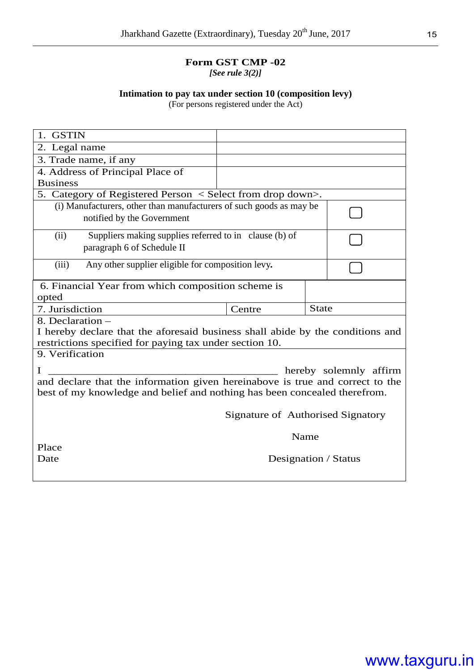#### **Form GST CMP -02** *[See rule 3(2)]*

#### **Intimation to pay tax under section 10 (composition levy)**

(For persons registered under the Act)

| 1. GSTIN                                                                                                                                                   |  |                                   |      |                        |  |
|------------------------------------------------------------------------------------------------------------------------------------------------------------|--|-----------------------------------|------|------------------------|--|
| 2. Legal name                                                                                                                                              |  |                                   |      |                        |  |
| 3. Trade name, if any                                                                                                                                      |  |                                   |      |                        |  |
| 4. Address of Principal Place of                                                                                                                           |  |                                   |      |                        |  |
| <b>Business</b>                                                                                                                                            |  |                                   |      |                        |  |
| 5. Category of Registered Person < Select from drop down>.                                                                                                 |  |                                   |      |                        |  |
| (i) Manufacturers, other than manufacturers of such goods as may be<br>notified by the Government                                                          |  |                                   |      |                        |  |
| Suppliers making supplies referred to in clause (b) of<br>(ii)<br>paragraph 6 of Schedule II                                                               |  |                                   |      |                        |  |
| (iii)<br>Any other supplier eligible for composition levy.                                                                                                 |  |                                   |      |                        |  |
| 6. Financial Year from which composition scheme is<br>opted                                                                                                |  |                                   |      |                        |  |
| <b>State</b>                                                                                                                                               |  |                                   |      |                        |  |
| 7. Jurisdiction                                                                                                                                            |  | Centre                            |      |                        |  |
| 8. Declaration -                                                                                                                                           |  |                                   |      |                        |  |
| I hereby declare that the aforesaid business shall abide by the conditions and                                                                             |  |                                   |      |                        |  |
| restrictions specified for paying tax under section 10.                                                                                                    |  |                                   |      |                        |  |
| 9. Verification                                                                                                                                            |  |                                   |      |                        |  |
|                                                                                                                                                            |  |                                   |      | hereby solemnly affirm |  |
| and declare that the information given hereinabove is true and correct to the<br>best of my knowledge and belief and nothing has been concealed therefrom. |  |                                   |      |                        |  |
|                                                                                                                                                            |  | Signature of Authorised Signatory |      |                        |  |
|                                                                                                                                                            |  |                                   | Name |                        |  |
| Place                                                                                                                                                      |  |                                   |      |                        |  |
| Date                                                                                                                                                       |  | Designation / Status              |      |                        |  |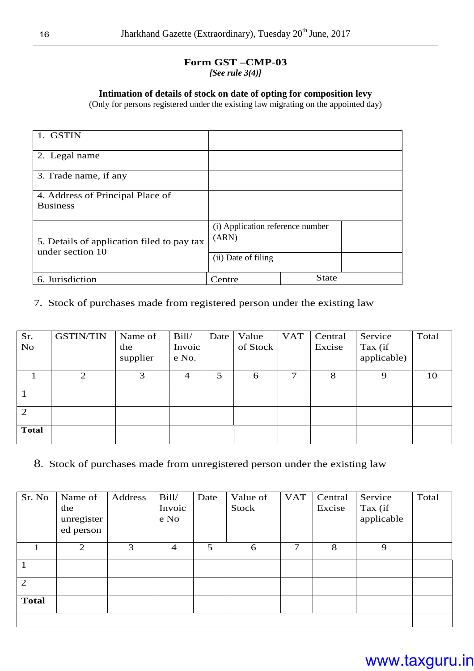#### **Form GST –CMP-03** *[See rule 3(4)]*

#### **Intimation of details of stock on date of opting for composition levy**

(Only for persons registered under the existing law migrating on the appointed day)

| 1. GSTIN                                                       |                                           |              |
|----------------------------------------------------------------|-------------------------------------------|--------------|
| 2. Legal name                                                  |                                           |              |
| 3. Trade name, if any                                          |                                           |              |
| 4. Address of Principal Place of<br><b>Business</b>            |                                           |              |
| 5. Details of application filed to pay tax<br>under section 10 | (i) Application reference number<br>(ARN) |              |
|                                                                | (ii) Date of filing                       |              |
| 6. Jurisdiction                                                | Centre                                    | <b>State</b> |

#### 7. Stock of purchases made from registered person under the existing law

| Sr.            | <b>GSTIN/TIN</b> | Name of  | Bill/          | Date | Value    | <b>VAT</b> | Central | Service     | Total |
|----------------|------------------|----------|----------------|------|----------|------------|---------|-------------|-------|
| N <sub>o</sub> |                  | the      | Invoic         |      | of Stock |            | Excise  | Tax (if     |       |
|                |                  | supplier | e No.          |      |          |            |         | applicable) |       |
|                | 2                | 3        | $\overline{4}$ | 5    | 6        | 7          | 8       | 9           | 10    |
|                |                  |          |                |      |          |            |         |             |       |
| $\overline{2}$ |                  |          |                |      |          |            |         |             |       |
| <b>Total</b>   |                  |          |                |      |          |            |         |             |       |

8. Stock of purchases made from unregistered person under the existing law

| Sr. No       | Name of    | Address | Bill/          | Date | Value of | <b>VAT</b> | Central | Service    | Total |
|--------------|------------|---------|----------------|------|----------|------------|---------|------------|-------|
|              | the        |         | Invoic         |      | Stock    |            | Excise  | Tax (if    |       |
|              | unregister |         | e No           |      |          |            |         | applicable |       |
|              | ed person  |         |                |      |          |            |         |            |       |
|              | 2          | 3       | $\overline{4}$ | 5    | 6        | 7          | 8       | 9          |       |
|              |            |         |                |      |          |            |         |            |       |
|              |            |         |                |      |          |            |         |            |       |
|              |            |         |                |      |          |            |         |            |       |
| 2            |            |         |                |      |          |            |         |            |       |
| <b>Total</b> |            |         |                |      |          |            |         |            |       |
|              |            |         |                |      |          |            |         |            |       |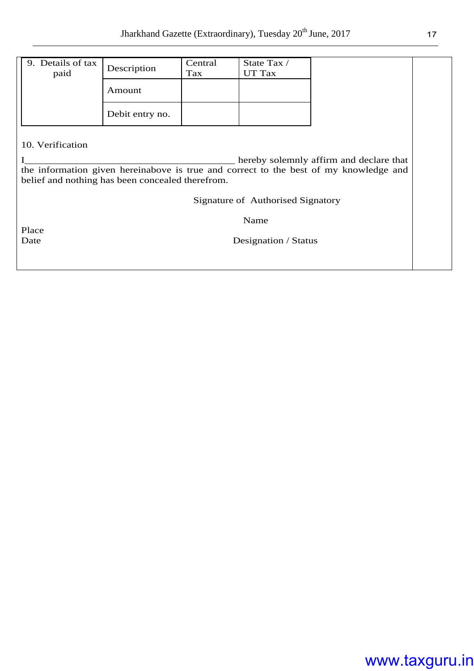| 9. Details of tax<br>paid | Description     | Central<br>Tax | State Tax /<br>UT Tax |
|---------------------------|-----------------|----------------|-----------------------|
|                           | Amount          |                |                       |
|                           | Debit entry no. |                |                       |

#### 10. Verification

I\_\_\_\_\_\_\_\_\_\_\_\_\_\_\_\_\_\_\_\_\_\_\_\_\_\_\_\_\_\_\_\_\_\_\_\_\_\_\_\_ hereby solemnly affirm and declare that the information given hereinabove is true and correct to the best of my knowledge and belief and nothing has been concealed therefrom.

Signature of Authorised Signatory

Name

Place<br>Date

Designation / Status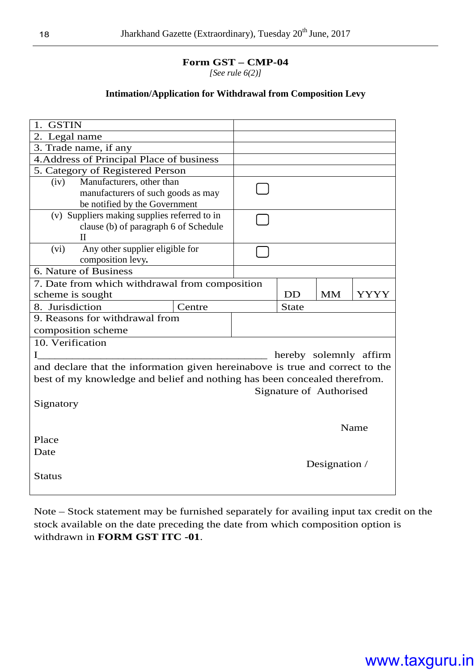**Form GST – CMP-04**

*[See rule 6(2)]* 

#### **Intimation/Application for Withdrawal from Composition Levy**

| 1. GSTIN                                                                      |        |                         |               |                        |
|-------------------------------------------------------------------------------|--------|-------------------------|---------------|------------------------|
| 2. Legal name                                                                 |        |                         |               |                        |
| 3. Trade name, if any                                                         |        |                         |               |                        |
| 4. Address of Principal Place of business                                     |        |                         |               |                        |
| 5. Category of Registered Person                                              |        |                         |               |                        |
| Manufacturers, other than<br>(iv)                                             |        |                         |               |                        |
| manufacturers of such goods as may                                            |        |                         |               |                        |
| be notified by the Government                                                 |        |                         |               |                        |
| (v) Suppliers making supplies referred to in                                  |        |                         |               |                        |
| clause (b) of paragraph 6 of Schedule                                         |        |                         |               |                        |
| Н                                                                             |        |                         |               |                        |
| Any other supplier eligible for<br>(vi)                                       |        |                         |               |                        |
| composition levy.                                                             |        |                         |               |                        |
| 6. Nature of Business                                                         |        |                         |               |                        |
| 7. Date from which withdrawal from composition                                |        |                         |               |                        |
| scheme is sought                                                              |        | <b>DD</b>               | <b>MM</b>     | YYYY                   |
| 8. Jurisdiction                                                               | Centre | <b>State</b>            |               |                        |
| 9. Reasons for withdrawal from                                                |        |                         |               |                        |
| composition scheme                                                            |        |                         |               |                        |
| 10. Verification                                                              |        |                         |               |                        |
|                                                                               |        |                         |               | hereby solemnly affirm |
| and declare that the information given hereinabove is true and correct to the |        |                         |               |                        |
| best of my knowledge and belief and nothing has been concealed therefrom.     |        |                         |               |                        |
|                                                                               |        | Signature of Authorised |               |                        |
| Signatory                                                                     |        |                         |               |                        |
|                                                                               |        |                         |               |                        |
|                                                                               |        |                         | Name          |                        |
| Place                                                                         |        |                         |               |                        |
| Date                                                                          |        |                         |               |                        |
|                                                                               |        |                         | Designation / |                        |
| <b>Status</b>                                                                 |        |                         |               |                        |
|                                                                               |        |                         |               |                        |
|                                                                               |        |                         |               |                        |

Note – Stock statement may be furnished separately for availing input tax credit on the stock available on the date preceding the date from which composition option is withdrawn in **FORM GST ITC -01**.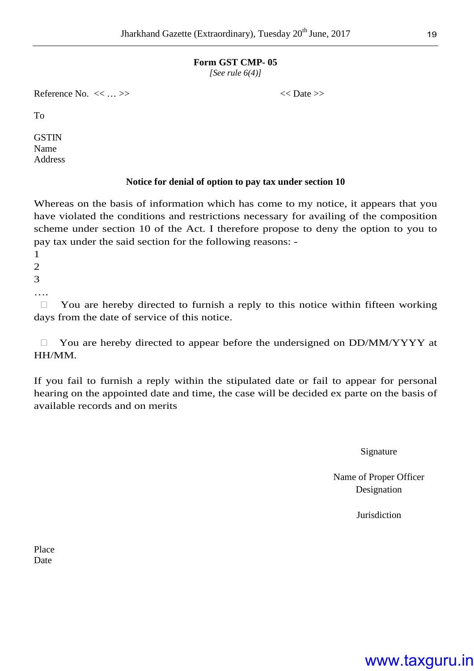#### **Form GST CMP- 05**

*[See rule 6(4)]*

Reference No.  $\langle \langle \cdot | \cdot \rangle \rangle$   $\langle \langle \cdot | \cdot \rangle \rangle$ 

To

**GSTIN** Name Address

#### **Notice for denial of option to pay tax under section 10**

Whereas on the basis of information which has come to my notice, it appears that you have violated the conditions and restrictions necessary for availing of the composition scheme under section 10 of the Act. I therefore propose to deny the option to you to pay tax under the said section for the following reasons: -

1

2 3

….

 You are hereby directed to furnish a reply to this notice within fifteen working days from the date of service of this notice.

 You are hereby directed to appear before the undersigned on DD/MM/YYYY at HH/MM.

If you fail to furnish a reply within the stipulated date or fail to appear for personal hearing on the appointed date and time, the case will be decided ex parte on the basis of available records and on merits

Signature

Name of Proper Officer Designation

Jurisdiction

Place Date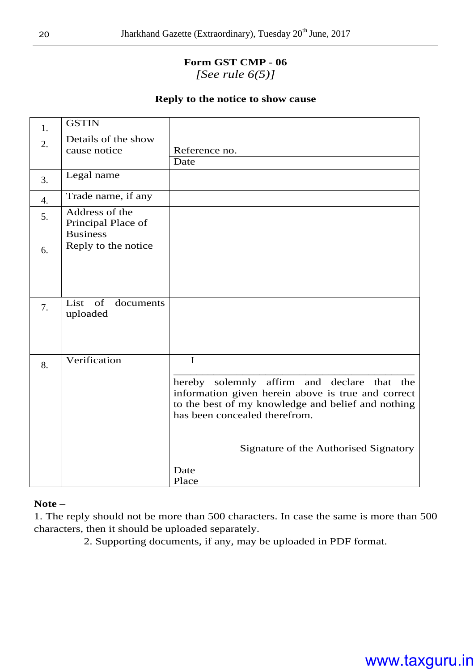#### **Form GST CMP - 06**  *[See rule 6(5)]*

#### **Reply to the notice to show cause**

| 1. | <b>GSTIN</b>                                            |                                                                                                                                                                                                                                                                   |
|----|---------------------------------------------------------|-------------------------------------------------------------------------------------------------------------------------------------------------------------------------------------------------------------------------------------------------------------------|
| 2. | Details of the show<br>cause notice                     | Reference no.<br>Date                                                                                                                                                                                                                                             |
| 3. | Legal name                                              |                                                                                                                                                                                                                                                                   |
| 4. | Trade name, if any                                      |                                                                                                                                                                                                                                                                   |
| 5. | Address of the<br>Principal Place of<br><b>Business</b> |                                                                                                                                                                                                                                                                   |
| 6. | Reply to the notice                                     |                                                                                                                                                                                                                                                                   |
| 7. | of<br>List<br>documents<br>uploaded                     |                                                                                                                                                                                                                                                                   |
| 8. | Verification                                            | $\mathbf I$<br>hereby solemnly affirm and declare that the<br>information given herein above is true and correct<br>to the best of my knowledge and belief and nothing<br>has been concealed therefrom.<br>Signature of the Authorised Signatory<br>Date<br>Place |

**Note –** 

1. The reply should not be more than 500 characters. In case the same is more than 500 characters, then it should be uploaded separately.

2. Supporting documents, if any, may be uploaded in PDF format.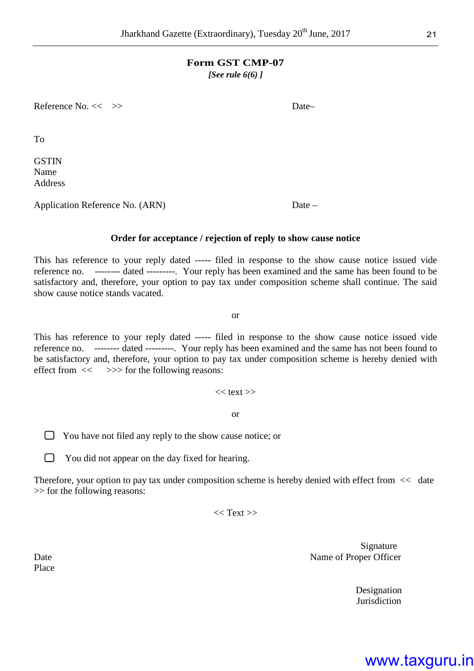#### **Form GST CMP-07**

*[See rule 6(6) ]* 

Reference No. << >> > Date-

To

**GSTIN** Name Address

Application Reference No. (ARN) Date –

**Order for acceptance / rejection of reply to show cause notice** 

This has reference to your reply dated ----- filed in response to the show cause notice issued vide reference no. -------- dated ---------. Your reply has been examined and the same has been found to be satisfactory and, therefore, your option to pay tax under composition scheme shall continue. The said show cause notice stands vacated.

or

This has reference to your reply dated ----- filed in response to the show cause notice issued vide reference no. -------- dated ---------. Your reply has been examined and the same has not been found to be satisfactory and, therefore, your option to pay tax under composition scheme is hereby denied with effect from  $\ll$   $>>$  for the following reasons:

 $<<$  text  $>>$ 

or

 $\Box$  You have not filed any reply to the show cause notice; or

 $\Box$  You did not appear on the day fixed for hearing.

Therefore, your option to pay tax under composition scheme is hereby denied with effect from << date >> for the following reasons:

 $<<$  Text  $>>$ 

Signature Date Name of Proper Officer

> Designation Jurisdiction

Place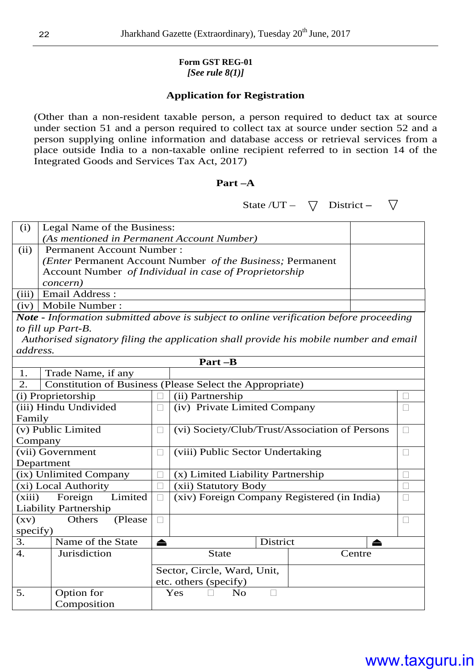### **Form GST REG-01**

#### *[See rule 8(1)]*

#### **Application for Registration**

(Other than a non-resident taxable person, a person required to deduct tax at source under section 51 and a person required to collect tax at source under section 52 and a person supplying online information and database access or retrieval services from a place outside India to a non-taxable online recipient referred to in section 14 of the Integrated Goods and Services Tax Act, 2017)

#### **Part –A**

State /UT –  $\bigtriangledown$  District –  $\bigtriangledown$ 

| (i)   | Legal Name of the Business:                                        |  |
|-------|--------------------------------------------------------------------|--|
|       | (As mentioned in Permanent Account Number)                         |  |
| (ii)  | <b>Permanent Account Number:</b>                                   |  |
|       | ( <i>Enter</i> Permanent Account Number of the Business; Permanent |  |
|       | Account Number of Individual in case of Proprietorship             |  |
|       | <i>concern</i> )                                                   |  |
| (iii) | Email Address:                                                     |  |
| (iv)  | Mobile Number:                                                     |  |

*Note* **-** *Information submitted above is subject to online verification before proceeding to fill up Part-B.* 

 *Authorised signatory filing the application shall provide his mobile number and email address.* 

| Part -B            |                                                          |                             |                                                |          |        |   |
|--------------------|----------------------------------------------------------|-----------------------------|------------------------------------------------|----------|--------|---|
| 1.                 | Trade Name, if any                                       |                             |                                                |          |        |   |
| 2.                 | Constitution of Business (Please Select the Appropriate) |                             |                                                |          |        |   |
|                    | (i) Proprietorship                                       |                             | (ii) Partnership                               |          |        |   |
|                    | (iii) Hindu Undivided                                    |                             | (iv) Private Limited Company                   |          |        |   |
| Family             |                                                          |                             |                                                |          |        |   |
|                    | (v) Public Limited                                       |                             | (vi) Society/Club/Trust/Association of Persons |          |        |   |
| Company            |                                                          |                             |                                                |          |        |   |
|                    | (vii) Government                                         |                             | (viii) Public Sector Undertaking               |          |        |   |
| Department         |                                                          |                             |                                                |          |        |   |
|                    | (ix) Unlimited Company                                   |                             | (x) Limited Liability Partnership              |          |        |   |
|                    | (xi) Local Authority                                     |                             | (xii) Statutory Body                           |          |        |   |
| (xiii)             | Foreign<br>Limited                                       |                             | (xiv) Foreign Company Registered (in India)    |          |        |   |
|                    | <b>Liability Partnership</b>                             |                             |                                                |          |        |   |
| $\left( xy\right)$ | Others<br>(Please)                                       |                             |                                                |          |        |   |
| specify)           |                                                          |                             |                                                |          |        |   |
| 3.                 | Name of the State                                        |                             |                                                | District |        | ≜ |
| $\overline{4}$ .   | Jurisdiction                                             |                             | <b>State</b>                                   |          | Centre |   |
|                    |                                                          | Sector, Circle, Ward, Unit, |                                                |          |        |   |
|                    |                                                          |                             | etc. others (specify)                          |          |        |   |
| 5.                 | Option for                                               |                             | Yes<br><b>No</b>                               |          |        |   |
|                    | Composition                                              |                             |                                                |          |        |   |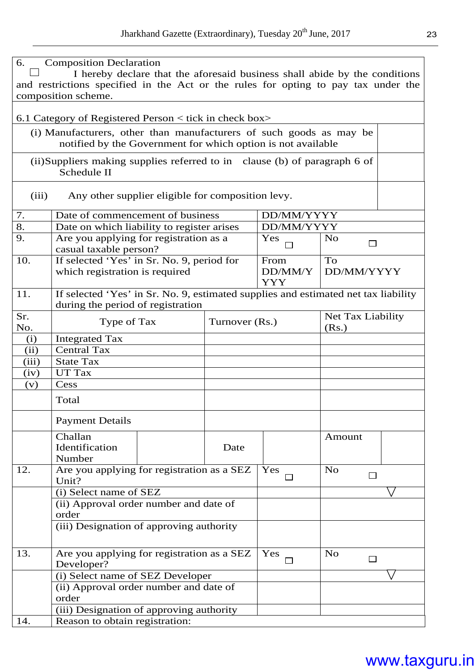| 6.         | <b>Composition Declaration</b><br>I hereby declare that the aforesaid business shall abide by the conditions                        |                |                       |                            |  |  |
|------------|-------------------------------------------------------------------------------------------------------------------------------------|----------------|-----------------------|----------------------------|--|--|
|            | and restrictions specified in the Act or the rules for opting to pay tax under the<br>composition scheme.                           |                |                       |                            |  |  |
|            | 6.1 Category of Registered Person $\lt$ tick in check box $\gt$                                                                     |                |                       |                            |  |  |
|            | (i) Manufacturers, other than manufacturers of such goods as may be<br>notified by the Government for which option is not available |                |                       |                            |  |  |
|            | (ii) Suppliers making supplies referred to in clause (b) of paragraph 6 of<br>Schedule II                                           |                |                       |                            |  |  |
|            |                                                                                                                                     |                |                       |                            |  |  |
| (iii)      | Any other supplier eligible for composition levy.                                                                                   |                |                       |                            |  |  |
| 7.         | Date of commencement of business                                                                                                    |                | DD/MM/YYYY            |                            |  |  |
| 8.         | Date on which liability to register arises                                                                                          |                | DD/MM/YYYY            |                            |  |  |
| 9.         | Are you applying for registration as a<br>casual taxable person?                                                                    |                | Yes                   | N <sub>o</sub><br>П        |  |  |
| 10.        | If selected 'Yes' in Sr. No. 9, period for                                                                                          |                | From                  | To                         |  |  |
|            | which registration is required                                                                                                      |                | DD/MM/Y<br><b>YYY</b> | DD/MM/YYYY                 |  |  |
| 11.        | If selected 'Yes' in Sr. No. 9, estimated supplies and estimated net tax liability                                                  |                |                       |                            |  |  |
|            | during the period of registration                                                                                                   |                |                       |                            |  |  |
| Sr.<br>No. | Type of Tax                                                                                                                         | Turnover (Rs.) |                       | Net Tax Liability<br>(Rs.) |  |  |
| (i)        | <b>Integrated Tax</b>                                                                                                               |                |                       |                            |  |  |
| (ii)       | <b>Central Tax</b>                                                                                                                  |                |                       |                            |  |  |
| (iii)      | <b>State Tax</b>                                                                                                                    |                |                       |                            |  |  |
| (iv)       | UT Tax                                                                                                                              |                |                       |                            |  |  |
| (v)        | Cess                                                                                                                                |                |                       |                            |  |  |
|            | Total                                                                                                                               |                |                       |                            |  |  |
|            | <b>Payment Details</b>                                                                                                              |                |                       |                            |  |  |
|            | Challan                                                                                                                             |                |                       | Amount                     |  |  |
|            | Identification<br>Number                                                                                                            | Date           |                       |                            |  |  |
| 12.        | Are you applying for registration as a SEZ<br>Unit?                                                                                 |                | Yes                   | N <sub>o</sub>             |  |  |
|            | (i) Select name of SEZ                                                                                                              |                |                       |                            |  |  |
|            | (ii) Approval order number and date of                                                                                              |                |                       |                            |  |  |
|            | order                                                                                                                               |                |                       |                            |  |  |
|            | (iii) Designation of approving authority                                                                                            |                |                       |                            |  |  |
| 13.        | Are you applying for registration as a SEZ                                                                                          |                | Yes                   | N <sub>o</sub>             |  |  |
|            | Developer?                                                                                                                          |                |                       | □                          |  |  |
|            | (i) Select name of SEZ Developer                                                                                                    |                |                       |                            |  |  |
|            | (ii) Approval order number and date of                                                                                              |                |                       |                            |  |  |
|            | order                                                                                                                               |                |                       |                            |  |  |
|            | (iii) Designation of approving authority                                                                                            |                |                       |                            |  |  |
| 14.        | Reason to obtain registration:                                                                                                      |                |                       |                            |  |  |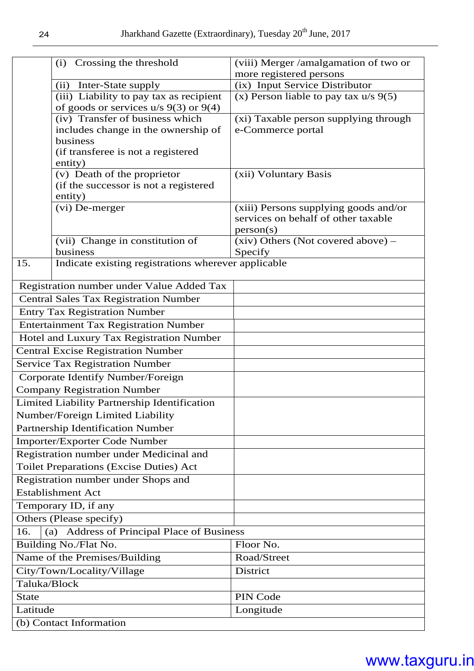|                         | Crossing the threshold<br>(i)                                                      | (viii) Merger /amalgamation of two or            |  |  |  |
|-------------------------|------------------------------------------------------------------------------------|--------------------------------------------------|--|--|--|
|                         |                                                                                    | more registered persons                          |  |  |  |
|                         | Inter-State supply<br>(ii)                                                         | (ix) Input Service Distributor                   |  |  |  |
|                         | (iii) Liability to pay tax as recipient<br>of goods or services $u/s$ 9(3) or 9(4) | (x) Person liable to pay tax $u/s$ 9(5)          |  |  |  |
|                         | (iv) Transfer of business which                                                    | (xi) Taxable person supplying through            |  |  |  |
|                         | includes change in the ownership of                                                | e-Commerce portal                                |  |  |  |
|                         | business                                                                           |                                                  |  |  |  |
|                         | (if transferee is not a registered                                                 |                                                  |  |  |  |
|                         | entity)                                                                            |                                                  |  |  |  |
|                         | (v) Death of the proprietor                                                        | (xii) Voluntary Basis                            |  |  |  |
|                         | (if the successor is not a registered                                              |                                                  |  |  |  |
|                         | entity)                                                                            |                                                  |  |  |  |
|                         | (vi) De-merger                                                                     | (xiii) Persons supplying goods and/or            |  |  |  |
|                         |                                                                                    | services on behalf of other taxable<br>person(s) |  |  |  |
|                         | (vii) Change in constitution of                                                    | $(xiv)$ Others (Not covered above) –             |  |  |  |
|                         | business                                                                           | Specify                                          |  |  |  |
| 15.                     | Indicate existing registrations wherever applicable                                |                                                  |  |  |  |
|                         |                                                                                    |                                                  |  |  |  |
|                         | Registration number under Value Added Tax                                          |                                                  |  |  |  |
|                         | <b>Central Sales Tax Registration Number</b>                                       |                                                  |  |  |  |
|                         | <b>Entry Tax Registration Number</b>                                               |                                                  |  |  |  |
|                         | <b>Entertainment Tax Registration Number</b>                                       |                                                  |  |  |  |
|                         | Hotel and Luxury Tax Registration Number                                           |                                                  |  |  |  |
|                         | <b>Central Excise Registration Number</b>                                          |                                                  |  |  |  |
|                         | <b>Service Tax Registration Number</b>                                             |                                                  |  |  |  |
|                         | Corporate Identify Number/Foreign                                                  |                                                  |  |  |  |
|                         | <b>Company Registration Number</b>                                                 |                                                  |  |  |  |
|                         | Limited Liability Partnership Identification                                       |                                                  |  |  |  |
|                         | Number/Foreign Limited Liability                                                   |                                                  |  |  |  |
|                         | Partnership Identification Number                                                  |                                                  |  |  |  |
|                         | Importer/Exporter Code Number                                                      |                                                  |  |  |  |
|                         | Registration number under Medicinal and                                            |                                                  |  |  |  |
|                         | <b>Toilet Preparations (Excise Duties) Act</b>                                     |                                                  |  |  |  |
|                         | Registration number under Shops and                                                |                                                  |  |  |  |
|                         | <b>Establishment Act</b>                                                           |                                                  |  |  |  |
|                         | Temporary ID, if any                                                               |                                                  |  |  |  |
| Others (Please specify) |                                                                                    |                                                  |  |  |  |
| 16.                     | Address of Principal Place of Business<br>(a)                                      |                                                  |  |  |  |
|                         | Building No./Flat No.                                                              | Floor No.                                        |  |  |  |
|                         | Name of the Premises/Building                                                      | Road/Street                                      |  |  |  |
|                         | City/Town/Locality/Village                                                         | District                                         |  |  |  |
| Taluka/Block            |                                                                                    |                                                  |  |  |  |
| <b>State</b>            |                                                                                    | PIN Code                                         |  |  |  |
| Latitude                |                                                                                    | Longitude                                        |  |  |  |
|                         | (b) Contact Information                                                            |                                                  |  |  |  |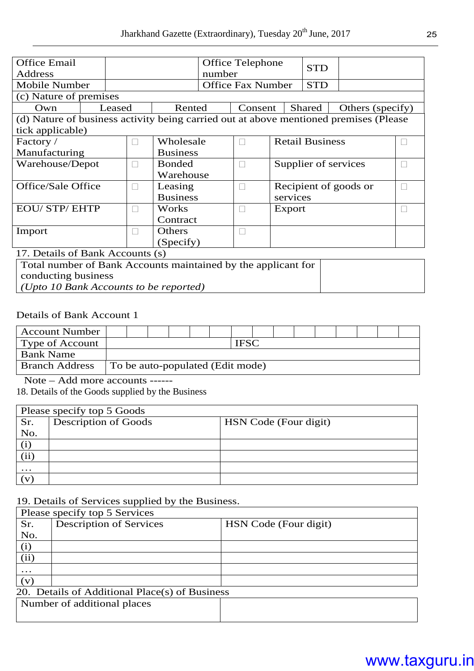| <b>Office Email</b>                                                                   |                                  |        |               |                 |           | <b>Office Telephone</b>  |                        | <b>STD</b> |                  |  |  |
|---------------------------------------------------------------------------------------|----------------------------------|--------|---------------|-----------------|-----------|--------------------------|------------------------|------------|------------------|--|--|
| Address                                                                               |                                  |        |               |                 | number    |                          |                        |            |                  |  |  |
| <b>Mobile Number</b>                                                                  |                                  |        |               |                 |           | <b>Office Fax Number</b> |                        | <b>STD</b> |                  |  |  |
| (c) Nature of premises                                                                |                                  |        |               |                 |           |                          |                        |            |                  |  |  |
| Own                                                                                   |                                  | Leased |               | Rented          |           | Consent                  |                        | Shared     | Others (specify) |  |  |
| (d) Nature of business activity being carried out at above mentioned premises (Please |                                  |        |               |                 |           |                          |                        |            |                  |  |  |
| tick applicable)                                                                      |                                  |        |               |                 |           |                          |                        |            |                  |  |  |
| Factory /                                                                             |                                  |        |               |                 | Wholesale |                          | <b>Retail Business</b> |            |                  |  |  |
| Manufacturing                                                                         |                                  |        |               | <b>Business</b> |           |                          |                        |            |                  |  |  |
| Warehouse/Depot                                                                       |                                  |        | <b>Bonded</b> |                 |           |                          | Supplier of services   |            |                  |  |  |
|                                                                                       |                                  |        |               | Warehouse       |           |                          |                        |            |                  |  |  |
| Office/Sale Office                                                                    |                                  |        |               | Leasing         |           |                          |                        |            |                  |  |  |
|                                                                                       |                                  |        |               | <b>Business</b> |           |                          | services               |            |                  |  |  |
| <b>EOU/STP/EHTP</b>                                                                   |                                  |        |               | Works           |           |                          | Export                 |            |                  |  |  |
|                                                                                       |                                  |        |               | Contract        |           |                          |                        |            |                  |  |  |
| Import                                                                                |                                  |        | Others        |                 |           |                          |                        |            |                  |  |  |
|                                                                                       |                                  |        | (Specify)     |                 |           |                          |                        |            |                  |  |  |
|                                                                                       | 17. Details of Bank Accounts (s) |        |               |                 |           |                          |                        |            |                  |  |  |
| Total number of Bank Accounts maintained by the applicant for                         |                                  |        |               |                 |           |                          |                        |            |                  |  |  |

conducting business *(Upto 10 Bank Accounts to be reported)* 

#### Details of Bank Account 1

| <b>Account Number</b> |                                  |  |  |  |  |  |  |  |  |  |  |  |  |  |  |  |
|-----------------------|----------------------------------|--|--|--|--|--|--|--|--|--|--|--|--|--|--|--|
| Type of Account       |                                  |  |  |  |  |  |  |  |  |  |  |  |  |  |  |  |
| <b>Bank Name</b>      |                                  |  |  |  |  |  |  |  |  |  |  |  |  |  |  |  |
| <b>Branch Address</b> | To be auto-populated (Edit mode) |  |  |  |  |  |  |  |  |  |  |  |  |  |  |  |

Note – Add more accounts ------

18. Details of the Goods supplied by the Business

|              | Please specify top 5 Goods  |                       |  |  |  |  |  |  |  |  |  |
|--------------|-----------------------------|-----------------------|--|--|--|--|--|--|--|--|--|
| Sr.          | <b>Description of Goods</b> | HSN Code (Four digit) |  |  |  |  |  |  |  |  |  |
| No.          |                             |                       |  |  |  |  |  |  |  |  |  |
|              |                             |                       |  |  |  |  |  |  |  |  |  |
| (ii)         |                             |                       |  |  |  |  |  |  |  |  |  |
| $\cdots$     |                             |                       |  |  |  |  |  |  |  |  |  |
| $\mathbf{V}$ |                             |                       |  |  |  |  |  |  |  |  |  |

19. Details of Services supplied by the Business.

|           | Please specify top 5 Services                  |                       |
|-----------|------------------------------------------------|-----------------------|
| Sr.       | <b>Description of Services</b>                 | HSN Code (Four digit) |
| No.       |                                                |                       |
| (i)       |                                                |                       |
| (ii)      |                                                |                       |
| $\ddotsc$ |                                                |                       |
| (v)       |                                                |                       |
|           | 20. Details of Additional Place(s) of Business |                       |
|           | Number of additional places                    |                       |
|           |                                                |                       |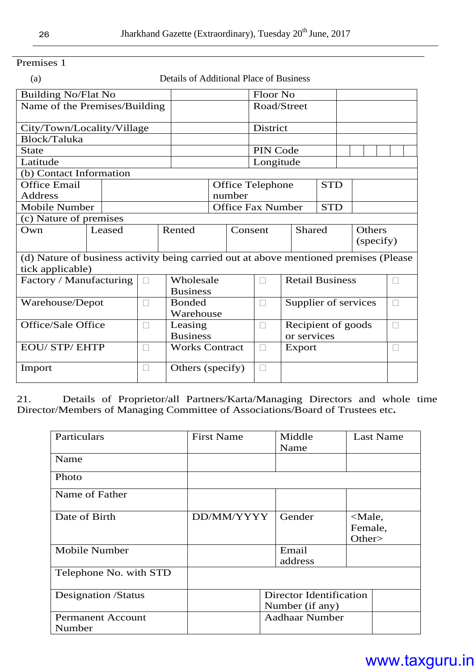| Premises |  |
|----------|--|
|          |  |

(a) Details of Additional Place of Business

| <b>Building No/Flat No</b>                                                            |                     |        |                       |                  |                                        |  | Floor No                |                    |                      |  |           |  |  |
|---------------------------------------------------------------------------------------|---------------------|--------|-----------------------|------------------|----------------------------------------|--|-------------------------|--------------------|----------------------|--|-----------|--|--|
| Name of the Premises/Building                                                         |                     |        |                       |                  |                                        |  | Road/Street             |                    |                      |  |           |  |  |
| City/Town/Locality/Village                                                            |                     |        |                       |                  |                                        |  | District                |                    |                      |  |           |  |  |
| Block/Taluka                                                                          |                     |        |                       |                  |                                        |  |                         |                    |                      |  |           |  |  |
| <b>State</b>                                                                          |                     |        |                       | PIN Code         |                                        |  |                         |                    |                      |  |           |  |  |
| Latitude                                                                              |                     |        |                       |                  |                                        |  | Longitude               |                    |                      |  |           |  |  |
| (b) Contact Information                                                               |                     |        |                       |                  |                                        |  |                         |                    |                      |  |           |  |  |
|                                                                                       | <b>Office Email</b> |        |                       |                  |                                        |  | <b>Office Telephone</b> |                    | <b>STD</b>           |  |           |  |  |
| <b>Address</b>                                                                        |                     |        |                       |                  | number                                 |  |                         |                    |                      |  |           |  |  |
| <b>Mobile Number</b>                                                                  |                     |        |                       |                  | <b>Office Fax Number</b><br><b>STD</b> |  |                         |                    |                      |  |           |  |  |
| (c) Nature of premises                                                                |                     |        |                       |                  |                                        |  |                         |                    |                      |  |           |  |  |
| Own                                                                                   |                     | Leased |                       | Rented           | Consent                                |  |                         | Shared             |                      |  | Others    |  |  |
|                                                                                       |                     |        |                       |                  |                                        |  |                         |                    |                      |  | (specify) |  |  |
| (d) Nature of business activity being carried out at above mentioned premises (Please |                     |        |                       |                  |                                        |  |                         |                    |                      |  |           |  |  |
| tick applicable)                                                                      |                     |        |                       |                  |                                        |  |                         |                    |                      |  |           |  |  |
| Factory / Manufacturing                                                               |                     |        |                       | Wholesale        |                                        |  | <b>Retail Business</b>  |                    |                      |  |           |  |  |
|                                                                                       |                     |        |                       | <b>Business</b>  |                                        |  |                         |                    |                      |  |           |  |  |
| Warehouse/Depot                                                                       |                     |        |                       | <b>Bonded</b>    |                                        |  |                         |                    | Supplier of services |  |           |  |  |
|                                                                                       |                     |        |                       | Warehouse        |                                        |  |                         |                    |                      |  |           |  |  |
| Office/Sale Office                                                                    |                     |        | Leasing               |                  |                                        |  |                         | Recipient of goods |                      |  |           |  |  |
|                                                                                       |                     |        | <b>Business</b>       |                  |                                        |  | or services             |                    |                      |  |           |  |  |
| <b>EOU/STP/EHTP</b>                                                                   |                     |        | <b>Works Contract</b> |                  |                                        |  | Export                  |                    |                      |  |           |  |  |
| Import                                                                                |                     |        |                       | Others (specify) |                                        |  |                         |                    |                      |  |           |  |  |

21. Details of Proprietor/all Partners/Karta/Managing Directors and whole time Director/Members of Managing Committee of Associations/Board of Trustees etc**.**

| Particulars                        | <b>First Name</b>                          | Middle<br>Name   | <b>Last Name</b>                           |  |  |  |  |  |
|------------------------------------|--------------------------------------------|------------------|--------------------------------------------|--|--|--|--|--|
| Name                               |                                            |                  |                                            |  |  |  |  |  |
| Photo                              |                                            |                  |                                            |  |  |  |  |  |
| Name of Father                     |                                            |                  |                                            |  |  |  |  |  |
| Date of Birth                      | DD/MM/YYYY                                 | Gender           | <male,<br>Female,<br/>Other&gt;</male,<br> |  |  |  |  |  |
| Mobile Number                      |                                            | Email<br>address |                                            |  |  |  |  |  |
| Telephone No. with STD             |                                            |                  |                                            |  |  |  |  |  |
| <b>Designation</b> /Status         | Director Identification<br>Number (if any) |                  |                                            |  |  |  |  |  |
| <b>Permanent Account</b><br>Number | <b>Aadhaar Number</b>                      |                  |                                            |  |  |  |  |  |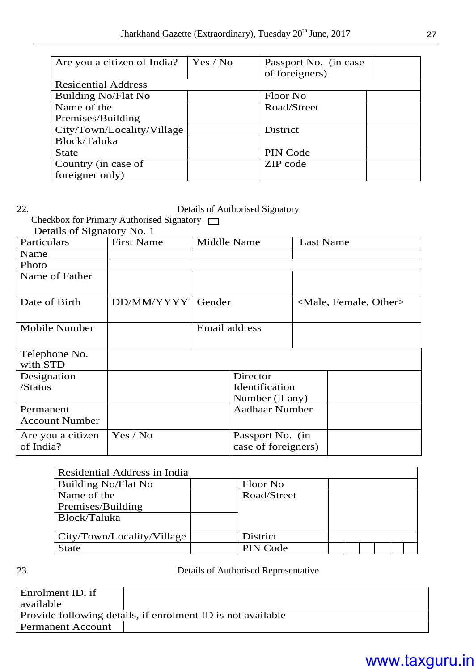| Are you a citizen of India? | Yes / No | Passport No. (in case<br>of foreigners) |
|-----------------------------|----------|-----------------------------------------|
| <b>Residential Address</b>  |          |                                         |
| <b>Building No/Flat No</b>  |          | Floor No                                |
| Name of the                 |          | Road/Street                             |
| Premises/Building           |          |                                         |
| City/Town/Locality/Village  |          | District                                |
| Block/Taluka                |          |                                         |
| <b>State</b>                |          | PIN Code                                |
| Country (in case of         |          | ZIP code                                |
| foreigner only)             |          |                                         |

#### 22. Details of Authorised Signatory

Checkbox for Primary Authorised Signatory  $\Box$ Details of Signatory No. 1

| Details of Signatury 180. 1 |                   |        |                       |                                     |  |  |  |
|-----------------------------|-------------------|--------|-----------------------|-------------------------------------|--|--|--|
| Particulars                 | <b>First Name</b> |        | Middle Name           | <b>Last Name</b>                    |  |  |  |
| Name                        |                   |        |                       |                                     |  |  |  |
| Photo                       |                   |        |                       |                                     |  |  |  |
| Name of Father              |                   |        |                       |                                     |  |  |  |
|                             |                   |        |                       |                                     |  |  |  |
| Date of Birth               | DD/MM/YYYY        | Gender |                       | <male, female,="" other=""></male,> |  |  |  |
|                             |                   |        |                       |                                     |  |  |  |
| Mobile Number               |                   |        | Email address         |                                     |  |  |  |
|                             |                   |        |                       |                                     |  |  |  |
| Telephone No.               |                   |        |                       |                                     |  |  |  |
| with STD                    |                   |        |                       |                                     |  |  |  |
| Designation                 |                   |        | Director              |                                     |  |  |  |
| /Status                     |                   |        | Identification        |                                     |  |  |  |
|                             |                   |        | Number (if any)       |                                     |  |  |  |
| Permanent                   |                   |        | <b>Aadhaar Number</b> |                                     |  |  |  |
| <b>Account Number</b>       |                   |        |                       |                                     |  |  |  |
| Are you a citizen           | Yes / No          |        | Passport No. (in      |                                     |  |  |  |
| of India?                   |                   |        | case of foreigners)   |                                     |  |  |  |
|                             |                   |        |                       |                                     |  |  |  |

| Residential Address in India |                 |  |  |  |  |
|------------------------------|-----------------|--|--|--|--|
| <b>Building No/Flat No</b>   | Floor No        |  |  |  |  |
| Name of the                  | Road/Street     |  |  |  |  |
| Premises/Building            |                 |  |  |  |  |
| Block/Taluka                 |                 |  |  |  |  |
|                              |                 |  |  |  |  |
| City/Town/Locality/Village   | District        |  |  |  |  |
| <b>State</b>                 | <b>PIN Code</b> |  |  |  |  |

23. Details of Authorised Representative

| Enrolment ID, if                                            |  |  |  |  |  |  |  |  |
|-------------------------------------------------------------|--|--|--|--|--|--|--|--|
| available                                                   |  |  |  |  |  |  |  |  |
| Provide following details, if enrolment ID is not available |  |  |  |  |  |  |  |  |
| <b>Permanent Account</b>                                    |  |  |  |  |  |  |  |  |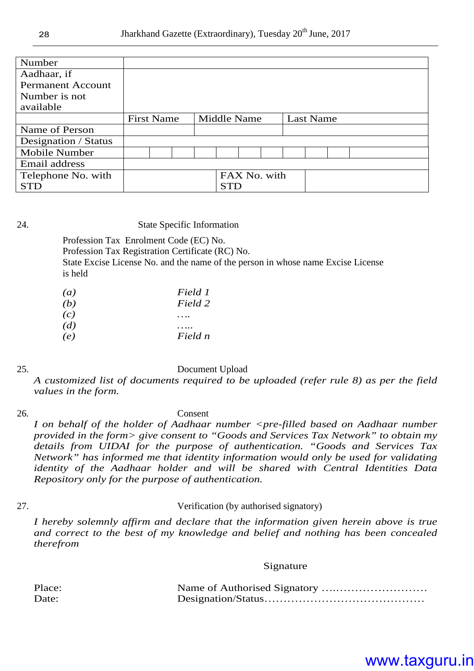| Number                   |                   |  |  |             |            |  |                  |  |  |  |  |
|--------------------------|-------------------|--|--|-------------|------------|--|------------------|--|--|--|--|
| Aadhaar, if              |                   |  |  |             |            |  |                  |  |  |  |  |
| <b>Permanent Account</b> |                   |  |  |             |            |  |                  |  |  |  |  |
| Number is not            |                   |  |  |             |            |  |                  |  |  |  |  |
| available                |                   |  |  |             |            |  |                  |  |  |  |  |
|                          | <b>First Name</b> |  |  | Middle Name |            |  | <b>Last Name</b> |  |  |  |  |
| Name of Person           |                   |  |  |             |            |  |                  |  |  |  |  |
| Designation / Status     |                   |  |  |             |            |  |                  |  |  |  |  |
| <b>Mobile Number</b>     |                   |  |  |             |            |  |                  |  |  |  |  |
| Email address            |                   |  |  |             |            |  |                  |  |  |  |  |
| Telephone No. with       | FAX No. with      |  |  |             |            |  |                  |  |  |  |  |
| <b>STD</b>               |                   |  |  |             | <b>STD</b> |  |                  |  |  |  |  |

#### 24. State Specific Information

Profession Tax Enrolment Code (EC) No. Profession Tax Registration Certificate (RC) No. State Excise License No. and the name of the person in whose name Excise License is held

| (a)<br>(b) | Field 1<br>Field 2 |
|------------|--------------------|
| (c)        |                    |
| (d)        |                    |
| (e)        | Field n            |

#### 25. Document Upload

*A customized list of documents required to be uploaded (refer rule 8) as per the field values in the form.* 

#### 26. Consent

*I* on behalf of the holder of Aadhaar number <pre-filled based on Aadhaar number *provided in the form> give consent to "Goods and Services Tax Network" to obtain my details from UIDAI for the purpose of authentication. "Goods and Services Tax Network" has informed me that identity information would only be used for validating identity of the Aadhaar holder and will be shared with Central Identities Data Repository only for the purpose of authentication.* 

#### 27. Verification (by authorised signatory)

*I hereby solemnly affirm and declare that the information given herein above is true and correct to the best of my knowledge and belief and nothing has been concealed therefrom*

#### Signature

| Place: |  |
|--------|--|
| Date:  |  |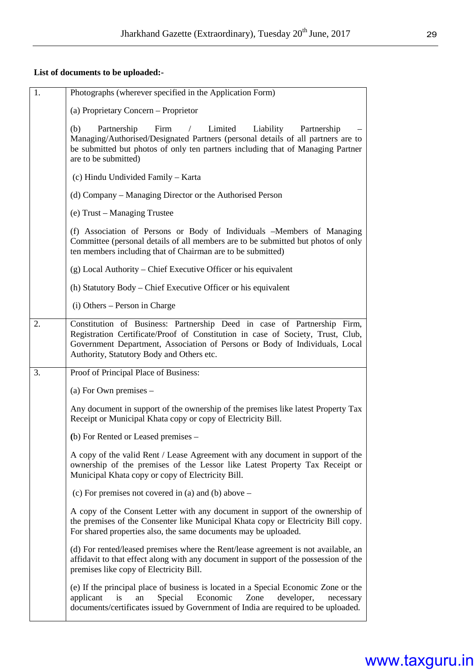#### **List of documents to be uploaded:-**

| 1. | Photographs (wherever specified in the Application Form)                                                                                                                                                                                                                               |
|----|----------------------------------------------------------------------------------------------------------------------------------------------------------------------------------------------------------------------------------------------------------------------------------------|
|    | (a) Proprietary Concern – Proprietor                                                                                                                                                                                                                                                   |
|    | Limited<br>(b)<br>Partnership<br>Firm<br>Liability<br>$\sqrt{2}$<br>Partnership<br>Managing/Authorised/Designated Partners (personal details of all partners are to<br>be submitted but photos of only ten partners including that of Managing Partner<br>are to be submitted)         |
|    | (c) Hindu Undivided Family – Karta                                                                                                                                                                                                                                                     |
|    | (d) Company – Managing Director or the Authorised Person                                                                                                                                                                                                                               |
|    | (e) Trust – Managing Trustee                                                                                                                                                                                                                                                           |
|    | (f) Association of Persons or Body of Individuals -Members of Managing<br>Committee (personal details of all members are to be submitted but photos of only<br>ten members including that of Chairman are to be submitted)                                                             |
|    | (g) Local Authority – Chief Executive Officer or his equivalent                                                                                                                                                                                                                        |
|    | (h) Statutory Body – Chief Executive Officer or his equivalent                                                                                                                                                                                                                         |
|    | (i) Others – Person in Charge                                                                                                                                                                                                                                                          |
| 2. | Constitution of Business: Partnership Deed in case of Partnership Firm,<br>Registration Certificate/Proof of Constitution in case of Society, Trust, Club,<br>Government Department, Association of Persons or Body of Individuals, Local<br>Authority, Statutory Body and Others etc. |
| 3. | Proof of Principal Place of Business:                                                                                                                                                                                                                                                  |
|    | (a) For Own premises $-$                                                                                                                                                                                                                                                               |
|    | Any document in support of the ownership of the premises like latest Property Tax<br>Receipt or Municipal Khata copy or copy of Electricity Bill.                                                                                                                                      |
|    | (b) For Rented or Leased premises –                                                                                                                                                                                                                                                    |
|    | A copy of the valid Rent / Lease Agreement with any document in support of the<br>ownership of the premises of the Lessor like Latest Property Tax Receipt or<br>Municipal Khata copy or copy of Electricity Bill.                                                                     |
|    | (c) For premises not covered in (a) and (b) above $-$                                                                                                                                                                                                                                  |
|    | A copy of the Consent Letter with any document in support of the ownership of<br>the premises of the Consenter like Municipal Khata copy or Electricity Bill copy.<br>For shared properties also, the same documents may be uploaded.                                                  |
|    | (d) For rented/leased premises where the Rent/lease agreement is not available, an<br>affidavit to that effect along with any document in support of the possession of the<br>premises like copy of Electricity Bill.                                                                  |
|    | (e) If the principal place of business is located in a Special Economic Zone or the<br>Economic<br>Special<br>Zone<br>developer,<br>applicant<br>is<br>an<br>necessary<br>documents/certificates issued by Government of India are required to be uploaded.                            |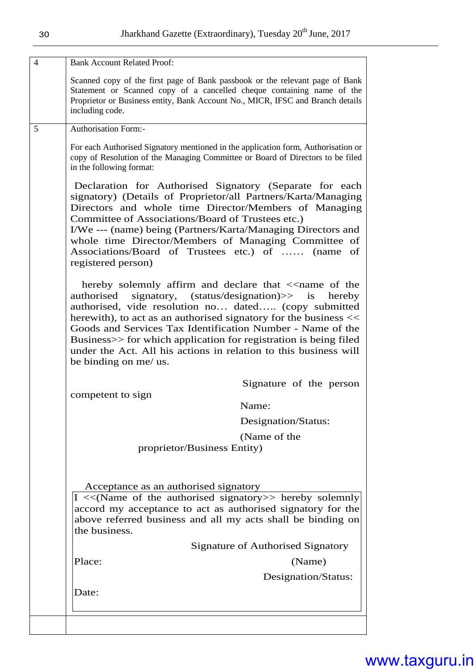| <b>Bank Account Related Proof:</b>                                                        |                                                                                                                                                                                                                                                                                                                                                                |
|-------------------------------------------------------------------------------------------|----------------------------------------------------------------------------------------------------------------------------------------------------------------------------------------------------------------------------------------------------------------------------------------------------------------------------------------------------------------|
| including code.                                                                           | Scanned copy of the first page of Bank passbook or the relevant page of Bank<br>Statement or Scanned copy of a cancelled cheque containing name of the<br>Proprietor or Business entity, Bank Account No., MICR, IFSC and Branch details                                                                                                                       |
| <b>Authorisation Form:-</b>                                                               |                                                                                                                                                                                                                                                                                                                                                                |
| in the following format:                                                                  | For each Authorised Signatory mentioned in the application form, Authorisation or<br>copy of Resolution of the Managing Committee or Board of Directors to be filed                                                                                                                                                                                            |
| Committee of Associations/Board of Trustees etc.)<br>registered person)                   | Declaration for Authorised Signatory (Separate for each<br>signatory) (Details of Proprietor/all Partners/Karta/Managing<br>Directors and whole time Director/Members of Managing<br>I/We --- (name) being (Partners/Karta/Managing Directors and<br>whole time Director/Members of Managing Committee of<br>Associations/Board of Trustees etc.) of  (name of |
| authorised<br>herewith), to act as an authorised signatory for the business <<            | hereby solemnly affirm and declare that $\le$ name of the<br>signatory, (status/designation)>> is<br>hereby<br>authorised, vide resolution no dated (copy submitted                                                                                                                                                                                            |
| under the Act. All his actions in relation to this business will<br>be binding on me/ us. | Goods and Services Tax Identification Number - Name of the<br>Business>> for which application for registration is being filed                                                                                                                                                                                                                                 |
|                                                                                           |                                                                                                                                                                                                                                                                                                                                                                |
| competent to sign                                                                         | Signature of the person                                                                                                                                                                                                                                                                                                                                        |
|                                                                                           | Name:                                                                                                                                                                                                                                                                                                                                                          |
|                                                                                           | Designation/Status:                                                                                                                                                                                                                                                                                                                                            |
|                                                                                           | (Name of the                                                                                                                                                                                                                                                                                                                                                   |
| proprietor/Business Entity)                                                               |                                                                                                                                                                                                                                                                                                                                                                |
| Acceptance as an authorised signatory                                                     |                                                                                                                                                                                                                                                                                                                                                                |
| the business.                                                                             | $\vert I \vert \ll$ (Name of the authorised signatory >> hereby solemnly<br>accord my acceptance to act as authorised signatory for the<br>above referred business and all my acts shall be binding on                                                                                                                                                         |
|                                                                                           | Signature of Authorised Signatory                                                                                                                                                                                                                                                                                                                              |
| Place:                                                                                    | (Name)                                                                                                                                                                                                                                                                                                                                                         |
|                                                                                           |                                                                                                                                                                                                                                                                                                                                                                |
| Date:                                                                                     | Designation/Status:                                                                                                                                                                                                                                                                                                                                            |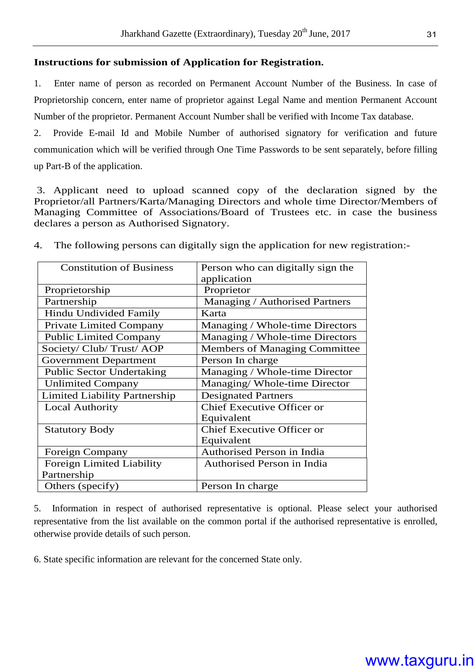#### **Instructions for submission of Application for Registration.**

1. Enter name of person as recorded on Permanent Account Number of the Business. In case of Proprietorship concern, enter name of proprietor against Legal Name and mention Permanent Account Number of the proprietor. Permanent Account Number shall be verified with Income Tax database.

2. Provide E-mail Id and Mobile Number of authorised signatory for verification and future communication which will be verified through One Time Passwords to be sent separately, before filling up Part-B of the application.

 3. Applicant need to upload scanned copy of the declaration signed by the Proprietor/all Partners/Karta/Managing Directors and whole time Director/Members of Managing Committee of Associations/Board of Trustees etc. in case the business declares a person as Authorised Signatory.

| <b>Constitution of Business</b>      | Person who can digitally sign the    |  |  |  |  |
|--------------------------------------|--------------------------------------|--|--|--|--|
|                                      | application                          |  |  |  |  |
| Proprietorship                       | Proprietor                           |  |  |  |  |
| Partnership                          | Managing / Authorised Partners       |  |  |  |  |
| Hindu Undivided Family               | Karta                                |  |  |  |  |
| <b>Private Limited Company</b>       | Managing / Whole-time Directors      |  |  |  |  |
| <b>Public Limited Company</b>        | Managing / Whole-time Directors      |  |  |  |  |
| Society/ Club/ Trust/ AOP            | <b>Members of Managing Committee</b> |  |  |  |  |
| <b>Government Department</b>         | Person In charge                     |  |  |  |  |
| <b>Public Sector Undertaking</b>     | Managing / Whole-time Director       |  |  |  |  |
| <b>Unlimited Company</b>             | Managing/ Whole-time Director        |  |  |  |  |
| <b>Limited Liability Partnership</b> | <b>Designated Partners</b>           |  |  |  |  |
| <b>Local Authority</b>               | Chief Executive Officer or           |  |  |  |  |
|                                      | Equivalent                           |  |  |  |  |
| <b>Statutory Body</b>                | Chief Executive Officer or           |  |  |  |  |
|                                      | Equivalent                           |  |  |  |  |
| <b>Foreign Company</b>               | Authorised Person in India           |  |  |  |  |
| <b>Foreign Limited Liability</b>     | Authorised Person in India           |  |  |  |  |
| Partnership                          |                                      |  |  |  |  |
| Others (specify)                     | Person In charge                     |  |  |  |  |

4. The following persons can digitally sign the application for new registration:-

5. Information in respect of authorised representative is optional. Please select your authorised representative from the list available on the common portal if the authorised representative is enrolled, otherwise provide details of such person.

6. State specific information are relevant for the concerned State only.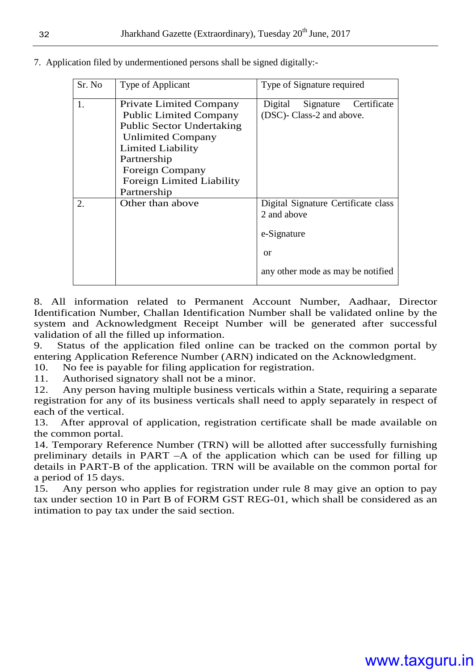| Sr. No | Type of Applicant                                                                                                                                                                                                                                | Type of Signature required                                                                                   |
|--------|--------------------------------------------------------------------------------------------------------------------------------------------------------------------------------------------------------------------------------------------------|--------------------------------------------------------------------------------------------------------------|
| 1.     | <b>Private Limited Company</b><br><b>Public Limited Company</b><br><b>Public Sector Undertaking</b><br><b>Unlimited Company</b><br><b>Limited Liability</b><br>Partnership<br>Foreign Company<br><b>Foreign Limited Liability</b><br>Partnership | Certificate<br>Signature<br>Digital<br>(DSC)- Class-2 and above.                                             |
| 2.     | Other than above                                                                                                                                                                                                                                 | Digital Signature Certificate class<br>2 and above<br>e-Signature<br>or<br>any other mode as may be notified |

7. Application filed by undermentioned persons shall be signed digitally:-

8. All information related to Permanent Account Number, Aadhaar, Director Identification Number, Challan Identification Number shall be validated online by the system and Acknowledgment Receipt Number will be generated after successful validation of all the filled up information.

9. Status of the application filed online can be tracked on the common portal by entering Application Reference Number (ARN) indicated on the Acknowledgment.

10. No fee is payable for filing application for registration.

11. Authorised signatory shall not be a minor.

12. Any person having multiple business verticals within a State, requiring a separate registration for any of its business verticals shall need to apply separately in respect of each of the vertical.

13. After approval of application, registration certificate shall be made available on the common portal.

14. Temporary Reference Number (TRN) will be allotted after successfully furnishing preliminary details in PART –A of the application which can be used for filling up details in PART-B of the application. TRN will be available on the common portal for a period of 15 days.

15. Any person who applies for registration under rule 8 may give an option to pay tax under section 10 in Part B of FORM GST REG-01, which shall be considered as an intimation to pay tax under the said section.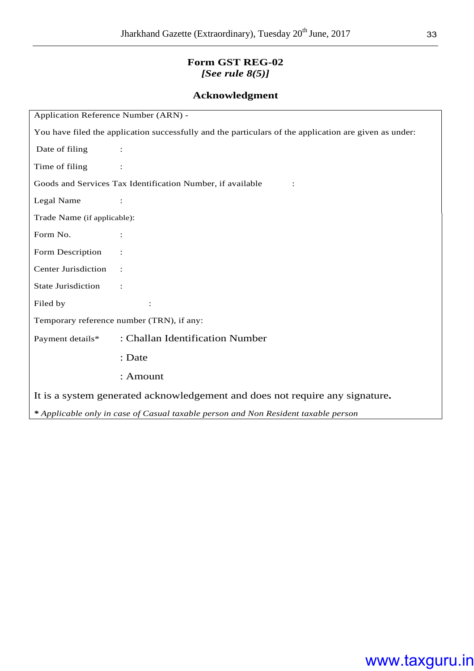#### **Form GST REG-02**  *[See rule 8(5)]*

#### **Acknowledgment**

| Application Reference Number (ARN) -                                                                   |                                                            |  |  |  |  |  |
|--------------------------------------------------------------------------------------------------------|------------------------------------------------------------|--|--|--|--|--|
| You have filed the application successfully and the particulars of the application are given as under: |                                                            |  |  |  |  |  |
| Date of filing                                                                                         |                                                            |  |  |  |  |  |
| Time of filing                                                                                         |                                                            |  |  |  |  |  |
|                                                                                                        | Goods and Services Tax Identification Number, if available |  |  |  |  |  |
| Legal Name                                                                                             |                                                            |  |  |  |  |  |
| Trade Name (if applicable):                                                                            |                                                            |  |  |  |  |  |
| Form No.                                                                                               |                                                            |  |  |  |  |  |
| Form Description                                                                                       |                                                            |  |  |  |  |  |
| <b>Center Jurisdiction</b>                                                                             |                                                            |  |  |  |  |  |
| State Jurisdiction                                                                                     |                                                            |  |  |  |  |  |
| Filed by                                                                                               |                                                            |  |  |  |  |  |
|                                                                                                        | Temporary reference number (TRN), if any:                  |  |  |  |  |  |
| Payment details*                                                                                       | : Challan Identification Number                            |  |  |  |  |  |
|                                                                                                        | : Date                                                     |  |  |  |  |  |
|                                                                                                        | : Amount                                                   |  |  |  |  |  |
| It is a system generated acknowledgement and does not require any signature.                           |                                                            |  |  |  |  |  |
| * Applicable only in case of Casual taxable person and Non Resident taxable person                     |                                                            |  |  |  |  |  |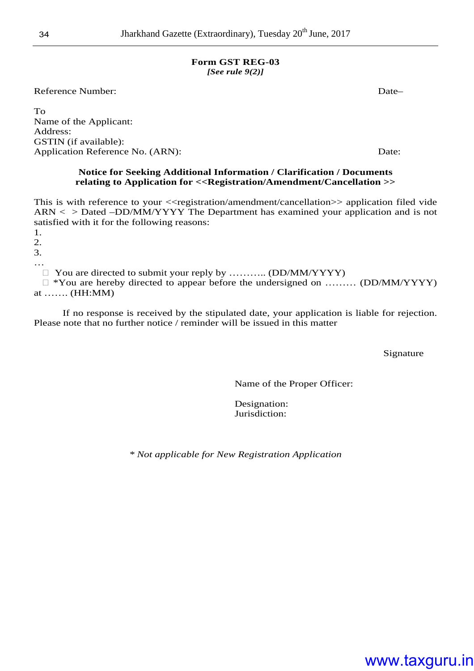#### **Form GST REG-03**  *[See rule 9(2)]*

Reference Number: Date—

To Name of the Applicant: Address: GSTIN (if available): Application Reference No. (ARN): Date:

#### **Notice for Seeking Additional Information / Clarification / Documents relating to Application for <<Registration/Amendment/Cancellation >>**

This is with reference to your << registration/amendment/cancellation >> application filed vide ARN < > Dated –DD/MM/YYYY The Department has examined your application and is not satisfied with it for the following reasons:

1.

2.

3. …

You are directed to submit your reply by ........... (DD/MM/YYYY)

 \*You are hereby directed to appear before the undersigned on ……… (DD/MM/YYYY) at ……. (HH:MM)

 If no response is received by the stipulated date, your application is liable for rejection. Please note that no further notice / reminder will be issued in this matter

**Signature** 

Name of the Proper Officer:

Designation: Jurisdiction:

*\* Not applicable for New Registration Application*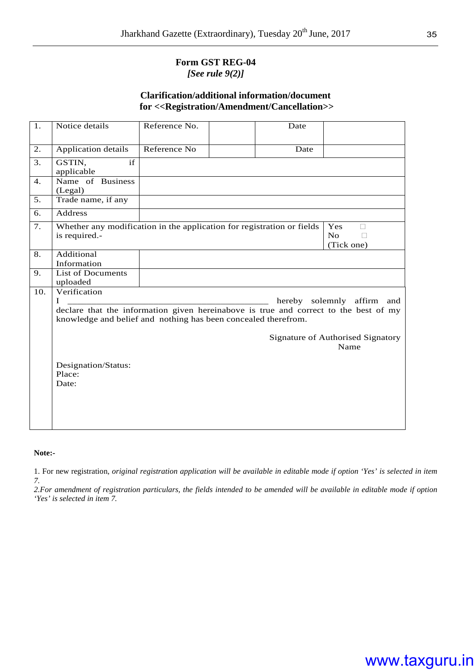#### **Form GST REG-04**  *[See rule 9(2)]*

#### **Clarification/additional information/document for <<Registration/Amendment/Cancellation>>**

| 1.  | Notice details                                                                                                                                         | Reference No. | Date |                                           |
|-----|--------------------------------------------------------------------------------------------------------------------------------------------------------|---------------|------|-------------------------------------------|
| 2.  | Application details                                                                                                                                    | Reference No  | Date |                                           |
| 3.  | GSTIN,<br>if<br>applicable                                                                                                                             |               |      |                                           |
| 4.  | Name of Business<br>(Legal)                                                                                                                            |               |      |                                           |
| 5.  | Trade name, if any                                                                                                                                     |               |      |                                           |
| 6.  | <b>Address</b>                                                                                                                                         |               |      |                                           |
| 7.  | Whether any modification in the application for registration or fields<br>is required.-                                                                |               |      | Yes<br>No<br>(Tick one)                   |
| 8.  | Additional<br>Information                                                                                                                              |               |      |                                           |
| 9.  | <b>List of Documents</b><br>uploaded                                                                                                                   |               |      |                                           |
| 10. | Verification<br>T                                                                                                                                      |               |      | hereby solemnly affirm and                |
|     | declare that the information given hereinabove is true and correct to the best of my<br>knowledge and belief and nothing has been concealed therefrom. |               |      |                                           |
|     |                                                                                                                                                        |               |      | Signature of Authorised Signatory<br>Name |
|     | Designation/Status:<br>Place:<br>Date:                                                                                                                 |               |      |                                           |
|     |                                                                                                                                                        |               |      |                                           |

**Note:-** 

1. For new registration, *original registration application will be available in editable mode if option 'Yes' is selected in item 7.* 

*2.For amendment of registration particulars, the fields intended to be amended will be available in editable mode if option 'Yes' is selected in item 7.*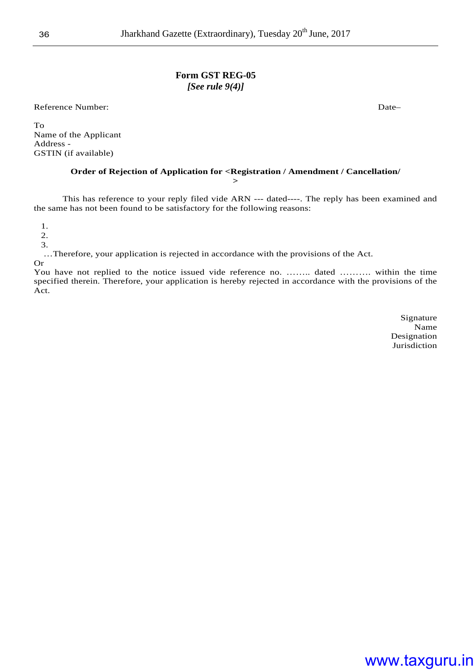#### **Form GST REG-05**  *[See rule 9(4)]*

Reference Number: Date—

To Name of the Applicant Address - GSTIN (if available)

#### **Order of Rejection of Application for <Registration / Amendment / Cancellation/**

**>** 

This has reference to your reply filed vide ARN --- dated----. The reply has been examined and the same has not been found to be satisfactory for the following reasons:

1.

2.

3.

…Therefore, your application is rejected in accordance with the provisions of the Act.

Or

You have not replied to the notice issued vide reference no. …….. dated ………. within the time specified therein. Therefore, your application is hereby rejected in accordance with the provisions of the Act.

> Signature Name Designation Jurisdiction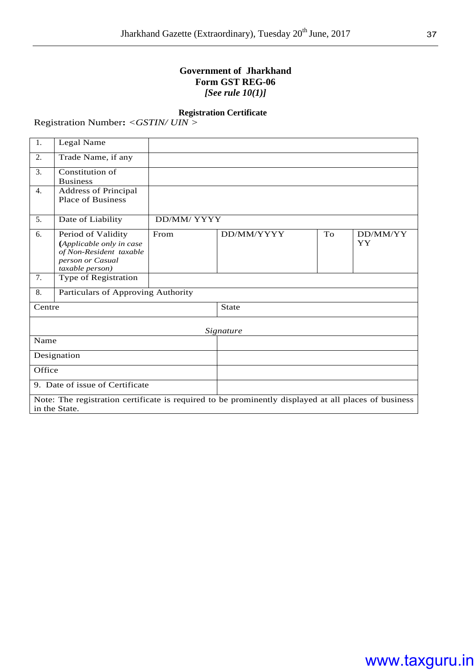#### **Government of Jharkhand Form GST REG-06**  *[See rule 10(1)]*

#### **Registration Certificate**

Registration Number**:** *<GSTIN/ UIN >* 

| 1.     | Legal Name                                                                                                       |             |                                                                                                      |    |                |  |  |
|--------|------------------------------------------------------------------------------------------------------------------|-------------|------------------------------------------------------------------------------------------------------|----|----------------|--|--|
| 2.     | Trade Name, if any                                                                                               |             |                                                                                                      |    |                |  |  |
| 3.     | Constitution of<br><b>Business</b>                                                                               |             |                                                                                                      |    |                |  |  |
| 4.     | <b>Address of Principal</b><br><b>Place of Business</b>                                                          |             |                                                                                                      |    |                |  |  |
| 5.     | Date of Liability                                                                                                | DD/MM/ YYYY |                                                                                                      |    |                |  |  |
| 6.     | Period of Validity<br>(Applicable only in case<br>of Non-Resident taxable<br>person or Casual<br>taxable person) | From        | DD/MM/YYYY                                                                                           | To | DD/MM/YY<br>YY |  |  |
| 7.     | Type of Registration                                                                                             |             |                                                                                                      |    |                |  |  |
| 8.     | Particulars of Approving Authority                                                                               |             |                                                                                                      |    |                |  |  |
| Centre |                                                                                                                  |             | <b>State</b>                                                                                         |    |                |  |  |
|        |                                                                                                                  |             | Signature                                                                                            |    |                |  |  |
| Name   |                                                                                                                  |             |                                                                                                      |    |                |  |  |
|        | Designation                                                                                                      |             |                                                                                                      |    |                |  |  |
| Office |                                                                                                                  |             |                                                                                                      |    |                |  |  |
|        | 9. Date of issue of Certificate                                                                                  |             |                                                                                                      |    |                |  |  |
|        | in the State.                                                                                                    |             | Note: The registration certificate is required to be prominently displayed at all places of business |    |                |  |  |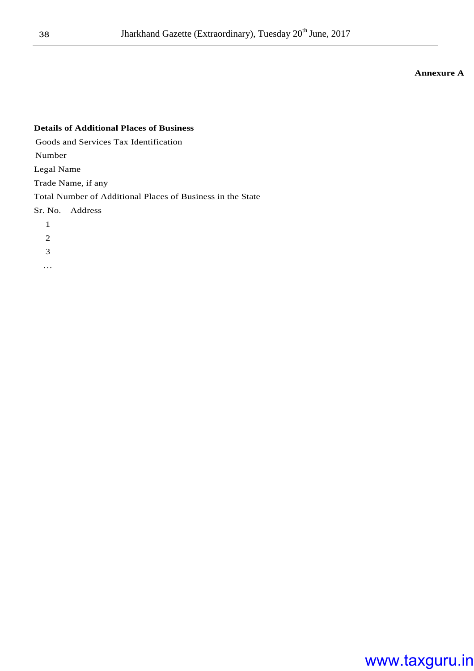#### **Annexure A**

### **Details of Additional Places of Business**  Goods and Services Tax Identification Number Legal Name Trade Name, if any Total Number of Additional Places of Business in the State Sr. No. Address 1 2 3

…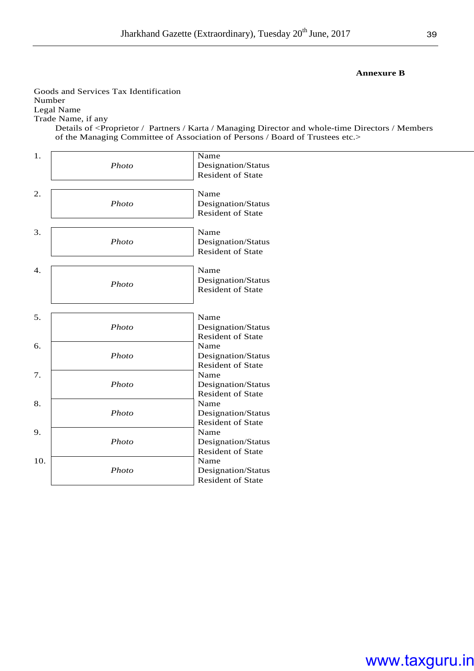#### **Annexure B**

Goods and Services Tax Identification Number Legal Name Trade Name, if any

Details of <Proprietor / Partners / Karta / Managing Director and whole-time Directors / Members of the Managing Committee of Association of Persons / Board of Trustees etc.>

| 1.<br>Name  |                          |
|-------------|--------------------------|
| Photo       | Designation/Status       |
|             | <b>Resident of State</b> |
|             |                          |
| 2.<br>Name  |                          |
| Photo       | Designation/Status       |
|             | Resident of State        |
|             |                          |
| 3.<br>Name  |                          |
| Photo       | Designation/Status       |
|             | <b>Resident of State</b> |
| Name        |                          |
| 4.          |                          |
| Photo       | Designation/Status       |
|             | <b>Resident of State</b> |
|             |                          |
| 5.<br>Name  |                          |
| Photo       | Designation/Status       |
|             | <b>Resident of State</b> |
| 6.<br>Name  |                          |
| Photo       | Designation/Status       |
|             | <b>Resident of State</b> |
| 7.<br>Name  |                          |
| Photo       | Designation/Status       |
|             | <b>Resident of State</b> |
| 8.<br>Name  |                          |
| Photo       | Designation/Status       |
|             | <b>Resident of State</b> |
| 9.<br>Name  |                          |
| Photo       | Designation/Status       |
|             | <b>Resident of State</b> |
| 10.<br>Name |                          |
| Photo       | Designation/Status       |
|             | <b>Resident of State</b> |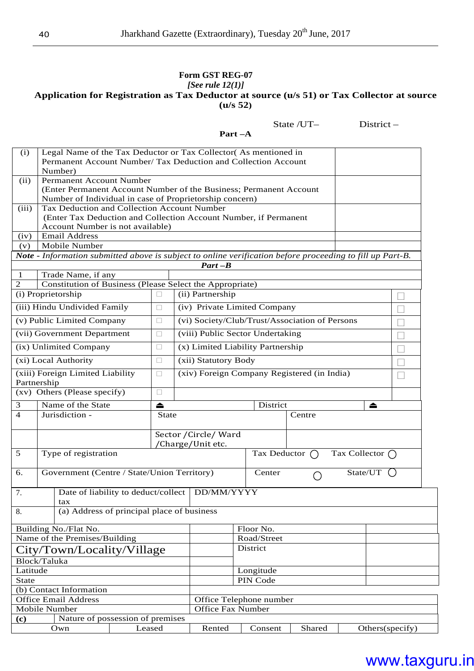#### **Form GST REG-07**  *[See rule 12(1)]* **Application for Registration as Tax Deductor at source (u/s 51) or Tax Collector at source (u/s 52)**

**Part –A** 

State /UT– District –

| (i)                                                                         | Legal Name of the Tax Deductor or Tax Collector(As mentioned in<br>Permanent Account Number/ Tax Deduction and Collection Account |              |  |                                                     |  |             |                                                |                         |                 |  |
|-----------------------------------------------------------------------------|-----------------------------------------------------------------------------------------------------------------------------------|--------------|--|-----------------------------------------------------|--|-------------|------------------------------------------------|-------------------------|-----------------|--|
|                                                                             | Number)                                                                                                                           |              |  |                                                     |  |             |                                                |                         |                 |  |
| (ii)                                                                        | Permanent Account Number                                                                                                          |              |  |                                                     |  |             |                                                |                         |                 |  |
|                                                                             | (Enter Permanent Account Number of the Business; Permanent Account<br>Number of Individual in case of Proprietorship concern)     |              |  |                                                     |  |             |                                                |                         |                 |  |
| (iii)                                                                       | Tax Deduction and Collection Account Number                                                                                       |              |  |                                                     |  |             |                                                |                         |                 |  |
|                                                                             | (Enter Tax Deduction and Collection Account Number, if Permanent                                                                  |              |  |                                                     |  |             |                                                |                         |                 |  |
|                                                                             | Account Number is not available)                                                                                                  |              |  |                                                     |  |             |                                                |                         |                 |  |
|                                                                             | <b>Email Address</b><br>(iv)                                                                                                      |              |  |                                                     |  |             |                                                |                         |                 |  |
| (v)                                                                         | Mobile Number                                                                                                                     |              |  |                                                     |  |             |                                                |                         |                 |  |
|                                                                             | Note - Information submitted above is subject to online verification before proceeding to fill up Part-B.                         |              |  |                                                     |  |             |                                                |                         |                 |  |
|                                                                             |                                                                                                                                   |              |  | $Part-B$                                            |  |             |                                                |                         |                 |  |
| $\mathbf{1}$<br>$\mathfrak{2}% =\mathfrak{2}\times\mathfrak{2}\mathfrak{2}$ | Trade Name, if any<br>Constitution of Business (Please Select the Appropriate)                                                    |              |  |                                                     |  |             |                                                |                         |                 |  |
|                                                                             | (i) Proprietorship                                                                                                                |              |  | (ii) Partnership                                    |  |             |                                                |                         |                 |  |
|                                                                             |                                                                                                                                   |              |  |                                                     |  |             |                                                |                         |                 |  |
|                                                                             | (iii) Hindu Undivided Family                                                                                                      |              |  | (iv) Private Limited Company                        |  |             |                                                |                         |                 |  |
|                                                                             | (v) Public Limited Company                                                                                                        |              |  |                                                     |  |             | (vi) Society/Club/Trust/Association of Persons |                         |                 |  |
|                                                                             | (vii) Government Department                                                                                                       |              |  | (viii) Public Sector Undertaking                    |  |             |                                                |                         |                 |  |
|                                                                             | (ix) Unlimited Company                                                                                                            |              |  | (x) Limited Liability Partnership                   |  |             |                                                |                         |                 |  |
|                                                                             | (xi) Local Authority                                                                                                              |              |  | (xii) Statutory Body                                |  |             |                                                |                         |                 |  |
| Partnership                                                                 | (xiii) Foreign Limited Liability                                                                                                  |              |  | (xiv) Foreign Company Registered (in India)         |  |             |                                                |                         |                 |  |
|                                                                             | (xv) Others (Please specify)                                                                                                      |              |  |                                                     |  |             |                                                |                         |                 |  |
| 3                                                                           | Name of the State                                                                                                                 | $\triangle$  |  | District<br>▲                                       |  |             |                                                |                         |                 |  |
| $\overline{4}$                                                              | Jurisdiction -                                                                                                                    | <b>State</b> |  | Centre                                              |  |             |                                                |                         |                 |  |
|                                                                             |                                                                                                                                   |              |  |                                                     |  |             |                                                |                         |                 |  |
|                                                                             |                                                                                                                                   |              |  | Sector / Circle/ Ward<br>/Charge/Unit etc.          |  |             |                                                |                         |                 |  |
| 5                                                                           | Type of registration                                                                                                              |              |  | Tax Deductor                                        |  |             |                                                | Tax Collector $\bigcap$ |                 |  |
|                                                                             |                                                                                                                                   |              |  |                                                     |  |             |                                                |                         |                 |  |
| 6.                                                                          | Government (Centre / State/Union Territory)                                                                                       |              |  |                                                     |  | Center      |                                                | State/UT                |                 |  |
| 7.                                                                          | Date of liability to deduct/collect   DD/MM/YYYY                                                                                  |              |  |                                                     |  |             |                                                |                         |                 |  |
|                                                                             | tax                                                                                                                               |              |  |                                                     |  |             |                                                |                         |                 |  |
| 8.                                                                          | (a) Address of principal place of business                                                                                        |              |  |                                                     |  |             |                                                |                         |                 |  |
|                                                                             | Building No./Flat No.                                                                                                             |              |  |                                                     |  | Floor No.   |                                                |                         |                 |  |
|                                                                             | Name of the Premises/Building                                                                                                     |              |  |                                                     |  | Road/Street |                                                |                         |                 |  |
|                                                                             |                                                                                                                                   |              |  |                                                     |  | District    |                                                |                         |                 |  |
|                                                                             | City/Town/Locality/Village                                                                                                        |              |  |                                                     |  |             |                                                |                         |                 |  |
| Latitude                                                                    | Block/Taluka                                                                                                                      |              |  |                                                     |  | Longitude   |                                                |                         |                 |  |
| <b>State</b>                                                                |                                                                                                                                   |              |  |                                                     |  | PIN Code    |                                                |                         |                 |  |
|                                                                             | (b) Contact Information                                                                                                           |              |  |                                                     |  |             |                                                |                         |                 |  |
|                                                                             | <b>Office Email Address</b>                                                                                                       |              |  |                                                     |  |             |                                                |                         |                 |  |
|                                                                             | Mobile Number                                                                                                                     |              |  | Office Telephone number<br><b>Office Fax Number</b> |  |             |                                                |                         |                 |  |
| (c)                                                                         | Nature of possession of premises                                                                                                  |              |  |                                                     |  |             |                                                |                         |                 |  |
|                                                                             | Own                                                                                                                               | Leased       |  | Rented                                              |  | Consent     | Shared                                         |                         | Others(specify) |  |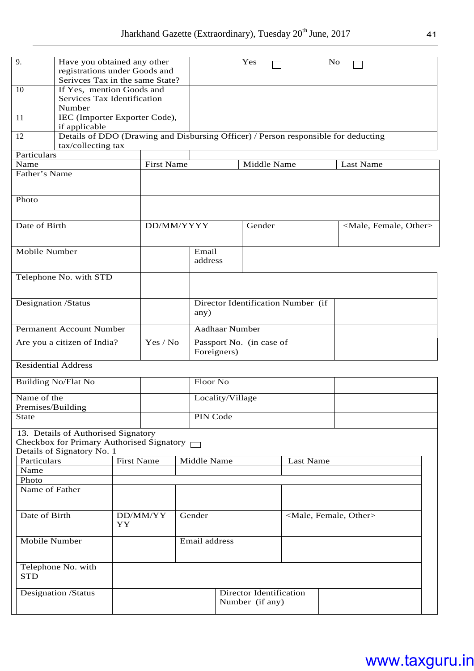| 9.            | Have you obtained any other<br>registrations under Goods and<br>Serivces Tax in the same State?                       |                                                |                                            |        |                                            |                  | Yes         |           | N <sub>o</sub> |                                     |
|---------------|-----------------------------------------------------------------------------------------------------------------------|------------------------------------------------|--------------------------------------------|--------|--------------------------------------------|------------------|-------------|-----------|----------------|-------------------------------------|
| 10            | If Yes, mention Goods and<br>Services Tax Identification<br>Number                                                    |                                                |                                            |        |                                            |                  |             |           |                |                                     |
| 11            |                                                                                                                       | IEC (Importer Exporter Code),<br>if applicable |                                            |        |                                            |                  |             |           |                |                                     |
| 12            | Details of DDO (Drawing and Disbursing Officer) / Person responsible for deducting<br>tax/collecting tax              |                                                |                                            |        |                                            |                  |             |           |                |                                     |
| Particulars   |                                                                                                                       |                                                |                                            |        |                                            |                  |             |           |                |                                     |
| Name          |                                                                                                                       |                                                | <b>First Name</b>                          |        |                                            |                  | Middle Name |           |                | Last Name                           |
| Father's Name |                                                                                                                       |                                                |                                            |        |                                            |                  |             |           |                |                                     |
| Photo         |                                                                                                                       |                                                |                                            |        |                                            |                  |             |           |                |                                     |
| Date of Birth |                                                                                                                       |                                                | DD/MM/YYYY                                 |        |                                            |                  | Gender      |           |                | <male, female,="" other=""></male,> |
|               |                                                                                                                       |                                                |                                            |        |                                            |                  |             |           |                |                                     |
| Mobile Number |                                                                                                                       |                                                |                                            |        | Email<br>address                           |                  |             |           |                |                                     |
|               | Telephone No. with STD                                                                                                |                                                |                                            |        |                                            |                  |             |           |                |                                     |
|               | Designation /Status                                                                                                   |                                                |                                            |        | Director Identification Number (if<br>any) |                  |             |           |                |                                     |
|               | <b>Permanent Account Number</b>                                                                                       |                                                |                                            |        | <b>Aadhaar Number</b>                      |                  |             |           |                |                                     |
|               | Are you a citizen of India?                                                                                           |                                                | Yes / No                                   |        | Passport No. (in case of<br>Foreigners)    |                  |             |           |                |                                     |
|               | <b>Residential Address</b>                                                                                            |                                                |                                            |        |                                            |                  |             |           |                |                                     |
|               | <b>Building No/Flat No</b>                                                                                            |                                                |                                            |        | Floor No                                   |                  |             |           |                |                                     |
| Name of the   | Premises/Building                                                                                                     |                                                |                                            |        |                                            | Locality/Village |             |           |                |                                     |
| <b>State</b>  |                                                                                                                       |                                                |                                            |        | PIN Code                                   |                  |             |           |                |                                     |
|               | 13. Details of Authorised Signatory<br>Checkbox for Primary Authorised Signatory $\Box$<br>Details of Signatory No. 1 |                                                |                                            |        |                                            |                  |             |           |                |                                     |
| Particulars   |                                                                                                                       | <b>First Name</b>                              |                                            |        | Middle Name                                |                  |             | Last Name |                |                                     |
| Name          |                                                                                                                       |                                                |                                            |        |                                            |                  |             |           |                |                                     |
| Photo         | Name of Father                                                                                                        |                                                |                                            |        |                                            |                  |             |           |                |                                     |
|               |                                                                                                                       |                                                |                                            |        |                                            |                  |             |           |                |                                     |
| Date of Birth |                                                                                                                       | YY                                             | DD/MM/YY                                   | Gender |                                            |                  |             |           |                | <male, female,="" other=""></male,> |
|               | Mobile Number                                                                                                         |                                                |                                            |        | Email address                              |                  |             |           |                |                                     |
| <b>STD</b>    | Telephone No. with                                                                                                    |                                                |                                            |        |                                            |                  |             |           |                |                                     |
|               | <b>Designation /Status</b>                                                                                            |                                                | Director Identification<br>Number (if any) |        |                                            |                  |             |           |                |                                     |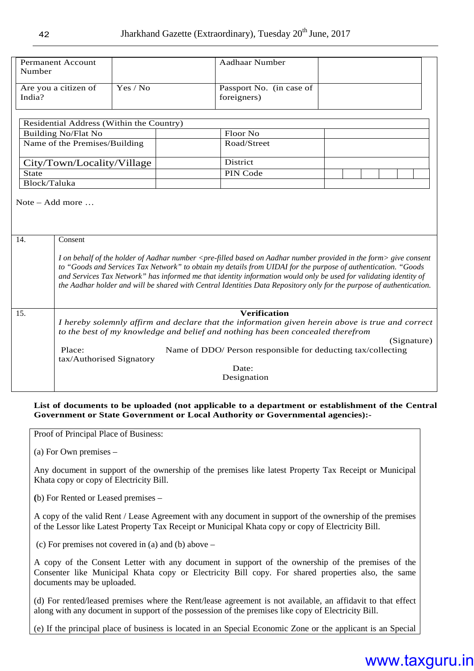| Number       | <b>Permanent Account</b>                                                                                                                                                                                                                                                                                                                                                                                                                                                                                               |                                          | <b>Aadhaar Number</b>                                        |  |  |  |  |  |
|--------------|------------------------------------------------------------------------------------------------------------------------------------------------------------------------------------------------------------------------------------------------------------------------------------------------------------------------------------------------------------------------------------------------------------------------------------------------------------------------------------------------------------------------|------------------------------------------|--------------------------------------------------------------|--|--|--|--|--|
| India?       | Yes / No<br>Are you a citizen of                                                                                                                                                                                                                                                                                                                                                                                                                                                                                       |                                          | Passport No. (in case of<br>foreigners)                      |  |  |  |  |  |
|              |                                                                                                                                                                                                                                                                                                                                                                                                                                                                                                                        | Residential Address (Within the Country) |                                                              |  |  |  |  |  |
|              | <b>Building No/Flat No</b>                                                                                                                                                                                                                                                                                                                                                                                                                                                                                             |                                          | Floor No                                                     |  |  |  |  |  |
|              | Name of the Premises/Building                                                                                                                                                                                                                                                                                                                                                                                                                                                                                          |                                          | Road/Street                                                  |  |  |  |  |  |
|              | City/Town/Locality/Village                                                                                                                                                                                                                                                                                                                                                                                                                                                                                             |                                          | <b>District</b>                                              |  |  |  |  |  |
| <b>State</b> |                                                                                                                                                                                                                                                                                                                                                                                                                                                                                                                        |                                          | PIN Code                                                     |  |  |  |  |  |
| Block/Taluka |                                                                                                                                                                                                                                                                                                                                                                                                                                                                                                                        |                                          |                                                              |  |  |  |  |  |
| 14.          | Consent                                                                                                                                                                                                                                                                                                                                                                                                                                                                                                                |                                          |                                                              |  |  |  |  |  |
|              | I on behalf of the holder of Aadhar number <pre-filled aadhar="" based="" form="" in="" number="" on="" provided="" the=""> give consent<br/>to "Goods and Services Tax Network" to obtain my details from UIDAI for the purpose of authentication. "Goods<br/>and Services Tax Network" has informed me that identity information would only be used for validating identity of<br/>the Aadhar holder and will be shared with Central Identities Data Repository only for the purpose of authentication.</pre-filled> |                                          |                                                              |  |  |  |  |  |
| 15.          |                                                                                                                                                                                                                                                                                                                                                                                                                                                                                                                        |                                          | Verification                                                 |  |  |  |  |  |
|              | I hereby solemnly affirm and declare that the information given herein above is true and correct<br>to the best of my knowledge and belief and nothing has been concealed therefrom<br>(Signature)                                                                                                                                                                                                                                                                                                                     |                                          |                                                              |  |  |  |  |  |
|              | Place:                                                                                                                                                                                                                                                                                                                                                                                                                                                                                                                 |                                          | Name of DDO/ Person responsible for deducting tax/collecting |  |  |  |  |  |
|              | tax/Authorised Signatory                                                                                                                                                                                                                                                                                                                                                                                                                                                                                               |                                          | Date:<br>Designation                                         |  |  |  |  |  |
|              |                                                                                                                                                                                                                                                                                                                                                                                                                                                                                                                        |                                          |                                                              |  |  |  |  |  |

#### **List of documents to be uploaded (not applicable to a department or establishment of the Central Government or State Government or Local Authority or Governmental agencies):-**

Proof of Principal Place of Business:

(a) For Own premises –

Any document in support of the ownership of the premises like latest Property Tax Receipt or Municipal Khata copy or copy of Electricity Bill.

**(**b) For Rented or Leased premises –

A copy of the valid Rent / Lease Agreement with any document in support of the ownership of the premises of the Lessor like Latest Property Tax Receipt or Municipal Khata copy or copy of Electricity Bill.

(c) For premises not covered in (a) and (b) above –

A copy of the Consent Letter with any document in support of the ownership of the premises of the Consenter like Municipal Khata copy or Electricity Bill copy. For shared properties also, the same documents may be uploaded.

(d) For rented/leased premises where the Rent/lease agreement is not available, an affidavit to that effect along with any document in support of the possession of the premises like copy of Electricity Bill.

(e) If the principal place of business is located in an Special Economic Zone or the applicant is an Special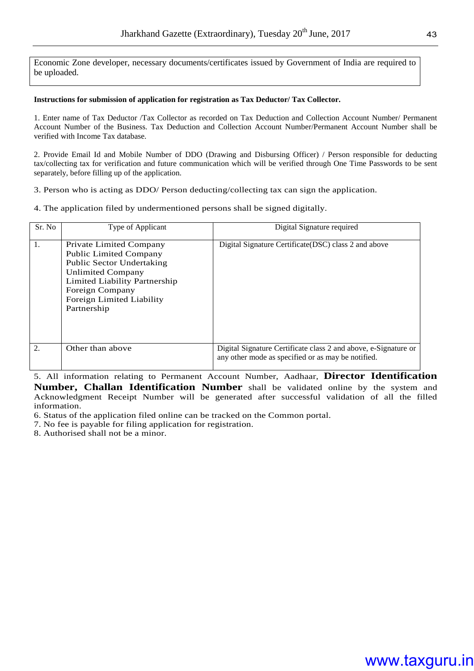Economic Zone developer, necessary documents/certificates issued by Government of India are required to be uploaded.

#### **Instructions for submission of application for registration as Tax Deductor/ Tax Collector.**

1. Enter name of Tax Deductor /Tax Collector as recorded on Tax Deduction and Collection Account Number/ Permanent Account Number of the Business. Tax Deduction and Collection Account Number/Permanent Account Number shall be verified with Income Tax database.

2. Provide Email Id and Mobile Number of DDO (Drawing and Disbursing Officer) / Person responsible for deducting tax/collecting tax for verification and future communication which will be verified through One Time Passwords to be sent separately, before filling up of the application.

3. Person who is acting as DDO/ Person deducting/collecting tax can sign the application.

4. The application filed by undermentioned persons shall be signed digitally.

| Sr. No | Type of Applicant                                                                                                                                                                                                        | Digital Signature required                                                                                            |
|--------|--------------------------------------------------------------------------------------------------------------------------------------------------------------------------------------------------------------------------|-----------------------------------------------------------------------------------------------------------------------|
| 1.     | Private Limited Company<br><b>Public Limited Company</b><br><b>Public Sector Undertaking</b><br><b>Unlimited Company</b><br>Limited Liability Partnership<br>Foreign Company<br>Foreign Limited Liability<br>Partnership | Digital Signature Certificate (DSC) class 2 and above                                                                 |
| 2.     | Other than above                                                                                                                                                                                                         | Digital Signature Certificate class 2 and above, e-Signature or<br>any other mode as specified or as may be notified. |

5. All information relating to Permanent Account Number, Aadhaar, **Director Identification Number, Challan Identification Number** shall be validated online by the system and Acknowledgment Receipt Number will be generated after successful validation of all the filled information.

6. Status of the application filed online can be tracked on the Common portal.

7. No fee is payable for filing application for registration.

8. Authorised shall not be a minor.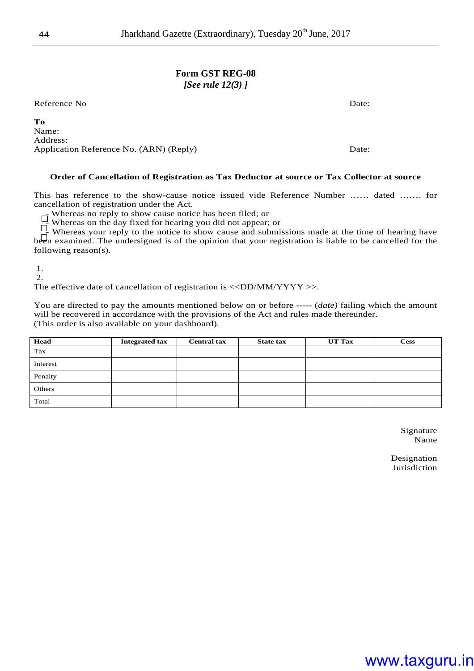#### **Form GST REG-08**  *[See rule 12(3) ]*

Reference No Date:

**To**  Name: Address: Application Reference No. (ARN) (Reply) Date:

#### **Order of Cancellation of Registration as Tax Deductor at source or Tax Collector at source**

This has reference to the show-cause notice issued vide Reference Number …… dated ……. for cancellation of registration under the Act.

 $\overline{\Box}$  Whereas no reply to show cause notice has been filed; or

Whereas on the day fixed for hearing you did not appear; or

Whereas your reply to the notice to show cause and submissions made at the time of hearing have been examined. The undersigned is of the opinion that your registration is liable to be cancelled for the following reason(s).

1.

2.

The effective date of cancellation of registration is  $\langle \langle D D/M M/YYY \rangle \rangle$ .

You are directed to pay the amounts mentioned below on or before ----- (*date*) failing which the amount will be recovered in accordance with the provisions of the Act and rules made thereunder. (This order is also available on your dashboard).

| Head     | <b>Integrated tax</b> | <b>Central tax</b> | <b>State tax</b> | <b>UT Tax</b> | <b>Cess</b> |
|----------|-----------------------|--------------------|------------------|---------------|-------------|
|          |                       |                    |                  |               |             |
| Tax      |                       |                    |                  |               |             |
| Interest |                       |                    |                  |               |             |
| Penalty  |                       |                    |                  |               |             |
| Others   |                       |                    |                  |               |             |
| Total    |                       |                    |                  |               |             |

 Signature Name

Designation Jurisdiction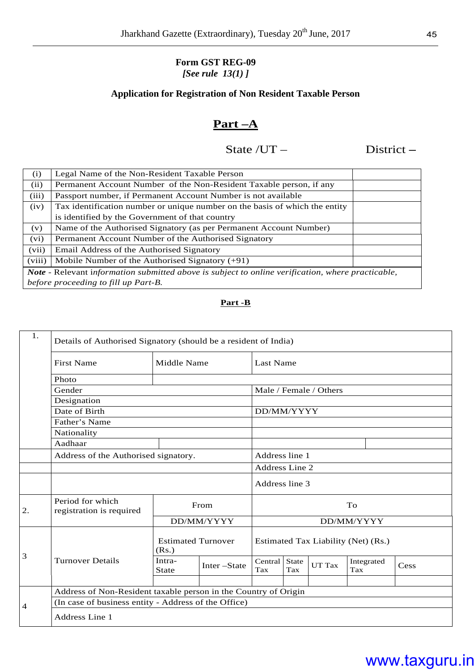#### **Form GST REG-09**  *[See rule 13(1) ]*

#### **Application for Registration of Non Resident Taxable Person**

#### **Part –A**

### State /UT – **District** –

| (i)    | Legal Name of the Non-Resident Taxable Person                                                            |  |
|--------|----------------------------------------------------------------------------------------------------------|--|
| (ii)   | Permanent Account Number of the Non-Resident Taxable person, if any                                      |  |
| (iii)  | Passport number, if Permanent Account Number is not available                                            |  |
| (iv)   | Tax identification number or unique number on the basis of which the entity                              |  |
|        | is identified by the Government of that country                                                          |  |
| (v)    | Name of the Authorised Signatory (as per Permanent Account Number)                                       |  |
| (vi)   | Permanent Account Number of the Authorised Signatory                                                     |  |
| (vii)  | Email Address of the Authorised Signatory                                                                |  |
| (viii) | Mobile Number of the Authorised Signatory $(+91)$                                                        |  |
|        | <b>Note</b> - Relevant information submitted above is subject to online verification, where practicable, |  |
|        | before proceeding to fill up Part-B.                                                                     |  |

#### **Part -B**

| 1.          |                                                                 | Details of Authorised Signatory (should be a resident of India) |             |                                     |                     |                        |                   |      |
|-------------|-----------------------------------------------------------------|-----------------------------------------------------------------|-------------|-------------------------------------|---------------------|------------------------|-------------------|------|
|             | <b>First Name</b>                                               | Middle Name                                                     |             |                                     | <b>Last Name</b>    |                        |                   |      |
|             | Photo                                                           |                                                                 |             |                                     |                     |                        |                   |      |
|             | Gender                                                          |                                                                 |             |                                     |                     | Male / Female / Others |                   |      |
|             | Designation                                                     |                                                                 |             |                                     |                     |                        |                   |      |
|             | Date of Birth                                                   |                                                                 |             | DD/MM/YYYY                          |                     |                        |                   |      |
|             | Father's Name                                                   |                                                                 |             |                                     |                     |                        |                   |      |
| Nationality |                                                                 |                                                                 |             |                                     |                     |                        |                   |      |
|             | Aadhaar                                                         |                                                                 |             |                                     |                     |                        |                   |      |
|             | Address of the Authorised signatory.                            |                                                                 |             | Address line 1                      |                     |                        |                   |      |
|             |                                                                 |                                                                 |             | Address Line 2                      |                     |                        |                   |      |
|             |                                                                 |                                                                 |             | Address line 3                      |                     |                        |                   |      |
| 2.          | Period for which<br>registration is required                    | From                                                            |             |                                     | To                  |                        |                   |      |
|             |                                                                 | DD/MM/YYYY                                                      |             | DD/MM/YYYY                          |                     |                        |                   |      |
|             |                                                                 | <b>Estimated Turnover</b><br>(Rs.)                              |             | Estimated Tax Liability (Net) (Rs.) |                     |                        |                   |      |
| 3           | <b>Turnover Details</b>                                         | Intra-<br><b>State</b>                                          | Inter-State | Central<br>Tax                      | <b>State</b><br>Tax | <b>UT Tax</b>          | Integrated<br>Tax | Cess |
|             |                                                                 |                                                                 |             |                                     |                     |                        |                   |      |
|             | Address of Non-Resident taxable person in the Country of Origin |                                                                 |             |                                     |                     |                        |                   |      |
| 4           | (In case of business entity - Address of the Office)            |                                                                 |             |                                     |                     |                        |                   |      |
|             | Address Line 1                                                  |                                                                 |             |                                     |                     |                        |                   |      |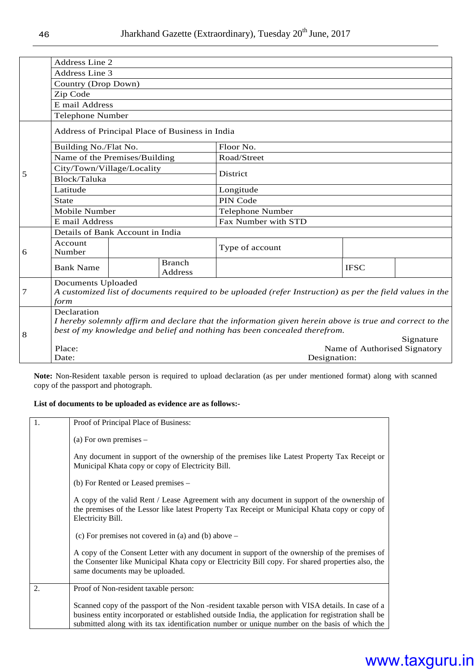|   | <b>Address Line 2</b>                                                                                                                          |  |                                 |                                                                                                         |                              |           |  |
|---|------------------------------------------------------------------------------------------------------------------------------------------------|--|---------------------------------|---------------------------------------------------------------------------------------------------------|------------------------------|-----------|--|
|   | <b>Address Line 3</b>                                                                                                                          |  |                                 |                                                                                                         |                              |           |  |
|   | Country (Drop Down)                                                                                                                            |  |                                 |                                                                                                         |                              |           |  |
|   | Zip Code                                                                                                                                       |  |                                 |                                                                                                         |                              |           |  |
|   | E mail Address                                                                                                                                 |  |                                 |                                                                                                         |                              |           |  |
|   | <b>Telephone Number</b>                                                                                                                        |  |                                 |                                                                                                         |                              |           |  |
|   | Address of Principal Place of Business in India                                                                                                |  |                                 |                                                                                                         |                              |           |  |
|   | Building No./Flat No.                                                                                                                          |  |                                 | Floor No.                                                                                               |                              |           |  |
|   | Name of the Premises/Building                                                                                                                  |  |                                 | Road/Street                                                                                             |                              |           |  |
|   | City/Town/Village/Locality                                                                                                                     |  |                                 |                                                                                                         |                              |           |  |
| 5 | Block/Taluka                                                                                                                                   |  |                                 | <b>District</b>                                                                                         |                              |           |  |
|   | Latitude                                                                                                                                       |  |                                 | Longitude                                                                                               |                              |           |  |
|   | <b>State</b>                                                                                                                                   |  |                                 | PIN Code                                                                                                |                              |           |  |
|   | Mobile Number                                                                                                                                  |  |                                 | Telephone Number                                                                                        |                              |           |  |
|   | E mail Address                                                                                                                                 |  |                                 | Fax Number with STD                                                                                     |                              |           |  |
|   | Details of Bank Account in India                                                                                                               |  |                                 |                                                                                                         |                              |           |  |
| 6 | Account<br>Number                                                                                                                              |  |                                 | Type of account                                                                                         |                              |           |  |
|   | <b>Bank Name</b>                                                                                                                               |  | <b>Branch</b><br><b>Address</b> |                                                                                                         | <b>IFSC</b>                  |           |  |
| 7 | <b>Documents Uploaded</b><br>A customized list of documents required to be uploaded (refer Instruction) as per the field values in the<br>form |  |                                 |                                                                                                         |                              |           |  |
|   | Declaration                                                                                                                                    |  |                                 |                                                                                                         |                              |           |  |
|   |                                                                                                                                                |  |                                 | I hereby solemnly affirm and declare that the information given herein above is true and correct to the |                              |           |  |
| 8 |                                                                                                                                                |  |                                 | best of my knowledge and belief and nothing has been concealed therefrom.                               |                              |           |  |
|   |                                                                                                                                                |  |                                 |                                                                                                         |                              | Signature |  |
|   | Place:<br>Date:                                                                                                                                |  |                                 | Designation:                                                                                            | Name of Authorised Signatory |           |  |
|   |                                                                                                                                                |  |                                 |                                                                                                         |                              |           |  |

**Note:** Non-Resident taxable person is required to upload declaration (as per under mentioned format) along with scanned copy of the passport and photograph.

#### **List of documents to be uploaded as evidence are as follows:-**

| 1. | Proof of Principal Place of Business:                                                                                                                                                                                                                                                                    |
|----|----------------------------------------------------------------------------------------------------------------------------------------------------------------------------------------------------------------------------------------------------------------------------------------------------------|
|    | (a) For own premises $-$                                                                                                                                                                                                                                                                                 |
|    | Any document in support of the ownership of the premises like Latest Property Tax Receipt or<br>Municipal Khata copy or copy of Electricity Bill.                                                                                                                                                        |
|    | (b) For Rented or Leased premises –                                                                                                                                                                                                                                                                      |
|    | A copy of the valid Rent / Lease Agreement with any document in support of the ownership of<br>the premises of the Lessor like latest Property Tax Receipt or Municipal Khata copy or copy of<br>Electricity Bill.                                                                                       |
|    | (c) For premises not covered in (a) and (b) above $-$                                                                                                                                                                                                                                                    |
|    | A copy of the Consent Letter with any document in support of the ownership of the premises of<br>the Consenter like Municipal Khata copy or Electricity Bill copy. For shared properties also, the<br>same documents may be uploaded.                                                                    |
| 2. | Proof of Non-resident taxable person:                                                                                                                                                                                                                                                                    |
|    | Scanned copy of the passport of the Non-resident taxable person with VISA details. In case of a<br>business entity incorporated or established outside India, the application for registration shall be<br>submitted along with its tax identification number or unique number on the basis of which the |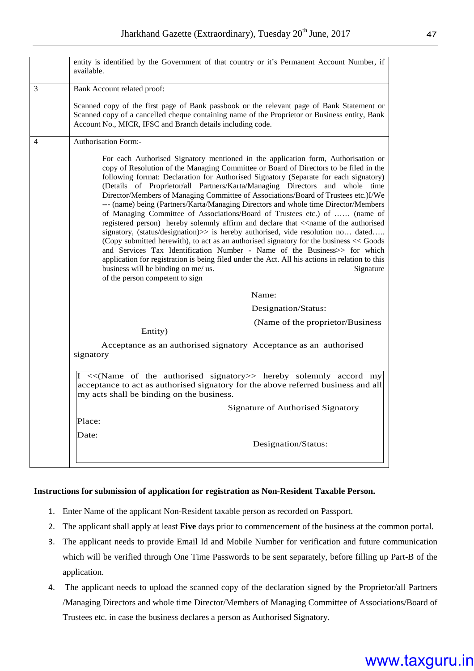|   | entity is identified by the Government of that country or it's Permanent Account Number, if<br>available.                                                                                                                                                                                                                                                                                                                                                                                                                                                                                                                                                                                                                                                                                                                                                                                                                                                                                                                                                                                                                                                                                        |
|---|--------------------------------------------------------------------------------------------------------------------------------------------------------------------------------------------------------------------------------------------------------------------------------------------------------------------------------------------------------------------------------------------------------------------------------------------------------------------------------------------------------------------------------------------------------------------------------------------------------------------------------------------------------------------------------------------------------------------------------------------------------------------------------------------------------------------------------------------------------------------------------------------------------------------------------------------------------------------------------------------------------------------------------------------------------------------------------------------------------------------------------------------------------------------------------------------------|
| 3 | Bank Account related proof:                                                                                                                                                                                                                                                                                                                                                                                                                                                                                                                                                                                                                                                                                                                                                                                                                                                                                                                                                                                                                                                                                                                                                                      |
|   | Scanned copy of the first page of Bank passbook or the relevant page of Bank Statement or<br>Scanned copy of a cancelled cheque containing name of the Proprietor or Business entity, Bank<br>Account No., MICR, IFSC and Branch details including code.                                                                                                                                                                                                                                                                                                                                                                                                                                                                                                                                                                                                                                                                                                                                                                                                                                                                                                                                         |
| 4 | Authorisation Form:-                                                                                                                                                                                                                                                                                                                                                                                                                                                                                                                                                                                                                                                                                                                                                                                                                                                                                                                                                                                                                                                                                                                                                                             |
|   | For each Authorised Signatory mentioned in the application form, Authorisation or<br>copy of Resolution of the Managing Committee or Board of Directors to be filed in the<br>following format: Declaration for Authorised Signatory (Separate for each signatory)<br>(Details of Proprietor/all Partners/Karta/Managing Directors and whole time<br>Director/Members of Managing Committee of Associations/Board of Trustees etc.)I/We<br>--- (name) being (Partners/Karta/Managing Directors and whole time Director/Members<br>of Managing Committee of Associations/Board of Trustees etc.) of  (name of<br>registered person) hereby solemnly affirm and declare that < <name authorised<br="" of="" the="">signatory, (status/designation)&gt;&gt; is hereby authorised, vide resolution no dated<br/>(Copy submitted herewith), to act as an authorised signatory for the business &lt;&lt; Goods<br/>and Services Tax Identification Number - Name of the Business&gt;&gt; for which<br/>application for registration is being filed under the Act. All his actions in relation to this<br/>business will be binding on me/ us.<br/>Signature<br/>of the person competent to sign</name> |
|   | Name:                                                                                                                                                                                                                                                                                                                                                                                                                                                                                                                                                                                                                                                                                                                                                                                                                                                                                                                                                                                                                                                                                                                                                                                            |
|   | Designation/Status:                                                                                                                                                                                                                                                                                                                                                                                                                                                                                                                                                                                                                                                                                                                                                                                                                                                                                                                                                                                                                                                                                                                                                                              |
|   | (Name of the proprietor/Business<br>Entity)                                                                                                                                                                                                                                                                                                                                                                                                                                                                                                                                                                                                                                                                                                                                                                                                                                                                                                                                                                                                                                                                                                                                                      |
|   | Acceptance as an authorised signatory Acceptance as an authorised<br>signatory                                                                                                                                                                                                                                                                                                                                                                                                                                                                                                                                                                                                                                                                                                                                                                                                                                                                                                                                                                                                                                                                                                                   |
|   | I << (Name of the authorised signatory >> hereby solemnly accord my<br>acceptance to act as authorised signatory for the above referred business and all<br>my acts shall be binding on the business.                                                                                                                                                                                                                                                                                                                                                                                                                                                                                                                                                                                                                                                                                                                                                                                                                                                                                                                                                                                            |
|   | Signature of Authorised Signatory                                                                                                                                                                                                                                                                                                                                                                                                                                                                                                                                                                                                                                                                                                                                                                                                                                                                                                                                                                                                                                                                                                                                                                |
|   | Place:                                                                                                                                                                                                                                                                                                                                                                                                                                                                                                                                                                                                                                                                                                                                                                                                                                                                                                                                                                                                                                                                                                                                                                                           |
|   | Date:<br>Designation/Status:                                                                                                                                                                                                                                                                                                                                                                                                                                                                                                                                                                                                                                                                                                                                                                                                                                                                                                                                                                                                                                                                                                                                                                     |

#### **Instructions for submission of application for registration as Non-Resident Taxable Person.**

- 1. Enter Name of the applicant Non-Resident taxable person as recorded on Passport.
- 2. The applicant shall apply at least **Five** days prior to commencement of the business at the common portal.
- 3. The applicant needs to provide Email Id and Mobile Number for verification and future communication which will be verified through One Time Passwords to be sent separately, before filling up Part-B of the application.
- 4. The applicant needs to upload the scanned copy of the declaration signed by the Proprietor/all Partners /Managing Directors and whole time Director/Members of Managing Committee of Associations/Board of Trustees etc. in case the business declares a person as Authorised Signatory.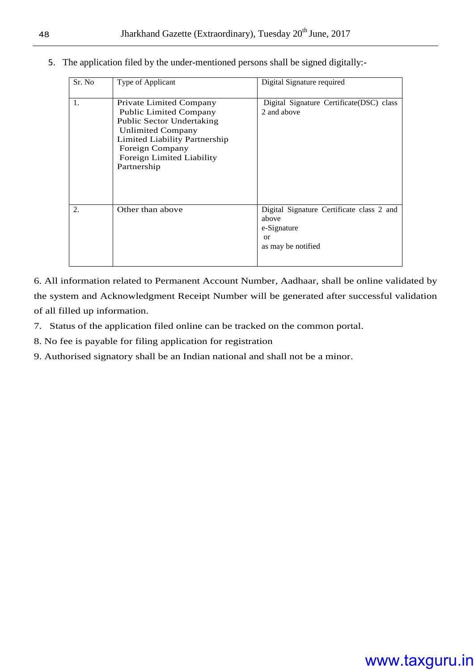5. The application filed by the under-mentioned persons shall be signed digitally:-

| Sr. No         | Type of Applicant                                                                                                                                                                                                 | Digital Signature required                                                                    |  |  |
|----------------|-------------------------------------------------------------------------------------------------------------------------------------------------------------------------------------------------------------------|-----------------------------------------------------------------------------------------------|--|--|
| 1.             | Private Limited Company<br><b>Public Limited Company</b><br><b>Public Sector Undertaking</b><br>Unlimited Company<br>Limited Liability Partnership<br>Foreign Company<br>Foreign Limited Liability<br>Partnership | Digital Signature Certificate (DSC) class<br>2 and above                                      |  |  |
| $\mathfrak{D}$ | Other than above                                                                                                                                                                                                  | Digital Signature Certificate class 2 and<br>above<br>e-Signature<br>or<br>as may be notified |  |  |

6. All information related to Permanent Account Number, Aadhaar, shall be online validated by the system and Acknowledgment Receipt Number will be generated after successful validation of all filled up information.

- 7. Status of the application filed online can be tracked on the common portal.
- 8. No fee is payable for filing application for registration
- 9. Authorised signatory shall be an Indian national and shall not be a minor.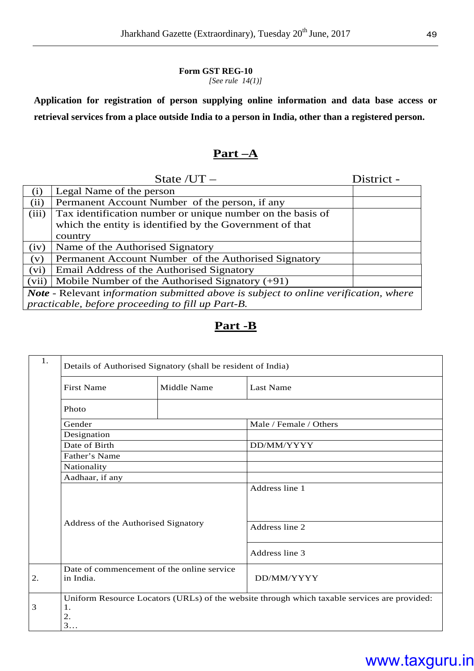#### **Form GST REG-10**  *[See rule 14(1)]*

**Application for registration of person supplying online information and data base access or retrieval services from a place outside India to a person in India, other than a registered person.** 

### **Part –A**

|                                                                                             | State $/UT -$                                              | District - |  |  |
|---------------------------------------------------------------------------------------------|------------------------------------------------------------|------------|--|--|
| (i)                                                                                         | Legal Name of the person                                   |            |  |  |
| (ii)                                                                                        | Permanent Account Number of the person, if any             |            |  |  |
| (iii)                                                                                       | Tax identification number or unique number on the basis of |            |  |  |
|                                                                                             | which the entity is identified by the Government of that   |            |  |  |
|                                                                                             | country                                                    |            |  |  |
| (iv)                                                                                        | Name of the Authorised Signatory                           |            |  |  |
| (v)                                                                                         | Permanent Account Number of the Authorised Signatory       |            |  |  |
| (vi)                                                                                        | Email Address of the Authorised Signatory                  |            |  |  |
| (vii)                                                                                       | Mobile Number of the Authorised Signatory $(+91)$          |            |  |  |
| <b>Note</b> - Relevant information submitted above is subject to online verification, where |                                                            |            |  |  |
|                                                                                             | practicable, before proceeding to fill up Part-B.          |            |  |  |

#### **Part -B**

| 1. | Details of Authorised Signatory (shall be resident of India) |             |                                                                                              |  |  |  |  |
|----|--------------------------------------------------------------|-------------|----------------------------------------------------------------------------------------------|--|--|--|--|
|    | <b>First Name</b>                                            | Middle Name | <b>Last Name</b>                                                                             |  |  |  |  |
|    | Photo                                                        |             |                                                                                              |  |  |  |  |
|    | Gender                                                       |             | Male / Female / Others                                                                       |  |  |  |  |
|    | Designation                                                  |             |                                                                                              |  |  |  |  |
|    | Date of Birth                                                |             | DD/MM/YYYY                                                                                   |  |  |  |  |
|    | Father's Name                                                |             |                                                                                              |  |  |  |  |
|    | Nationality                                                  |             |                                                                                              |  |  |  |  |
|    | Aadhaar, if any                                              |             |                                                                                              |  |  |  |  |
|    | Address of the Authorised Signatory                          |             | Address line 1<br>Address line 2                                                             |  |  |  |  |
|    |                                                              |             | Address line 3                                                                               |  |  |  |  |
| 2. | Date of commencement of the online service<br>in India.      |             | DD/MM/YYYY                                                                                   |  |  |  |  |
| 3  | 1.<br>2.<br>3                                                |             | Uniform Resource Locators (URLs) of the website through which taxable services are provided: |  |  |  |  |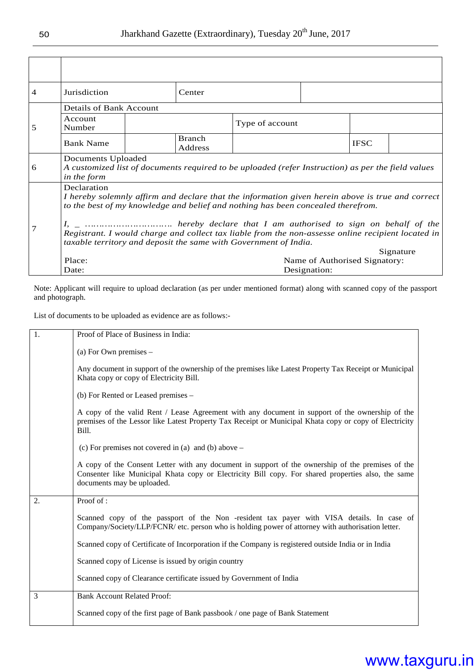| 4 | Jurisdiction                                                                                                                                                           |  | Center                   |                                                                                                    |                                               |             |           |
|---|------------------------------------------------------------------------------------------------------------------------------------------------------------------------|--|--------------------------|----------------------------------------------------------------------------------------------------|-----------------------------------------------|-------------|-----------|
|   | Details of Bank Account                                                                                                                                                |  |                          |                                                                                                    |                                               |             |           |
| 5 | Account<br>Number                                                                                                                                                      |  |                          | Type of account                                                                                    |                                               |             |           |
|   | <b>Bank Name</b>                                                                                                                                                       |  | <b>Branch</b><br>Address |                                                                                                    |                                               | <b>IFSC</b> |           |
| 6 | Documents Uploaded                                                                                                                                                     |  |                          | A customized list of documents required to be uploaded (refer Instruction) as per the field values |                                               |             |           |
|   | in the form                                                                                                                                                            |  |                          |                                                                                                    |                                               |             |           |
|   | Declaration                                                                                                                                                            |  |                          |                                                                                                    |                                               |             |           |
|   | I hereby solemnly affirm and declare that the information given herein above is true and correct                                                                       |  |                          |                                                                                                    |                                               |             |           |
|   | to the best of my knowledge and belief and nothing has been concealed therefrom.                                                                                       |  |                          |                                                                                                    |                                               |             |           |
|   | Registrant. I would charge and collect tax liable from the non-assesse online recipient located in<br>taxable territory and deposit the same with Government of India. |  |                          |                                                                                                    |                                               |             |           |
|   |                                                                                                                                                                        |  |                          |                                                                                                    |                                               |             | Signature |
|   | Place:<br>Date:                                                                                                                                                        |  |                          |                                                                                                    | Name of Authorised Signatory:<br>Designation: |             |           |
|   |                                                                                                                                                                        |  |                          |                                                                                                    |                                               |             |           |

Note: Applicant will require to upload declaration (as per under mentioned format) along with scanned copy of the passport and photograph.

List of documents to be uploaded as evidence are as follows:-

| $\overline{1}$ . | Proof of Place of Business in India:                                                                                                                                                                                                  |
|------------------|---------------------------------------------------------------------------------------------------------------------------------------------------------------------------------------------------------------------------------------|
|                  | (a) For Own premises $-$                                                                                                                                                                                                              |
|                  | Any document in support of the ownership of the premises like Latest Property Tax Receipt or Municipal<br>Khata copy or copy of Electricity Bill.                                                                                     |
|                  | (b) For Rented or Leased premises –                                                                                                                                                                                                   |
|                  | A copy of the valid Rent / Lease Agreement with any document in support of the ownership of the<br>premises of the Lessor like Latest Property Tax Receipt or Municipal Khata copy or copy of Electricity<br>Bill.                    |
|                  | (c) For premises not covered in (a) and (b) above $-$                                                                                                                                                                                 |
|                  | A copy of the Consent Letter with any document in support of the ownership of the premises of the<br>Consenter like Municipal Khata copy or Electricity Bill copy. For shared properties also, the same<br>documents may be uploaded. |
| 2.               | Proof of:                                                                                                                                                                                                                             |
|                  | Scanned copy of the passport of the Non -resident tax payer with VISA details. In case of<br>Company/Society/LLP/FCNR/ etc. person who is holding power of attorney with authorisation letter.                                        |
|                  | Scanned copy of Certificate of Incorporation if the Company is registered outside India or in India                                                                                                                                   |
|                  | Scanned copy of License is issued by origin country                                                                                                                                                                                   |
|                  | Scanned copy of Clearance certificate issued by Government of India                                                                                                                                                                   |
| 3                | <b>Bank Account Related Proof:</b>                                                                                                                                                                                                    |
|                  | Scanned copy of the first page of Bank passbook / one page of Bank Statement                                                                                                                                                          |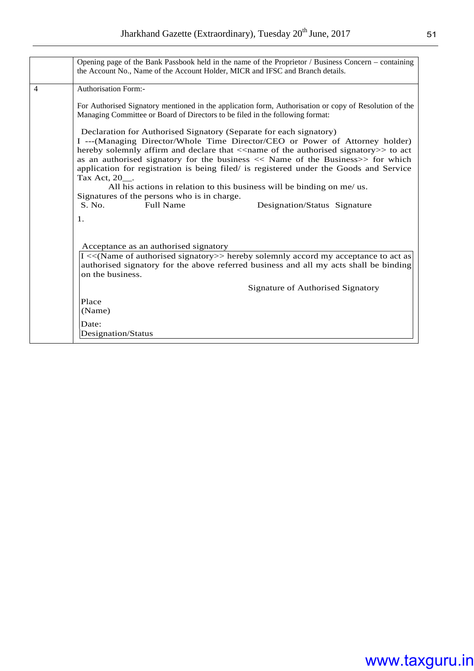|   | Opening page of the Bank Passbook held in the name of the Proprietor / Business Concern – containing<br>the Account No., Name of the Account Holder, MICR and IFSC and Branch details.                                                                                                                                                                                                                                                                                                                                                                                                                                   |  |  |  |  |  |
|---|--------------------------------------------------------------------------------------------------------------------------------------------------------------------------------------------------------------------------------------------------------------------------------------------------------------------------------------------------------------------------------------------------------------------------------------------------------------------------------------------------------------------------------------------------------------------------------------------------------------------------|--|--|--|--|--|
| 4 | <b>Authorisation Form:-</b>                                                                                                                                                                                                                                                                                                                                                                                                                                                                                                                                                                                              |  |  |  |  |  |
|   | For Authorised Signatory mentioned in the application form, Authorisation or copy of Resolution of the<br>Managing Committee or Board of Directors to be filed in the following format:                                                                                                                                                                                                                                                                                                                                                                                                                                  |  |  |  |  |  |
|   | Declaration for Authorised Signatory (Separate for each signatory)<br>I ---(Managing Director/Whole Time Director/CEO or Power of Attorney holder)<br>hereby solemnly affirm and declare that < <name authorised="" of="" signatory="" the="">&gt; to act<br/>as an authorised signatory for the business <math>\ll</math> Name of the Business<math>\gg</math> for which<br/>application for registration is being filed/ is registered under the Goods and Service<br/>Tax Act, 20.<br/>All his actions in relation to this business will be binding on me/ us.<br/>Signatures of the persons who is in charge.</name> |  |  |  |  |  |
|   | S. No.<br><b>Full Name</b><br>Designation/Status Signature                                                                                                                                                                                                                                                                                                                                                                                                                                                                                                                                                               |  |  |  |  |  |
|   | $\mathbf{1}$ .                                                                                                                                                                                                                                                                                                                                                                                                                                                                                                                                                                                                           |  |  |  |  |  |
|   | Acceptance as an authorised signatory<br>I << (Name of authorised signatory>> hereby solemnly accord my acceptance to act as<br>authorised signatory for the above referred business and all my acts shall be binding<br>on the business.                                                                                                                                                                                                                                                                                                                                                                                |  |  |  |  |  |
|   | Signature of Authorised Signatory                                                                                                                                                                                                                                                                                                                                                                                                                                                                                                                                                                                        |  |  |  |  |  |
|   | Place<br>(Name)                                                                                                                                                                                                                                                                                                                                                                                                                                                                                                                                                                                                          |  |  |  |  |  |
|   | Date:<br>Designation/Status                                                                                                                                                                                                                                                                                                                                                                                                                                                                                                                                                                                              |  |  |  |  |  |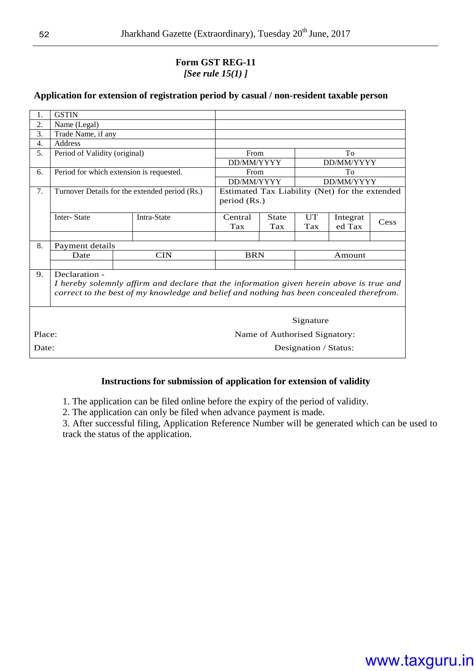#### **Form GST REG-11**  *[See rule 15(1) ]*

#### **Application for extension of registration period by casual / non-resident taxable person**

| 1.     | <b>GSTIN</b>                             |                                                                                          |              |                               |                       |                                                |      |
|--------|------------------------------------------|------------------------------------------------------------------------------------------|--------------|-------------------------------|-----------------------|------------------------------------------------|------|
| 2.     | Name (Legal)                             |                                                                                          |              |                               |                       |                                                |      |
| 3.     | Trade Name, if any                       |                                                                                          |              |                               |                       |                                                |      |
| 4.     | <b>Address</b>                           |                                                                                          |              |                               |                       |                                                |      |
| 5.     | Period of Validity (original)            |                                                                                          | From         |                               | To                    |                                                |      |
|        |                                          |                                                                                          | DD/MM/YYYY   |                               |                       | DD/MM/YYYY                                     |      |
| 6.     | Period for which extension is requested. |                                                                                          | From         |                               |                       | To                                             |      |
|        |                                          |                                                                                          | DD/MM/YYYY   |                               |                       | DD/MM/YYYY                                     |      |
| 7.     |                                          | Turnover Details for the extended period (Rs.)                                           |              |                               |                       | Estimated Tax Liability (Net) for the extended |      |
|        |                                          |                                                                                          | period (Rs.) |                               |                       |                                                |      |
|        | <b>Inter-State</b>                       | Intra-State                                                                              | Central      | <b>State</b>                  | UT                    | Integrat                                       |      |
|        |                                          |                                                                                          | Tax          | <b>Tax</b>                    | Tax                   | ed Tax                                         | Cess |
|        |                                          |                                                                                          |              |                               |                       |                                                |      |
| 8.     | Payment details                          |                                                                                          |              |                               |                       |                                                |      |
|        | Date                                     | <b>CIN</b>                                                                               | <b>BRN</b>   |                               | Amount                |                                                |      |
|        |                                          |                                                                                          |              |                               |                       |                                                |      |
| 9.     | Declaration -                            |                                                                                          |              |                               |                       |                                                |      |
|        |                                          | I hereby solemnly affirm and declare that the information given herein above is true and |              |                               |                       |                                                |      |
|        |                                          | correct to the best of my knowledge and belief and nothing has been concealed therefrom. |              |                               |                       |                                                |      |
|        |                                          |                                                                                          |              |                               |                       |                                                |      |
|        |                                          |                                                                                          |              |                               |                       |                                                |      |
|        |                                          |                                                                                          |              |                               | Signature             |                                                |      |
| Place: |                                          |                                                                                          |              | Name of Authorised Signatory: |                       |                                                |      |
| Date:  |                                          |                                                                                          |              |                               | Designation / Status: |                                                |      |

#### **Instructions for submission of application for extension of validity**

1. The application can be filed online before the expiry of the period of validity.

2. The application can only be filed when advance payment is made.

3. After successful filing, Application Reference Number will be generated which can be used to track the status of the application.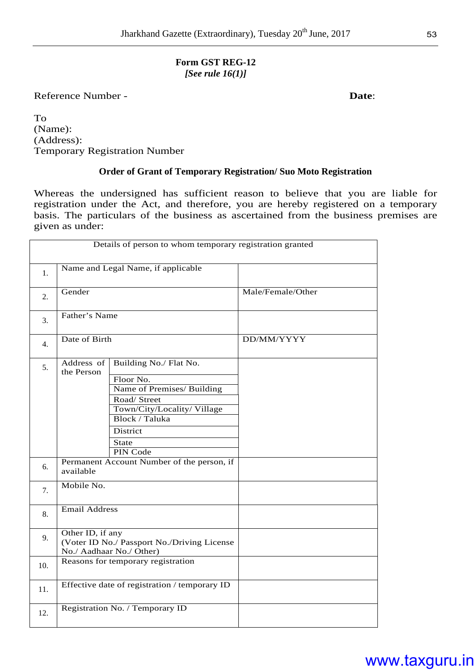#### **Form GST REG-12**  *[See rule 16(1)]*

Reference Number - **Date**:

To (Name): (Address): Temporary Registration Number

#### **Order of Grant of Temporary Registration/ Suo Moto Registration**

Whereas the undersigned has sufficient reason to believe that you are liable for registration under the Act, and therefore, you are hereby registered on a temporary basis. The particulars of the business as ascertained from the business premises are given as under:

|                | Details of person to whom temporary registration granted |                                                                                                                                                                                                                        |                   |  |  |  |
|----------------|----------------------------------------------------------|------------------------------------------------------------------------------------------------------------------------------------------------------------------------------------------------------------------------|-------------------|--|--|--|
| 1.             |                                                          | Name and Legal Name, if applicable                                                                                                                                                                                     |                   |  |  |  |
| 2.             | Gender                                                   |                                                                                                                                                                                                                        | Male/Female/Other |  |  |  |
| 3.             | Father's Name                                            |                                                                                                                                                                                                                        |                   |  |  |  |
| 4.             | Date of Birth                                            |                                                                                                                                                                                                                        | DD/MM/YYYY        |  |  |  |
| 5.<br>6.<br>7. | Address of<br>the Person<br>available<br>Mobile No.      | Building No./ Flat No.<br>Floor No.<br>Name of Premises/ Building<br>Road/Street<br>Town/City/Locality/Village<br>Block / Taluka<br>District<br><b>State</b><br>PIN Code<br>Permanent Account Number of the person, if |                   |  |  |  |
| 8.             | <b>Email Address</b>                                     |                                                                                                                                                                                                                        |                   |  |  |  |
| 9.             | Other ID, if any                                         | (Voter ID No./ Passport No./Driving License<br>No./ Aadhaar No./ Other)                                                                                                                                                |                   |  |  |  |
| 10.            |                                                          | Reasons for temporary registration                                                                                                                                                                                     |                   |  |  |  |
| 11.            |                                                          | Effective date of registration / temporary ID                                                                                                                                                                          |                   |  |  |  |
| 12.            |                                                          | Registration No. / Temporary ID                                                                                                                                                                                        |                   |  |  |  |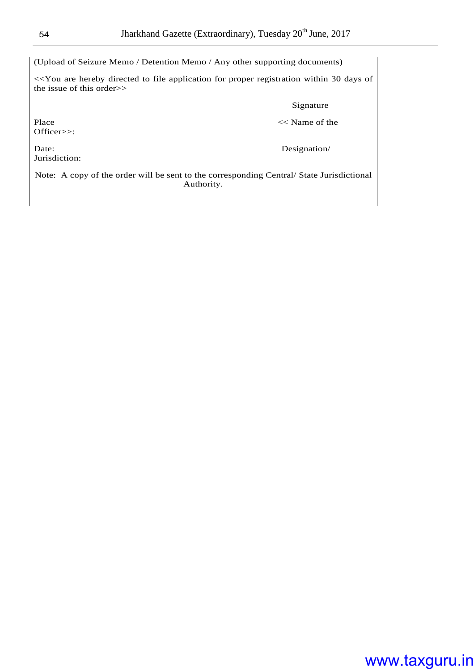| (Upload of Seizure Memo / Detention Memo / Any other supporting documents)                                                                                                       |  |  |  |  |  |
|----------------------------------------------------------------------------------------------------------------------------------------------------------------------------------|--|--|--|--|--|
| < <you 30="" application="" are="" days="" directed="" file="" for="" hereby="" of<br="" proper="" registration="" to="" within="">the issue of this order<math>\gg</math></you> |  |  |  |  |  |
| Signature                                                                                                                                                                        |  |  |  |  |  |
| $<<$ Name of the<br>Place<br>Officer>>:                                                                                                                                          |  |  |  |  |  |
| Designation/<br>Date:<br>Jurisdiction:                                                                                                                                           |  |  |  |  |  |
| Note: A copy of the order will be sent to the corresponding Central/State Jurisdictional<br>Authority.                                                                           |  |  |  |  |  |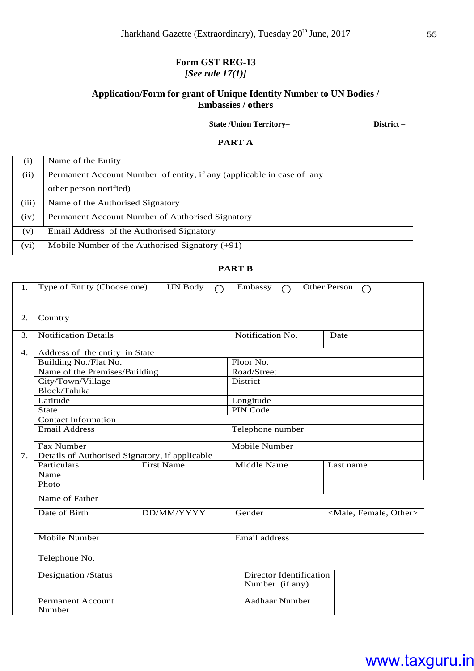#### **Form GST REG-13**  *[See rule 17(1)]*

#### **Application/Form for grant of Unique Identity Number to UN Bodies / Embassies / others**

 **State /Union Territory– District –** 

**PART A** 

| (i)   | Name of the Entity                                                    |  |  |  |
|-------|-----------------------------------------------------------------------|--|--|--|
| (ii)  | Permanent Account Number of entity, if any (applicable in case of any |  |  |  |
|       | other person notified)                                                |  |  |  |
| (iii) | Name of the Authorised Signatory                                      |  |  |  |
| (iv)  | Permanent Account Number of Authorised Signatory                      |  |  |  |
| (v)   | Email Address of the Authorised Signatory                             |  |  |  |
| (vi)  | Mobile Number of the Authorised Signatory $(+91)$                     |  |  |  |

#### **PART B**

| 1.               | Type of Entity (Choose one)                    | <b>UN Body</b>    | Embassy                                    | Other Person<br>∩                   |
|------------------|------------------------------------------------|-------------------|--------------------------------------------|-------------------------------------|
| 2.               | Country                                        |                   |                                            |                                     |
| 3.               | <b>Notification Details</b>                    |                   | Notification No.                           | Date                                |
| $\overline{4}$ . | Address of the entity in State                 |                   |                                            |                                     |
|                  | Building No./Flat No.                          |                   | Floor No.                                  |                                     |
|                  | Name of the Premises/Building                  |                   | Road/Street                                |                                     |
|                  | City/Town/Village                              |                   | District                                   |                                     |
|                  | Block/Taluka                                   |                   |                                            |                                     |
|                  | Latitude                                       |                   | Longitude                                  |                                     |
|                  | <b>State</b>                                   |                   | PIN Code                                   |                                     |
|                  | <b>Contact Information</b>                     |                   |                                            |                                     |
|                  | <b>Email Address</b>                           |                   | Telephone number                           |                                     |
|                  | Fax Number                                     |                   | Mobile Number                              |                                     |
| 7.               | Details of Authorised Signatory, if applicable |                   |                                            |                                     |
|                  | Particulars                                    | <b>First Name</b> | Middle Name                                | Last name                           |
|                  | Name                                           |                   |                                            |                                     |
|                  | Photo                                          |                   |                                            |                                     |
|                  | Name of Father                                 |                   |                                            |                                     |
|                  | Date of Birth                                  | DD/MM/YYYY        | Gender                                     | <male, female,="" other=""></male,> |
|                  | <b>Mobile Number</b>                           |                   | Email address                              |                                     |
|                  | Telephone No.                                  |                   |                                            |                                     |
|                  | Designation /Status                            |                   | Director Identification<br>Number (if any) |                                     |
|                  | <b>Permanent Account</b><br>Number             |                   | <b>Aadhaar Number</b>                      |                                     |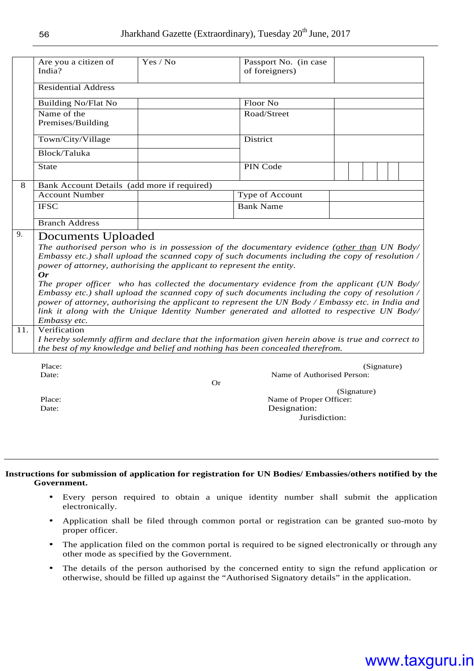|     | Are you a citizen of<br>India?                                                                                                                          | Yes / No | Passport No. (in case<br>of foreigners)                                                                                                                                                                                                                                                                                                                                                                                                                                                                                                                                                               |             |
|-----|---------------------------------------------------------------------------------------------------------------------------------------------------------|----------|-------------------------------------------------------------------------------------------------------------------------------------------------------------------------------------------------------------------------------------------------------------------------------------------------------------------------------------------------------------------------------------------------------------------------------------------------------------------------------------------------------------------------------------------------------------------------------------------------------|-------------|
|     | <b>Residential Address</b>                                                                                                                              |          |                                                                                                                                                                                                                                                                                                                                                                                                                                                                                                                                                                                                       |             |
|     | <b>Building No/Flat No</b>                                                                                                                              |          | Floor No                                                                                                                                                                                                                                                                                                                                                                                                                                                                                                                                                                                              |             |
|     | Name of the<br>Premises/Building                                                                                                                        |          | Road/Street                                                                                                                                                                                                                                                                                                                                                                                                                                                                                                                                                                                           |             |
|     | Town/City/Village                                                                                                                                       |          | District                                                                                                                                                                                                                                                                                                                                                                                                                                                                                                                                                                                              |             |
|     | Block/Taluka                                                                                                                                            |          |                                                                                                                                                                                                                                                                                                                                                                                                                                                                                                                                                                                                       |             |
|     | <b>State</b>                                                                                                                                            |          | PIN Code                                                                                                                                                                                                                                                                                                                                                                                                                                                                                                                                                                                              |             |
| 8   | Bank Account Details (add more if required)                                                                                                             |          |                                                                                                                                                                                                                                                                                                                                                                                                                                                                                                                                                                                                       |             |
|     | <b>Account Number</b>                                                                                                                                   |          | Type of Account                                                                                                                                                                                                                                                                                                                                                                                                                                                                                                                                                                                       |             |
|     | <b>IFSC</b>                                                                                                                                             |          | <b>Bank Name</b>                                                                                                                                                                                                                                                                                                                                                                                                                                                                                                                                                                                      |             |
|     | <b>Branch Address</b>                                                                                                                                   |          |                                                                                                                                                                                                                                                                                                                                                                                                                                                                                                                                                                                                       |             |
| 11. | <b>Documents Uploaded</b><br>power of attorney, authorising the applicant to represent the entity.<br>$\boldsymbol{0r}$<br>Embassy etc.<br>Verification |          | The authorised person who is in possession of the documentary evidence (other than UN Body/<br>Embassy etc.) shall upload the scanned copy of such documents including the copy of resolution /<br>The proper officer who has collected the documentary evidence from the applicant (UN Body/<br>Embassy etc.) shall upload the scanned copy of such documents including the copy of resolution /<br>power of attorney, authorising the applicant to represent the UN Body / Embassy etc. in India and<br>link it along with the Unique Identity Number generated and allotted to respective UN Body/ |             |
|     |                                                                                                                                                         |          | I hereby solemnly affirm and declare that the information given herein above is true and correct to<br>the best of my knowledge and belief and nothing has been concealed therefrom.                                                                                                                                                                                                                                                                                                                                                                                                                  |             |
|     | Place:<br>Date:                                                                                                                                         |          | Name of Authorised Person:<br><b>Or</b>                                                                                                                                                                                                                                                                                                                                                                                                                                                                                                                                                               | (Signature) |
|     | Place:                                                                                                                                                  |          | Name of Proper Officer:                                                                                                                                                                                                                                                                                                                                                                                                                                                                                                                                                                               | (Signature) |
|     | Date:                                                                                                                                                   |          | Designation:                                                                                                                                                                                                                                                                                                                                                                                                                                                                                                                                                                                          |             |
|     |                                                                                                                                                         |          | Jurisdiction:                                                                                                                                                                                                                                                                                                                                                                                                                                                                                                                                                                                         |             |

#### **Instructions for submission of application for registration for UN Bodies/ Embassies/others notified by the Government.**

- Every person required to obtain a unique identity number shall submit the application electronically.
- Application shall be filed through common portal or registration can be granted suo-moto by proper officer.
- The application filed on the common portal is required to be signed electronically or through any other mode as specified by the Government.
- The details of the person authorised by the concerned entity to sign the refund application or otherwise, should be filled up against the "Authorised Signatory details" in the application.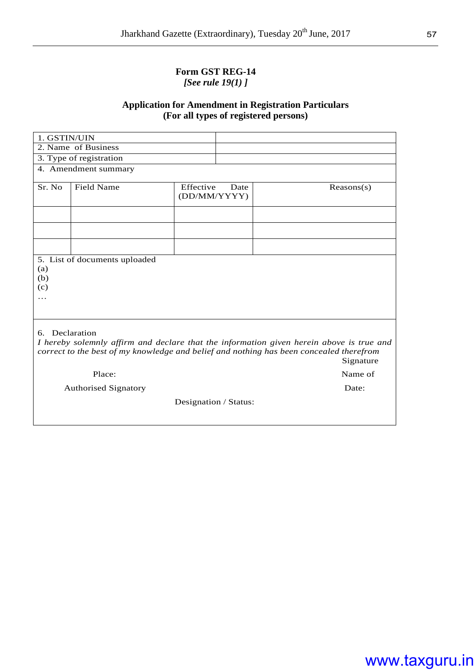#### **Form GST REG-14**  *[See rule 19(1) ]*

#### **Application for Amendment in Registration Particulars (For all types of registered persons)**

| 1. GSTIN/UIN |                                                                                                                                                                                                    |                           |      |            |
|--------------|----------------------------------------------------------------------------------------------------------------------------------------------------------------------------------------------------|---------------------------|------|------------|
|              | 2. Name of Business                                                                                                                                                                                |                           |      |            |
|              | 3. Type of registration                                                                                                                                                                            |                           |      |            |
|              | 4. Amendment summary                                                                                                                                                                               |                           |      |            |
| Sr. No       | <b>Field Name</b>                                                                                                                                                                                  | Effective<br>(DD/MM/YYYY) | Date | Reasons(s) |
|              |                                                                                                                                                                                                    |                           |      |            |
|              |                                                                                                                                                                                                    |                           |      |            |
|              |                                                                                                                                                                                                    |                           |      |            |
| .            |                                                                                                                                                                                                    |                           |      |            |
| 6.           | Declaration<br>I hereby solemnly affirm and declare that the information given herein above is true and<br>correct to the best of my knowledge and belief and nothing has been concealed therefrom |                           |      | Signature  |
|              | Place:                                                                                                                                                                                             |                           |      | Name of    |
|              | <b>Authorised Signatory</b>                                                                                                                                                                        |                           |      | Date:      |
|              |                                                                                                                                                                                                    | Designation / Status:     |      |            |
|              |                                                                                                                                                                                                    |                           |      |            |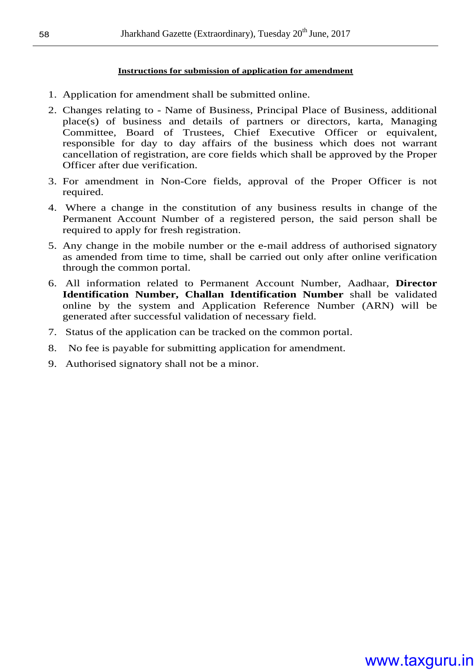#### **Instructions for submission of application for amendment**

- 1. Application for amendment shall be submitted online.
- 2. Changes relating to Name of Business, Principal Place of Business, additional place(s) of business and details of partners or directors, karta, Managing Committee, Board of Trustees, Chief Executive Officer or equivalent, responsible for day to day affairs of the business which does not warrant cancellation of registration, are core fields which shall be approved by the Proper Officer after due verification.
- 3. For amendment in Non-Core fields, approval of the Proper Officer is not required.
- 4. Where a change in the constitution of any business results in change of the Permanent Account Number of a registered person, the said person shall be required to apply for fresh registration.
- 5. Any change in the mobile number or the e-mail address of authorised signatory as amended from time to time, shall be carried out only after online verification through the common portal.
- 6. All information related to Permanent Account Number, Aadhaar, **Director Identification Number, Challan Identification Number** shall be validated online by the system and Application Reference Number (ARN) will be generated after successful validation of necessary field.
- 7. Status of the application can be tracked on the common portal.
- 8. No fee is payable for submitting application for amendment.
- 9. Authorised signatory shall not be a minor.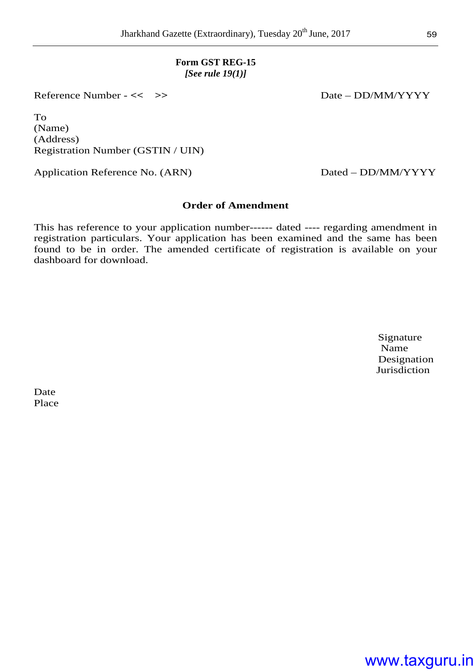#### **Form GST REG-15**  *[See rule 19(1)]*

Reference Number - << >> >> Date – DD/MM/YYYY

To (Name) (Address) Registration Number (GSTIN / UIN)

Application Reference No. (ARN) Dated – DD/MM/YYYY

#### **Order of Amendment**

This has reference to your application number------ dated ---- regarding amendment in registration particulars. Your application has been examined and the same has been found to be in order. The amended certificate of registration is available on your dashboard for download.

Signature Name Name Designation **Jurisdiction** 

Date Place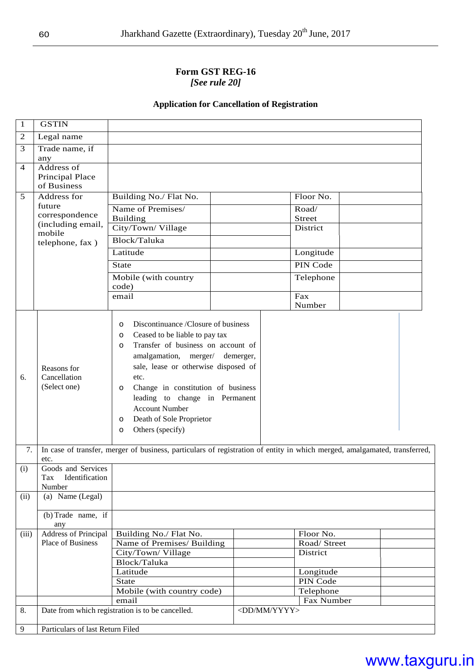#### **Form GST REG-16**  *[See rule 20]*

#### **Application for Cancellation of Registration**

| 1              | <b>GSTIN</b>                                          |                                                                                                                                                                                                                                                                                                                                                                                                                                                                                                                                                 |                         |                          |  |
|----------------|-------------------------------------------------------|-------------------------------------------------------------------------------------------------------------------------------------------------------------------------------------------------------------------------------------------------------------------------------------------------------------------------------------------------------------------------------------------------------------------------------------------------------------------------------------------------------------------------------------------------|-------------------------|--------------------------|--|
| $\overline{c}$ | Legal name                                            |                                                                                                                                                                                                                                                                                                                                                                                                                                                                                                                                                 |                         |                          |  |
| 3              | Trade name, if<br>any                                 |                                                                                                                                                                                                                                                                                                                                                                                                                                                                                                                                                 |                         |                          |  |
| 4              | Address of<br>Principal Place<br>of Business          |                                                                                                                                                                                                                                                                                                                                                                                                                                                                                                                                                 |                         |                          |  |
| 5              | Address for                                           | Building No./ Flat No.                                                                                                                                                                                                                                                                                                                                                                                                                                                                                                                          |                         | Floor No.                |  |
|                | future                                                | Name of Premises/                                                                                                                                                                                                                                                                                                                                                                                                                                                                                                                               |                         | Road/                    |  |
|                | correspondence<br>(including email,                   | <b>Building</b>                                                                                                                                                                                                                                                                                                                                                                                                                                                                                                                                 |                         | <b>Street</b>            |  |
|                | mobile                                                | City/Town/Village                                                                                                                                                                                                                                                                                                                                                                                                                                                                                                                               |                         | District                 |  |
|                | telephone, fax)                                       | Block/Taluka                                                                                                                                                                                                                                                                                                                                                                                                                                                                                                                                    |                         |                          |  |
|                |                                                       | Latitude                                                                                                                                                                                                                                                                                                                                                                                                                                                                                                                                        |                         | Longitude                |  |
|                |                                                       | <b>State</b>                                                                                                                                                                                                                                                                                                                                                                                                                                                                                                                                    |                         | PIN Code                 |  |
|                |                                                       | Mobile (with country<br>code)                                                                                                                                                                                                                                                                                                                                                                                                                                                                                                                   |                         | Telephone                |  |
|                |                                                       | email                                                                                                                                                                                                                                                                                                                                                                                                                                                                                                                                           |                         | Fax                      |  |
|                |                                                       |                                                                                                                                                                                                                                                                                                                                                                                                                                                                                                                                                 |                         | Number                   |  |
| 6.<br>7.       | Reasons for<br>Cancellation<br>(Select one)           | Discontinuance /Closure of business<br>$\circ$<br>Ceased to be liable to pay tax<br>$\circ$<br>Transfer of business on account of<br>$\Omega$<br>amalgamation, merger/ demerger,<br>sale, lease or otherwise disposed of<br>etc.<br>Change in constitution of business<br>$\circ$<br>leading to change in Permanent<br><b>Account Number</b><br>Death of Sole Proprietor<br>$\circ$<br>Others (specify)<br>$\circ$<br>In case of transfer, merger of business, particulars of registration of entity in which merged, amalgamated, transferred, |                         |                          |  |
|                | etc.                                                  |                                                                                                                                                                                                                                                                                                                                                                                                                                                                                                                                                 |                         |                          |  |
| (i)            | Goods and Services<br>Tax<br>Identification<br>Number |                                                                                                                                                                                                                                                                                                                                                                                                                                                                                                                                                 |                         |                          |  |
| (ii)           | (a) Name (Legal)                                      |                                                                                                                                                                                                                                                                                                                                                                                                                                                                                                                                                 |                         |                          |  |
|                | (b) Trade name, if<br>any                             |                                                                                                                                                                                                                                                                                                                                                                                                                                                                                                                                                 |                         |                          |  |
| (iii)          | <b>Address of Principal</b>                           | Building No./ Flat No.                                                                                                                                                                                                                                                                                                                                                                                                                                                                                                                          |                         | Floor No.                |  |
|                | <b>Place of Business</b>                              | Name of Premises/ Building                                                                                                                                                                                                                                                                                                                                                                                                                                                                                                                      |                         | Road/ Street<br>District |  |
|                |                                                       | City/Town/ Village<br>Block/Taluka                                                                                                                                                                                                                                                                                                                                                                                                                                                                                                              |                         |                          |  |
|                |                                                       | Latitude                                                                                                                                                                                                                                                                                                                                                                                                                                                                                                                                        |                         | Longitude                |  |
|                |                                                       | <b>State</b>                                                                                                                                                                                                                                                                                                                                                                                                                                                                                                                                    |                         | PIN Code                 |  |
|                |                                                       | Mobile (with country code)                                                                                                                                                                                                                                                                                                                                                                                                                                                                                                                      |                         | Telephone                |  |
|                |                                                       | email                                                                                                                                                                                                                                                                                                                                                                                                                                                                                                                                           |                         | Fax Number               |  |
| 8.             |                                                       | Date from which registration is to be cancelled.                                                                                                                                                                                                                                                                                                                                                                                                                                                                                                | <dd mm="" yyyy=""></dd> |                          |  |
| $\overline{9}$ | Particulars of last Return Filed                      |                                                                                                                                                                                                                                                                                                                                                                                                                                                                                                                                                 |                         |                          |  |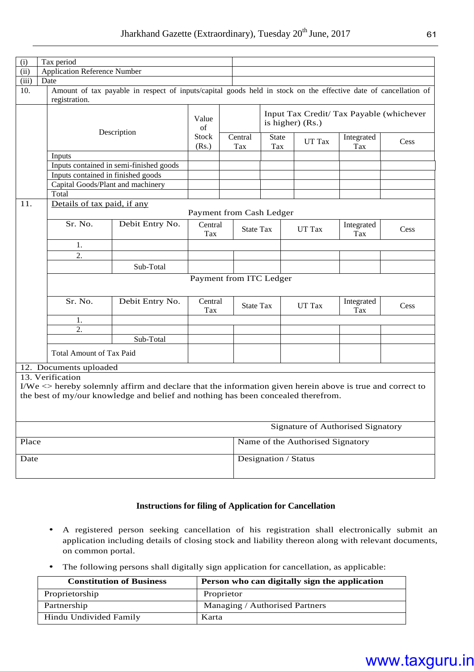| (i)   | Tax period                          |                                                                                                                  |                      |                          |                                                                                            |                                  |                                          |      |  |
|-------|-------------------------------------|------------------------------------------------------------------------------------------------------------------|----------------------|--------------------------|--------------------------------------------------------------------------------------------|----------------------------------|------------------------------------------|------|--|
| (ii)  | <b>Application Reference Number</b> |                                                                                                                  |                      |                          |                                                                                            |                                  |                                          |      |  |
| (iii) | Date                                |                                                                                                                  |                      |                          |                                                                                            |                                  |                                          |      |  |
| 10.   | registration.                       | Amount of tax payable in respect of inputs/capital goods held in stock on the effective date of cancellation of  |                      |                          |                                                                                            |                                  |                                          |      |  |
|       | Description                         |                                                                                                                  | Value<br>of<br>Stock | Central                  | Input Tax Credit/ Tax Payable (whichever<br>is higher) (Rs.)<br>Integrated<br><b>State</b> |                                  |                                          |      |  |
|       |                                     |                                                                                                                  | (Rs.)                | Tax                      | Tax                                                                                        | UT Tax                           | Tax                                      | Cess |  |
|       | Inputs                              |                                                                                                                  |                      |                          |                                                                                            |                                  |                                          |      |  |
|       |                                     | Inputs contained in semi-finished goods                                                                          |                      |                          |                                                                                            |                                  |                                          |      |  |
|       | Inputs contained in finished goods  |                                                                                                                  |                      |                          |                                                                                            |                                  |                                          |      |  |
|       |                                     | Capital Goods/Plant and machinery                                                                                |                      |                          |                                                                                            |                                  |                                          |      |  |
|       | Total                               |                                                                                                                  |                      |                          |                                                                                            |                                  |                                          |      |  |
| 11.   | Details of tax paid, if any         |                                                                                                                  |                      |                          |                                                                                            |                                  |                                          |      |  |
|       |                                     |                                                                                                                  |                      | Payment from Cash Ledger |                                                                                            |                                  |                                          |      |  |
|       | Sr. No.                             | Debit Entry No.                                                                                                  | Central<br>Tax       | <b>State Tax</b>         |                                                                                            | UT Tax                           | Integrated<br>Tax                        | Cess |  |
|       | 1.                                  |                                                                                                                  |                      |                          |                                                                                            |                                  |                                          |      |  |
|       | $\overline{2}$ .                    |                                                                                                                  |                      |                          |                                                                                            |                                  |                                          |      |  |
|       |                                     | Sub-Total                                                                                                        |                      |                          |                                                                                            |                                  |                                          |      |  |
|       |                                     |                                                                                                                  |                      |                          |                                                                                            |                                  |                                          |      |  |
|       |                                     |                                                                                                                  |                      |                          | Payment from ITC Ledger                                                                    |                                  |                                          |      |  |
|       | Sr. No.                             | Debit Entry No.                                                                                                  | Central<br>Tax       | <b>State Tax</b>         |                                                                                            | UT Tax                           | Integrated<br>Tax                        | Cess |  |
|       | 1.                                  |                                                                                                                  |                      |                          |                                                                                            |                                  |                                          |      |  |
|       | $\overline{2}$ .                    |                                                                                                                  |                      |                          |                                                                                            |                                  |                                          |      |  |
|       |                                     | Sub-Total                                                                                                        |                      |                          |                                                                                            |                                  |                                          |      |  |
|       | <b>Total Amount of Tax Paid</b>     |                                                                                                                  |                      |                          |                                                                                            |                                  |                                          |      |  |
|       | 12. Documents uploaded              |                                                                                                                  |                      |                          |                                                                                            |                                  |                                          |      |  |
|       | 13. Verification                    |                                                                                                                  |                      |                          |                                                                                            |                                  |                                          |      |  |
|       |                                     | I/We $\langle$ hereby solemnly affirm and declare that the information given herein above is true and correct to |                      |                          |                                                                                            |                                  |                                          |      |  |
|       |                                     | the best of my/our knowledge and belief and nothing has been concealed therefrom.                                |                      |                          |                                                                                            |                                  |                                          |      |  |
|       |                                     |                                                                                                                  |                      |                          |                                                                                            |                                  |                                          |      |  |
|       |                                     |                                                                                                                  |                      |                          |                                                                                            |                                  |                                          |      |  |
|       |                                     |                                                                                                                  |                      |                          |                                                                                            |                                  |                                          |      |  |
|       |                                     |                                                                                                                  |                      |                          |                                                                                            |                                  | <b>Signature of Authorised Signatory</b> |      |  |
| Place |                                     |                                                                                                                  |                      |                          |                                                                                            | Name of the Authorised Signatory |                                          |      |  |
| Date  |                                     |                                                                                                                  |                      |                          | Designation / Status                                                                       |                                  |                                          |      |  |
|       |                                     |                                                                                                                  |                      |                          |                                                                                            |                                  |                                          |      |  |
|       |                                     |                                                                                                                  |                      |                          |                                                                                            |                                  |                                          |      |  |
|       |                                     |                                                                                                                  |                      |                          |                                                                                            |                                  |                                          |      |  |

#### **Instructions for filing of Application for Cancellation**

- A registered person seeking cancellation of his registration shall electronically submit an application including details of closing stock and liability thereon along with relevant documents, on common portal.
- The following persons shall digitally sign application for cancellation, as applicable:

| <b>Constitution of Business</b> | Person who can digitally sign the application |
|---------------------------------|-----------------------------------------------|
| Proprietorship                  | Proprietor                                    |
| Partnership                     | Managing / Authorised Partners                |
| Hindu Undivided Family          | Karta                                         |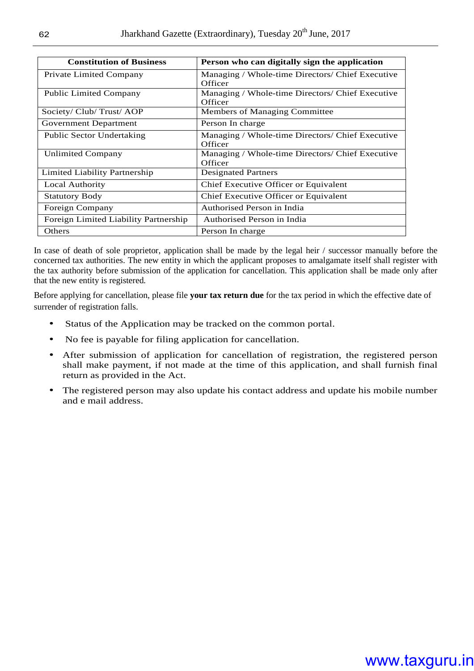| <b>Constitution of Business</b>       | Person who can digitally sign the application               |
|---------------------------------------|-------------------------------------------------------------|
| Private Limited Company               | Managing / Whole-time Directors/ Chief Executive<br>Officer |
| <b>Public Limited Company</b>         | Managing / Whole-time Directors/ Chief Executive<br>Officer |
| Society/ Club/ Trust/ AOP             | Members of Managing Committee                               |
| Government Department                 | Person In charge                                            |
| Public Sector Undertaking             | Managing / Whole-time Directors/ Chief Executive<br>Officer |
| <b>Unlimited Company</b>              | Managing / Whole-time Directors/ Chief Executive<br>Officer |
| Limited Liability Partnership         | <b>Designated Partners</b>                                  |
| Local Authority                       | Chief Executive Officer or Equivalent                       |
| <b>Statutory Body</b>                 | Chief Executive Officer or Equivalent                       |
| Foreign Company                       | Authorised Person in India                                  |
| Foreign Limited Liability Partnership | Authorised Person in India                                  |
| Others                                | Person In charge                                            |

In case of death of sole proprietor, application shall be made by the legal heir / successor manually before the concerned tax authorities. The new entity in which the applicant proposes to amalgamate itself shall register with the tax authority before submission of the application for cancellation. This application shall be made only after that the new entity is registered*.* 

Before applying for cancellation, please file **your tax return due** for the tax period in which the effective date of surrender of registration falls.

- Status of the Application may be tracked on the common portal.
- No fee is payable for filing application for cancellation.
- After submission of application for cancellation of registration, the registered person shall make payment, if not made at the time of this application, and shall furnish final return as provided in the Act.
- The registered person may also update his contact address and update his mobile number and e mail address.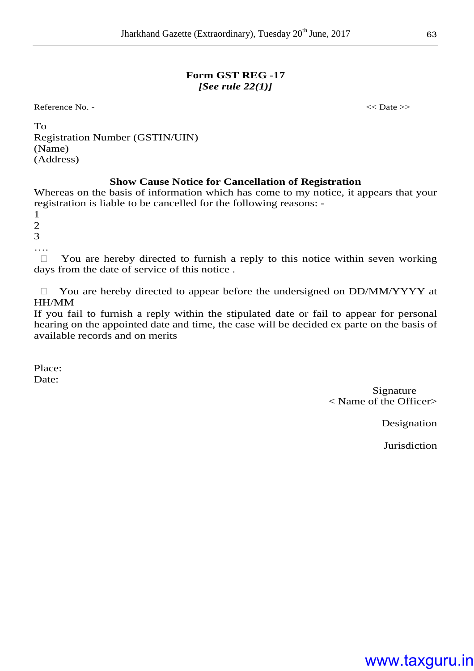#### **Form GST REG -17**  *[See rule 22(1)]*

Reference No. -  $\langle$  Date >>

| To                                     |
|----------------------------------------|
| <b>Registration Number (GSTIN/UIN)</b> |
| (Name)                                 |
| (Address)                              |
|                                        |

#### **Show Cause Notice for Cancellation of Registration**

Whereas on the basis of information which has come to my notice, it appears that your registration is liable to be cancelled for the following reasons: -

1

2

3

….

 You are hereby directed to furnish a reply to this notice within seven working days from the date of service of this notice.

 You are hereby directed to appear before the undersigned on DD/MM/YYYY at HH/MM

If you fail to furnish a reply within the stipulated date or fail to appear for personal hearing on the appointed date and time, the case will be decided ex parte on the basis of available records and on merits

Place: Date:

> Signature < Name of the Officer>

> > Designation

**Jurisdiction**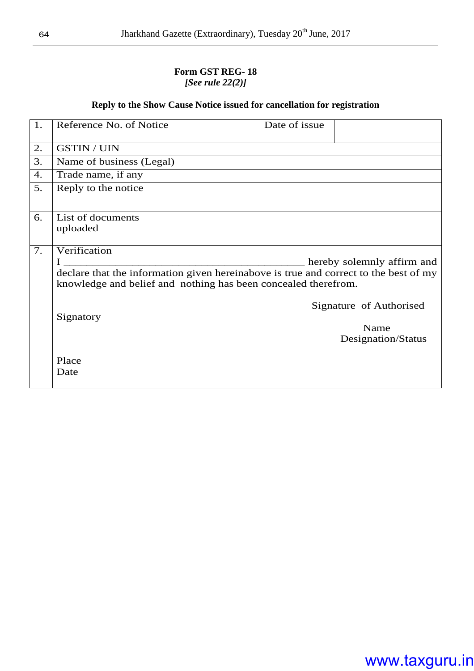#### **Form GST REG- 18**  *[See rule 22(2)]*

#### **Reply to the Show Cause Notice issued for cancellation for registration**

| 1. | Reference No. of Notice       | Date of issue                                                                                                                                          |                            |
|----|-------------------------------|--------------------------------------------------------------------------------------------------------------------------------------------------------|----------------------------|
| 2. | <b>GSTIN / UIN</b>            |                                                                                                                                                        |                            |
| 3. | Name of business (Legal)      |                                                                                                                                                        |                            |
| 4. | Trade name, if any            |                                                                                                                                                        |                            |
| 5. | Reply to the notice           |                                                                                                                                                        |                            |
| 6. | List of documents<br>uploaded |                                                                                                                                                        |                            |
| 7. | Verification                  |                                                                                                                                                        |                            |
|    |                               |                                                                                                                                                        | hereby solemnly affirm and |
|    |                               | declare that the information given hereinabove is true and correct to the best of my<br>knowledge and belief and nothing has been concealed therefrom. |                            |
|    |                               |                                                                                                                                                        | Signature of Authorised    |
|    | Signatory                     |                                                                                                                                                        |                            |
|    |                               |                                                                                                                                                        | Name                       |
|    |                               |                                                                                                                                                        | Designation/Status         |
|    | Place                         |                                                                                                                                                        |                            |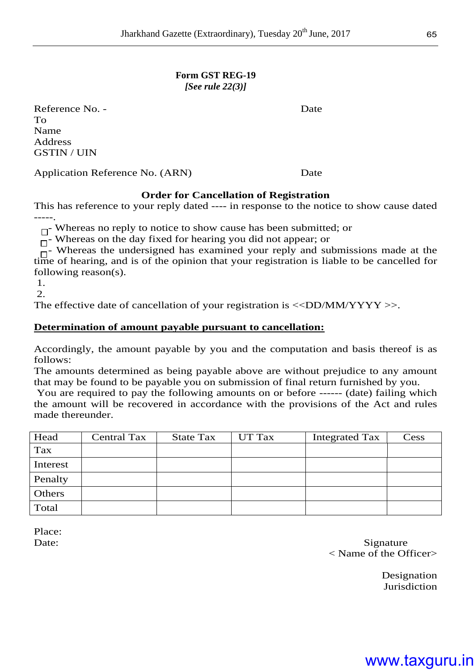#### **Form GST REG-19**  *[See rule 22(3)]*

Reference No. - Date To Name Address GSTIN / UIN

Application Reference No. (ARN) Date

#### **Order for Cancellation of Registration**

This has reference to your reply dated ---- in response to the notice to show cause dated -----.

 $\Box$  Whereas no reply to notice to show cause has been submitted; or

 $\overline{\Box}$ - Whereas on the day fixed for hearing you did not appear; or

Whereas the undersigned has examined your reply and submissions made at the time of hearing, and is of the opinion that your registration is liable to be cancelled for following reason(s).

1.

 $\mathcal{D}$ 

The effective date of cancellation of your registration is  $\langle\langle DDMM/YYYY\rangle\rangle$ .

#### **Determination of amount payable pursuant to cancellation:**

Accordingly, the amount payable by you and the computation and basis thereof is as follows:

The amounts determined as being payable above are without prejudice to any amount that may be found to be payable you on submission of final return furnished by you.

You are required to pay the following amounts on or before ------ (date) failing which the amount will be recovered in accordance with the provisions of the Act and rules made thereunder.

| Head     | <b>Central Tax</b> | <b>State Tax</b> | UT Tax | Integrated Tax | $\mathrm{Cess}% \left\vert \mathcal{H}\right\vert =\mathrm{Cess}\left\{ \mathcal{H}\right\}$ |
|----------|--------------------|------------------|--------|----------------|----------------------------------------------------------------------------------------------|
| Tax      |                    |                  |        |                |                                                                                              |
| Interest |                    |                  |        |                |                                                                                              |
| Penalty  |                    |                  |        |                |                                                                                              |
| Others   |                    |                  |        |                |                                                                                              |
| Total    |                    |                  |        |                |                                                                                              |

Place:

Date: Signature < Name of the Officer>

> Designation **Jurisdiction**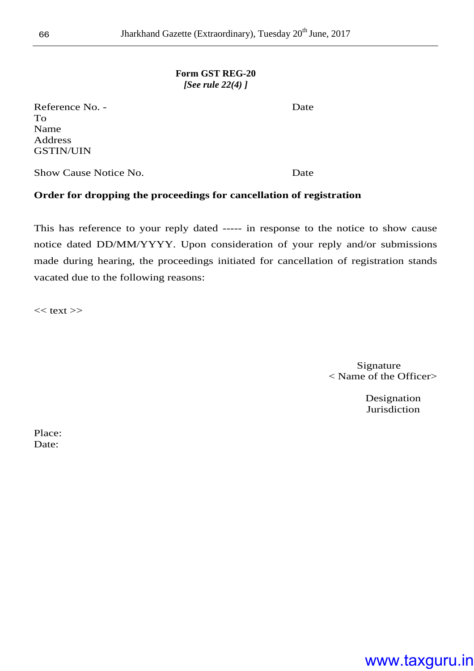#### **Form GST REG-20**  *[See rule 22(4) ]*

Reference No. - Date To Name Address GSTIN/UIN

Show Cause Notice No. **Date** 

#### **Order for dropping the proceedings for cancellation of registration**

This has reference to your reply dated ----- in response to the notice to show cause notice dated DD/MM/YYYY. Upon consideration of your reply and/or submissions made during hearing, the proceedings initiated for cancellation of registration stands vacated due to the following reasons:

 $<<$  text  $>>$ 

Signature < Name of the Officer>

> Designation **Jurisdiction**

Place: Date: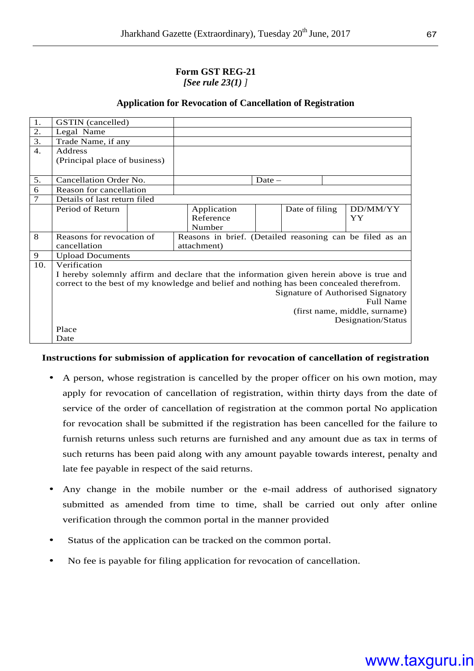#### **Form GST REG-21**  *[See rule 23(1) ]*

#### **Application for Revocation of Cancellation of Registration**

| 1.     | GSTIN (cancelled)                        |  |                                                                                          |                |  |                    |  |  |
|--------|------------------------------------------|--|------------------------------------------------------------------------------------------|----------------|--|--------------------|--|--|
| 2.     | Legal Name                               |  |                                                                                          |                |  |                    |  |  |
| 3.     | Trade Name, if any                       |  |                                                                                          |                |  |                    |  |  |
| 4.     | Address                                  |  |                                                                                          |                |  |                    |  |  |
|        | (Principal place of business)            |  |                                                                                          |                |  |                    |  |  |
|        |                                          |  |                                                                                          |                |  |                    |  |  |
| 5.     | Cancellation Order No.                   |  |                                                                                          | Date $-$       |  |                    |  |  |
| 6      | Reason for cancellation                  |  |                                                                                          |                |  |                    |  |  |
| $\tau$ | Details of last return filed             |  |                                                                                          |                |  |                    |  |  |
|        | Period of Return                         |  | Application                                                                              | Date of filing |  | DD/MM/YY           |  |  |
|        |                                          |  | Reference                                                                                |                |  | YY                 |  |  |
|        |                                          |  | Number                                                                                   |                |  |                    |  |  |
| 8      | Reasons for revocation of                |  | Reasons in brief. (Detailed reasoning can be filed as an                                 |                |  |                    |  |  |
|        | cancellation                             |  | attachment)                                                                              |                |  |                    |  |  |
| 9      | <b>Upload Documents</b>                  |  |                                                                                          |                |  |                    |  |  |
| 10.    | Verification                             |  |                                                                                          |                |  |                    |  |  |
|        |                                          |  | I hereby solemnly affirm and declare that the information given herein above is true and |                |  |                    |  |  |
|        |                                          |  | correct to the best of my knowledge and belief and nothing has been concealed therefrom. |                |  |                    |  |  |
|        | <b>Signature of Authorised Signatory</b> |  |                                                                                          |                |  |                    |  |  |
|        | Full Name                                |  |                                                                                          |                |  |                    |  |  |
|        | (first name, middle, surname)            |  |                                                                                          |                |  |                    |  |  |
|        |                                          |  |                                                                                          |                |  | Designation/Status |  |  |
|        | Place                                    |  |                                                                                          |                |  |                    |  |  |
|        | Date                                     |  |                                                                                          |                |  |                    |  |  |

#### **Instructions for submission of application for revocation of cancellation of registration**

- A person, whose registration is cancelled by the proper officer on his own motion, may apply for revocation of cancellation of registration, within thirty days from the date of service of the order of cancellation of registration at the common portal No application for revocation shall be submitted if the registration has been cancelled for the failure to furnish returns unless such returns are furnished and any amount due as tax in terms of such returns has been paid along with any amount payable towards interest, penalty and late fee payable in respect of the said returns.
- Any change in the mobile number or the e-mail address of authorised signatory submitted as amended from time to time, shall be carried out only after online verification through the common portal in the manner provided
- Status of the application can be tracked on the common portal.
- No fee is payable for filing application for revocation of cancellation.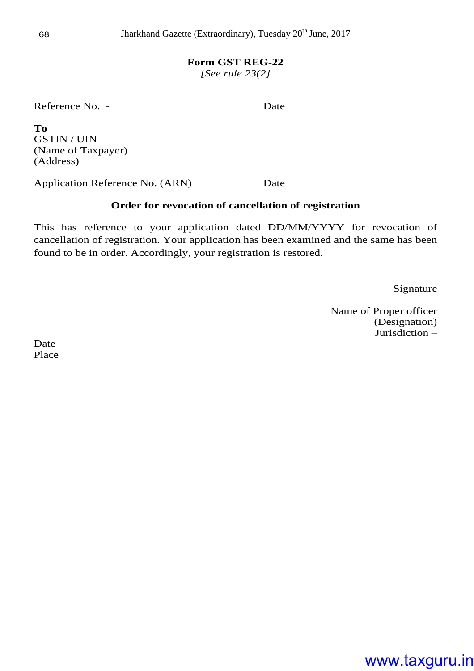#### **Form GST REG-22**

*[See rule 23(2]* 

Reference No. - Date

**To**  GSTIN / UIN (Name of Taxpayer) (Address)

Application Reference No. (ARN) Date

#### **Order for revocation of cancellation of registration**

This has reference to your application dated DD/MM/YYYY for revocation of cancellation of registration. Your application has been examined and the same has been found to be in order. Accordingly, your registration is restored.

Signature

Name of Proper officer (Designation) Jurisdiction –

Date Place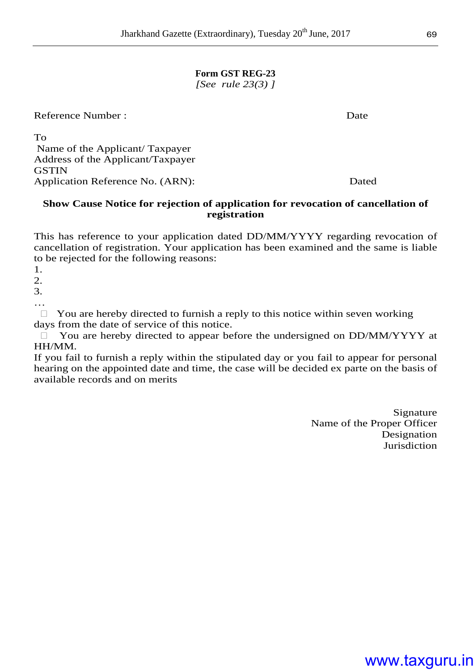### **Form GST REG-23**

*[See rule 23(3) ]* 

Reference Number : Date

To Name of the Applicant/ Taxpayer Address of the Applicant/Taxpayer **GSTIN** Application Reference No. (ARN): Dated

#### **Show Cause Notice for rejection of application for revocation of cancellation of registration**

This has reference to your application dated DD/MM/YYYY regarding revocation of cancellation of registration. Your application has been examined and the same is liable to be rejected for the following reasons:

1.

2.

3.

…

 You are hereby directed to furnish a reply to this notice within seven working days from the date of service of this notice.

 You are hereby directed to appear before the undersigned on DD/MM/YYYY at HH/MM.

If you fail to furnish a reply within the stipulated day or you fail to appear for personal hearing on the appointed date and time, the case will be decided ex parte on the basis of available records and on merits

> Signature Name of the Proper Officer Designation Jurisdiction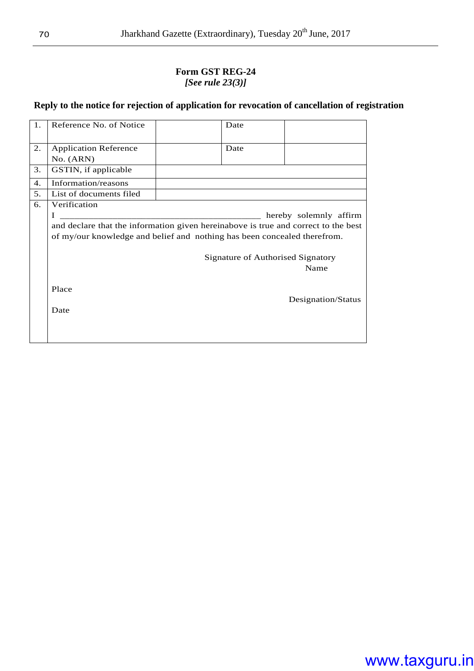#### **Form GST REG-24**  *[See rule 23(3)]*

#### **Reply to the notice for rejection of application for revocation of cancellation of registration**

| 1. | Reference No. of Notice                                                            | Date                              |                        |
|----|------------------------------------------------------------------------------------|-----------------------------------|------------------------|
| 2. | <b>Application Reference</b>                                                       | Date                              |                        |
|    | No. (ARN)                                                                          |                                   |                        |
| 3. | GSTIN, if applicable                                                               |                                   |                        |
| 4. | Information/reasons                                                                |                                   |                        |
| 5. | List of documents filed                                                            |                                   |                        |
| 6. | Verification                                                                       |                                   |                        |
|    |                                                                                    |                                   | hereby solemnly affirm |
|    | and declare that the information given hereinabove is true and correct to the best |                                   |                        |
|    | of my/our knowledge and belief and nothing has been concealed therefrom.           |                                   |                        |
|    |                                                                                    |                                   |                        |
|    |                                                                                    | Signature of Authorised Signatory |                        |
|    |                                                                                    |                                   | Name                   |
|    |                                                                                    |                                   |                        |
|    | Place                                                                              |                                   |                        |
|    |                                                                                    |                                   | Designation/Status     |
|    | Date                                                                               |                                   |                        |
|    |                                                                                    |                                   |                        |
|    |                                                                                    |                                   |                        |
|    |                                                                                    |                                   |                        |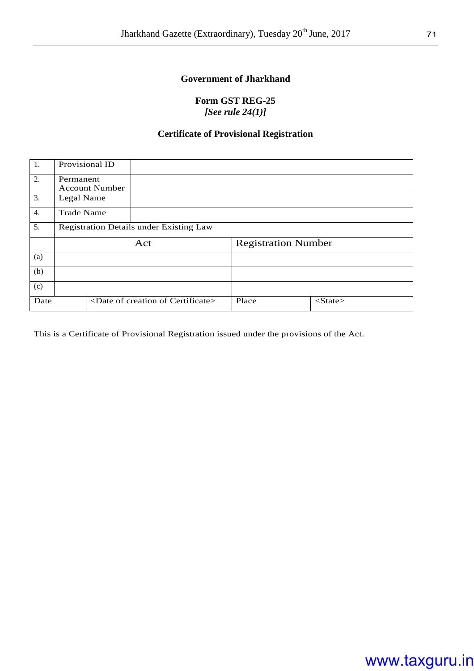#### **Government of Jharkhand**

#### **Form GST REG-25**  *[See rule 24(1)]*

#### **Certificate of Provisional Registration**

| 1.   | Provisional ID                                 |  |                                                |                            |       |  |               |  |
|------|------------------------------------------------|--|------------------------------------------------|----------------------------|-------|--|---------------|--|
| 2.   | Permanent                                      |  |                                                |                            |       |  |               |  |
|      | <b>Account Number</b>                          |  |                                                |                            |       |  |               |  |
| 3.   | Legal Name                                     |  |                                                |                            |       |  |               |  |
| 4.   | <b>Trade Name</b>                              |  |                                                |                            |       |  |               |  |
| 5.   | <b>Registration Details under Existing Law</b> |  |                                                |                            |       |  |               |  |
|      | Act                                            |  |                                                | <b>Registration Number</b> |       |  |               |  |
| (a)  |                                                |  |                                                |                            |       |  |               |  |
| (b)  |                                                |  |                                                |                            |       |  |               |  |
| (c)  |                                                |  |                                                |                            |       |  |               |  |
| Date |                                                |  | <date certificate="" creation="" of=""></date> |                            | Place |  | $<$ State $>$ |  |

This is a Certificate of Provisional Registration issued under the provisions of the Act.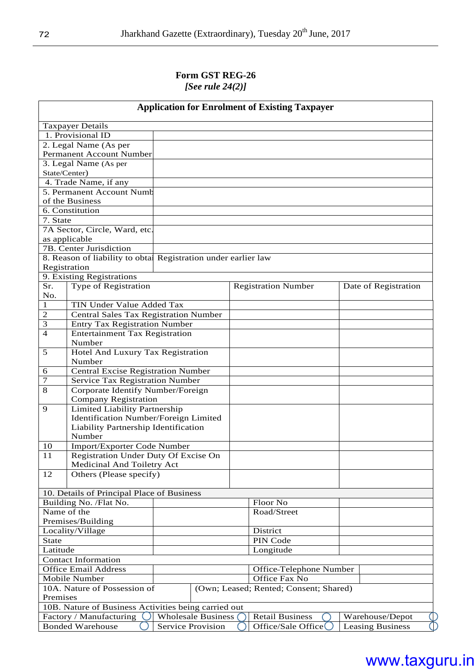#### **Form GST REG-26**  *[See rule 24(2)]*

| <b>Application for Enrolment of Existing Taxpayer</b>  |                                                               |                           |  |                                        |  |                         |
|--------------------------------------------------------|---------------------------------------------------------------|---------------------------|--|----------------------------------------|--|-------------------------|
|                                                        | Taxpayer Details                                              |                           |  |                                        |  |                         |
|                                                        | 1. Provisional ID                                             |                           |  |                                        |  |                         |
|                                                        | 2. Legal Name (As per                                         |                           |  |                                        |  |                         |
|                                                        | Permanent Account Number                                      |                           |  |                                        |  |                         |
|                                                        |                                                               |                           |  |                                        |  |                         |
|                                                        | 3. Legal Name (As per                                         |                           |  |                                        |  |                         |
| State/Center)                                          |                                                               |                           |  |                                        |  |                         |
|                                                        | 4. Trade Name, if any                                         |                           |  |                                        |  |                         |
|                                                        | 5. Permanent Account Numb                                     |                           |  |                                        |  |                         |
|                                                        | of the Business                                               |                           |  |                                        |  |                         |
|                                                        | 6. Constitution                                               |                           |  |                                        |  |                         |
| 7. State                                               |                                                               |                           |  |                                        |  |                         |
|                                                        | 7A Sector, Circle, Ward, etc.                                 |                           |  |                                        |  |                         |
|                                                        | as applicable                                                 |                           |  |                                        |  |                         |
|                                                        | 7B. Center Jurisdiction                                       |                           |  |                                        |  |                         |
|                                                        | 8. Reason of liability to obta Registration under earlier law |                           |  |                                        |  |                         |
| Registration                                           |                                                               |                           |  |                                        |  |                         |
|                                                        | 9. Existing Registrations                                     |                           |  |                                        |  |                         |
| Sr.                                                    | Type of Registration                                          |                           |  | <b>Registration Number</b>             |  | Date of Registration    |
| No.                                                    |                                                               |                           |  |                                        |  |                         |
| 1                                                      | TIN Under Value Added Tax                                     |                           |  |                                        |  |                         |
| $\overline{c}$                                         | Central Sales Tax Registration Number                         |                           |  |                                        |  |                         |
| 3                                                      | <b>Entry Tax Registration Number</b>                          |                           |  |                                        |  |                         |
| 4                                                      | <b>Entertainment Tax Registration</b>                         |                           |  |                                        |  |                         |
|                                                        | Number                                                        |                           |  |                                        |  |                         |
| 5                                                      | Hotel And Luxury Tax Registration                             |                           |  |                                        |  |                         |
|                                                        | Number                                                        |                           |  |                                        |  |                         |
| 6                                                      | <b>Central Excise Registration Number</b>                     |                           |  |                                        |  |                         |
| 7                                                      | Service Tax Registration Number                               |                           |  |                                        |  |                         |
| 8                                                      | Corporate Identify Number/Foreign                             |                           |  |                                        |  |                         |
|                                                        | <b>Company Registration</b>                                   |                           |  |                                        |  |                         |
| 9                                                      | Limited Liability Partnership                                 |                           |  |                                        |  |                         |
|                                                        | Identification Number/Foreign Limited                         |                           |  |                                        |  |                         |
|                                                        |                                                               |                           |  |                                        |  |                         |
|                                                        | Liability Partnership Identification<br>Number                |                           |  |                                        |  |                         |
|                                                        |                                                               |                           |  |                                        |  |                         |
| 10                                                     | Import/Exporter Code Number                                   |                           |  |                                        |  |                         |
| 11                                                     | Registration Under Duty Of Excise On                          |                           |  |                                        |  |                         |
|                                                        | Medicinal And Toiletry Act                                    |                           |  |                                        |  |                         |
| 12                                                     | Others (Please specify)                                       |                           |  |                                        |  |                         |
|                                                        |                                                               |                           |  |                                        |  |                         |
|                                                        | 10. Details of Principal Place of Business                    |                           |  |                                        |  |                         |
|                                                        | Building No. /Flat No.                                        |                           |  | Floor No                               |  |                         |
| Name of the                                            |                                                               |                           |  | Road/Street                            |  |                         |
|                                                        | Premises/Building                                             |                           |  |                                        |  |                         |
|                                                        | Locality/Village                                              |                           |  | District                               |  |                         |
| <b>State</b>                                           |                                                               |                           |  | PIN Code                               |  |                         |
| Latitude                                               |                                                               |                           |  | Longitude                              |  |                         |
|                                                        | <b>Contact Information</b>                                    |                           |  |                                        |  |                         |
| <b>Office Email Address</b><br>Office-Telephone Number |                                                               |                           |  |                                        |  |                         |
| Office Fax No<br>Mobile Number                         |                                                               |                           |  |                                        |  |                         |
|                                                        | 10A. Nature of Possession of                                  |                           |  | (Own; Leased; Rented; Consent; Shared) |  |                         |
| Premises                                               |                                                               |                           |  |                                        |  |                         |
| 10B. Nature of Business Activities being carried out   |                                                               |                           |  |                                        |  |                         |
|                                                        | Factory / Manufacturing                                       | <b>Wholesale Business</b> |  | <b>Retail Business</b>                 |  | Warehouse/Depot         |
|                                                        | <b>Bonded Warehouse</b>                                       | Service Provision         |  | Office/Sale Office                     |  | <b>Leasing Business</b> |
|                                                        |                                                               |                           |  |                                        |  |                         |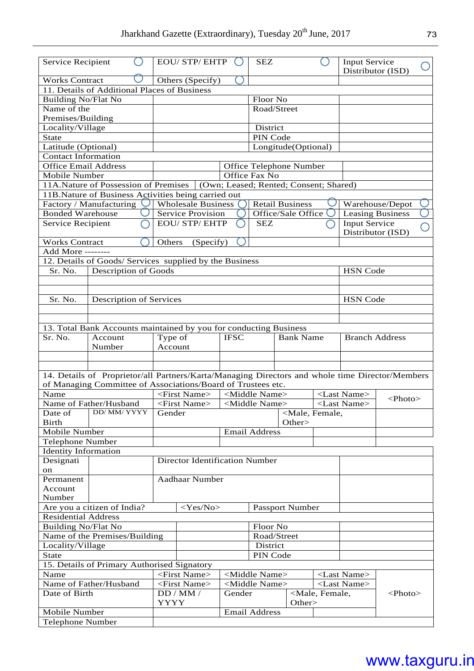| <b>Input Service</b><br><b>Service Recipient</b><br>Distributor (ISD)<br><b>Works Contract</b><br>Others (Specify)<br>11. Details of Additional Places of Business<br><b>Building No/Flat No</b><br>Floor No<br>Name of the<br>Road/Street<br>Premises/Building<br>District<br>Locality/Village<br>PIN Code<br><b>State</b><br>Latitude (Optional)<br>Longitude(Optional)<br><b>Contact Information</b><br><b>Office Email Address</b><br>Office Telephone Number<br>Office Fax No<br>Mobile Number<br>11A.Nature of Possession of Premises<br>(Own; Leased; Rented; Consent; Shared)<br>11B.Nature of Business Activities being carried out<br>Factory / Manufacturing<br><b>Wholesale Business</b><br><b>Retail Business</b><br>Warehouse/Depot<br><b>Bonded Warehouse</b><br>Office/Sale Office<br><b>Service Provision</b><br><b>Leasing Business</b><br><b>EOU/STP/EHTP</b><br>Input Service<br>Service Recipient<br><b>SEZ</b><br>Distributor (ISD)<br><b>Works Contract</b><br>Others<br>(Specify)<br>Add More -------<br>12. Details of Goods/ Services supplied by the Business<br><b>HSN</b> Code<br>Sr. No.<br>Description of Goods<br>Sr. No.<br>Description of Services<br><b>HSN</b> Code<br>13. Total Bank Accounts maintained by you for conducting Business<br>Sr. No.<br>Type of<br><b>Bank Name</b><br><b>Branch Address</b><br>Account<br><b>IFSC</b><br>Number<br>Account<br>14. Details of Proprietor/all Partners/Karta/Managing Directors and whole time Director/Members<br>of Managing Committee of Associations/Board of Trustees etc.<br><middle name=""><br/>Name<br/><math>\overline{\leq}</math>First Name&gt;<br/><last name=""><br/><math>\langle \text{Photo} \rangle</math><br/>Name of Father/Husband<br/><first name=""><br/><middle name=""><br/><last name=""><br/>DD/ MM/ YYYY<br/><male, female,<br="">Date of<br/>Gender<br/><b>Birth</b><br/>Other&gt;<br/>Mobile Number<br/><b>Email Address</b><br/>Telephone Number<br/><b>Identity Information</b><br/><b>Director Identification Number</b><br/>Designati<br/>on<br/>Permanent<br/><b>Aadhaar Number</b><br/>Account<br/>Number<br/>Are you a citizen of India?<br/><math>&lt;</math>Yes/No&gt;<br/><b>Passport Number</b><br/><b>Residential Address</b><br/><b>Building No/Flat No</b><br/>Floor No<br/>Name of the Premises/Building<br/>Road/Street<br/>District<br/>Locality/Village<br/><b>State</b><br/>PIN Code<br/>15. Details of Primary Authorised Signatory<br/>Name<br/><first name=""><br/><middle name=""><br/><last name=""><br/>Name of Father/Husband<br/><last name=""><br/><first name=""><br/><middle name=""><br/>Date of Birth<br/>Gender<br/><male, female,<br=""><photo><br/>DD/MM/<br/><b>YYYY</b><br/>Other&gt;<br/>Mobile Number<br/><b>Email Address</b><br/>Telephone Number</photo></male,></middle></first></last></last></middle></first></male,></last></middle></first></last></middle> |  |  |  | <b>EOU/ STP/ EHTP</b> |  | <b>SEZ</b> |  |  |  |
|----------------------------------------------------------------------------------------------------------------------------------------------------------------------------------------------------------------------------------------------------------------------------------------------------------------------------------------------------------------------------------------------------------------------------------------------------------------------------------------------------------------------------------------------------------------------------------------------------------------------------------------------------------------------------------------------------------------------------------------------------------------------------------------------------------------------------------------------------------------------------------------------------------------------------------------------------------------------------------------------------------------------------------------------------------------------------------------------------------------------------------------------------------------------------------------------------------------------------------------------------------------------------------------------------------------------------------------------------------------------------------------------------------------------------------------------------------------------------------------------------------------------------------------------------------------------------------------------------------------------------------------------------------------------------------------------------------------------------------------------------------------------------------------------------------------------------------------------------------------------------------------------------------------------------------------------------------------------------------------------------------------------------------------------------------------------------------------------------------------------------------------------------------------------------------------------------------------------------------------------------------------------------------------------------------------------------------------------------------------------------------------------------------------------------------------------------------------------------------------------------------------------------------------------------------------------------------------------------------------------------------------------------------------------------------------------------------------------------------------------------------------------------------------------------------------------------------------------------------------------------------------------------------------------------|--|--|--|-----------------------|--|------------|--|--|--|
|                                                                                                                                                                                                                                                                                                                                                                                                                                                                                                                                                                                                                                                                                                                                                                                                                                                                                                                                                                                                                                                                                                                                                                                                                                                                                                                                                                                                                                                                                                                                                                                                                                                                                                                                                                                                                                                                                                                                                                                                                                                                                                                                                                                                                                                                                                                                                                                                                                                                                                                                                                                                                                                                                                                                                                                                                                                                                                                            |  |  |  |                       |  |            |  |  |  |
|                                                                                                                                                                                                                                                                                                                                                                                                                                                                                                                                                                                                                                                                                                                                                                                                                                                                                                                                                                                                                                                                                                                                                                                                                                                                                                                                                                                                                                                                                                                                                                                                                                                                                                                                                                                                                                                                                                                                                                                                                                                                                                                                                                                                                                                                                                                                                                                                                                                                                                                                                                                                                                                                                                                                                                                                                                                                                                                            |  |  |  |                       |  |            |  |  |  |
|                                                                                                                                                                                                                                                                                                                                                                                                                                                                                                                                                                                                                                                                                                                                                                                                                                                                                                                                                                                                                                                                                                                                                                                                                                                                                                                                                                                                                                                                                                                                                                                                                                                                                                                                                                                                                                                                                                                                                                                                                                                                                                                                                                                                                                                                                                                                                                                                                                                                                                                                                                                                                                                                                                                                                                                                                                                                                                                            |  |  |  |                       |  |            |  |  |  |
|                                                                                                                                                                                                                                                                                                                                                                                                                                                                                                                                                                                                                                                                                                                                                                                                                                                                                                                                                                                                                                                                                                                                                                                                                                                                                                                                                                                                                                                                                                                                                                                                                                                                                                                                                                                                                                                                                                                                                                                                                                                                                                                                                                                                                                                                                                                                                                                                                                                                                                                                                                                                                                                                                                                                                                                                                                                                                                                            |  |  |  |                       |  |            |  |  |  |
|                                                                                                                                                                                                                                                                                                                                                                                                                                                                                                                                                                                                                                                                                                                                                                                                                                                                                                                                                                                                                                                                                                                                                                                                                                                                                                                                                                                                                                                                                                                                                                                                                                                                                                                                                                                                                                                                                                                                                                                                                                                                                                                                                                                                                                                                                                                                                                                                                                                                                                                                                                                                                                                                                                                                                                                                                                                                                                                            |  |  |  |                       |  |            |  |  |  |
|                                                                                                                                                                                                                                                                                                                                                                                                                                                                                                                                                                                                                                                                                                                                                                                                                                                                                                                                                                                                                                                                                                                                                                                                                                                                                                                                                                                                                                                                                                                                                                                                                                                                                                                                                                                                                                                                                                                                                                                                                                                                                                                                                                                                                                                                                                                                                                                                                                                                                                                                                                                                                                                                                                                                                                                                                                                                                                                            |  |  |  |                       |  |            |  |  |  |
|                                                                                                                                                                                                                                                                                                                                                                                                                                                                                                                                                                                                                                                                                                                                                                                                                                                                                                                                                                                                                                                                                                                                                                                                                                                                                                                                                                                                                                                                                                                                                                                                                                                                                                                                                                                                                                                                                                                                                                                                                                                                                                                                                                                                                                                                                                                                                                                                                                                                                                                                                                                                                                                                                                                                                                                                                                                                                                                            |  |  |  |                       |  |            |  |  |  |
|                                                                                                                                                                                                                                                                                                                                                                                                                                                                                                                                                                                                                                                                                                                                                                                                                                                                                                                                                                                                                                                                                                                                                                                                                                                                                                                                                                                                                                                                                                                                                                                                                                                                                                                                                                                                                                                                                                                                                                                                                                                                                                                                                                                                                                                                                                                                                                                                                                                                                                                                                                                                                                                                                                                                                                                                                                                                                                                            |  |  |  |                       |  |            |  |  |  |
|                                                                                                                                                                                                                                                                                                                                                                                                                                                                                                                                                                                                                                                                                                                                                                                                                                                                                                                                                                                                                                                                                                                                                                                                                                                                                                                                                                                                                                                                                                                                                                                                                                                                                                                                                                                                                                                                                                                                                                                                                                                                                                                                                                                                                                                                                                                                                                                                                                                                                                                                                                                                                                                                                                                                                                                                                                                                                                                            |  |  |  |                       |  |            |  |  |  |
|                                                                                                                                                                                                                                                                                                                                                                                                                                                                                                                                                                                                                                                                                                                                                                                                                                                                                                                                                                                                                                                                                                                                                                                                                                                                                                                                                                                                                                                                                                                                                                                                                                                                                                                                                                                                                                                                                                                                                                                                                                                                                                                                                                                                                                                                                                                                                                                                                                                                                                                                                                                                                                                                                                                                                                                                                                                                                                                            |  |  |  |                       |  |            |  |  |  |
|                                                                                                                                                                                                                                                                                                                                                                                                                                                                                                                                                                                                                                                                                                                                                                                                                                                                                                                                                                                                                                                                                                                                                                                                                                                                                                                                                                                                                                                                                                                                                                                                                                                                                                                                                                                                                                                                                                                                                                                                                                                                                                                                                                                                                                                                                                                                                                                                                                                                                                                                                                                                                                                                                                                                                                                                                                                                                                                            |  |  |  |                       |  |            |  |  |  |
|                                                                                                                                                                                                                                                                                                                                                                                                                                                                                                                                                                                                                                                                                                                                                                                                                                                                                                                                                                                                                                                                                                                                                                                                                                                                                                                                                                                                                                                                                                                                                                                                                                                                                                                                                                                                                                                                                                                                                                                                                                                                                                                                                                                                                                                                                                                                                                                                                                                                                                                                                                                                                                                                                                                                                                                                                                                                                                                            |  |  |  |                       |  |            |  |  |  |
|                                                                                                                                                                                                                                                                                                                                                                                                                                                                                                                                                                                                                                                                                                                                                                                                                                                                                                                                                                                                                                                                                                                                                                                                                                                                                                                                                                                                                                                                                                                                                                                                                                                                                                                                                                                                                                                                                                                                                                                                                                                                                                                                                                                                                                                                                                                                                                                                                                                                                                                                                                                                                                                                                                                                                                                                                                                                                                                            |  |  |  |                       |  |            |  |  |  |
|                                                                                                                                                                                                                                                                                                                                                                                                                                                                                                                                                                                                                                                                                                                                                                                                                                                                                                                                                                                                                                                                                                                                                                                                                                                                                                                                                                                                                                                                                                                                                                                                                                                                                                                                                                                                                                                                                                                                                                                                                                                                                                                                                                                                                                                                                                                                                                                                                                                                                                                                                                                                                                                                                                                                                                                                                                                                                                                            |  |  |  |                       |  |            |  |  |  |
|                                                                                                                                                                                                                                                                                                                                                                                                                                                                                                                                                                                                                                                                                                                                                                                                                                                                                                                                                                                                                                                                                                                                                                                                                                                                                                                                                                                                                                                                                                                                                                                                                                                                                                                                                                                                                                                                                                                                                                                                                                                                                                                                                                                                                                                                                                                                                                                                                                                                                                                                                                                                                                                                                                                                                                                                                                                                                                                            |  |  |  |                       |  |            |  |  |  |
|                                                                                                                                                                                                                                                                                                                                                                                                                                                                                                                                                                                                                                                                                                                                                                                                                                                                                                                                                                                                                                                                                                                                                                                                                                                                                                                                                                                                                                                                                                                                                                                                                                                                                                                                                                                                                                                                                                                                                                                                                                                                                                                                                                                                                                                                                                                                                                                                                                                                                                                                                                                                                                                                                                                                                                                                                                                                                                                            |  |  |  |                       |  |            |  |  |  |
|                                                                                                                                                                                                                                                                                                                                                                                                                                                                                                                                                                                                                                                                                                                                                                                                                                                                                                                                                                                                                                                                                                                                                                                                                                                                                                                                                                                                                                                                                                                                                                                                                                                                                                                                                                                                                                                                                                                                                                                                                                                                                                                                                                                                                                                                                                                                                                                                                                                                                                                                                                                                                                                                                                                                                                                                                                                                                                                            |  |  |  |                       |  |            |  |  |  |
|                                                                                                                                                                                                                                                                                                                                                                                                                                                                                                                                                                                                                                                                                                                                                                                                                                                                                                                                                                                                                                                                                                                                                                                                                                                                                                                                                                                                                                                                                                                                                                                                                                                                                                                                                                                                                                                                                                                                                                                                                                                                                                                                                                                                                                                                                                                                                                                                                                                                                                                                                                                                                                                                                                                                                                                                                                                                                                                            |  |  |  |                       |  |            |  |  |  |
|                                                                                                                                                                                                                                                                                                                                                                                                                                                                                                                                                                                                                                                                                                                                                                                                                                                                                                                                                                                                                                                                                                                                                                                                                                                                                                                                                                                                                                                                                                                                                                                                                                                                                                                                                                                                                                                                                                                                                                                                                                                                                                                                                                                                                                                                                                                                                                                                                                                                                                                                                                                                                                                                                                                                                                                                                                                                                                                            |  |  |  |                       |  |            |  |  |  |
|                                                                                                                                                                                                                                                                                                                                                                                                                                                                                                                                                                                                                                                                                                                                                                                                                                                                                                                                                                                                                                                                                                                                                                                                                                                                                                                                                                                                                                                                                                                                                                                                                                                                                                                                                                                                                                                                                                                                                                                                                                                                                                                                                                                                                                                                                                                                                                                                                                                                                                                                                                                                                                                                                                                                                                                                                                                                                                                            |  |  |  |                       |  |            |  |  |  |
|                                                                                                                                                                                                                                                                                                                                                                                                                                                                                                                                                                                                                                                                                                                                                                                                                                                                                                                                                                                                                                                                                                                                                                                                                                                                                                                                                                                                                                                                                                                                                                                                                                                                                                                                                                                                                                                                                                                                                                                                                                                                                                                                                                                                                                                                                                                                                                                                                                                                                                                                                                                                                                                                                                                                                                                                                                                                                                                            |  |  |  |                       |  |            |  |  |  |
|                                                                                                                                                                                                                                                                                                                                                                                                                                                                                                                                                                                                                                                                                                                                                                                                                                                                                                                                                                                                                                                                                                                                                                                                                                                                                                                                                                                                                                                                                                                                                                                                                                                                                                                                                                                                                                                                                                                                                                                                                                                                                                                                                                                                                                                                                                                                                                                                                                                                                                                                                                                                                                                                                                                                                                                                                                                                                                                            |  |  |  |                       |  |            |  |  |  |
|                                                                                                                                                                                                                                                                                                                                                                                                                                                                                                                                                                                                                                                                                                                                                                                                                                                                                                                                                                                                                                                                                                                                                                                                                                                                                                                                                                                                                                                                                                                                                                                                                                                                                                                                                                                                                                                                                                                                                                                                                                                                                                                                                                                                                                                                                                                                                                                                                                                                                                                                                                                                                                                                                                                                                                                                                                                                                                                            |  |  |  |                       |  |            |  |  |  |
|                                                                                                                                                                                                                                                                                                                                                                                                                                                                                                                                                                                                                                                                                                                                                                                                                                                                                                                                                                                                                                                                                                                                                                                                                                                                                                                                                                                                                                                                                                                                                                                                                                                                                                                                                                                                                                                                                                                                                                                                                                                                                                                                                                                                                                                                                                                                                                                                                                                                                                                                                                                                                                                                                                                                                                                                                                                                                                                            |  |  |  |                       |  |            |  |  |  |
|                                                                                                                                                                                                                                                                                                                                                                                                                                                                                                                                                                                                                                                                                                                                                                                                                                                                                                                                                                                                                                                                                                                                                                                                                                                                                                                                                                                                                                                                                                                                                                                                                                                                                                                                                                                                                                                                                                                                                                                                                                                                                                                                                                                                                                                                                                                                                                                                                                                                                                                                                                                                                                                                                                                                                                                                                                                                                                                            |  |  |  |                       |  |            |  |  |  |
|                                                                                                                                                                                                                                                                                                                                                                                                                                                                                                                                                                                                                                                                                                                                                                                                                                                                                                                                                                                                                                                                                                                                                                                                                                                                                                                                                                                                                                                                                                                                                                                                                                                                                                                                                                                                                                                                                                                                                                                                                                                                                                                                                                                                                                                                                                                                                                                                                                                                                                                                                                                                                                                                                                                                                                                                                                                                                                                            |  |  |  |                       |  |            |  |  |  |
|                                                                                                                                                                                                                                                                                                                                                                                                                                                                                                                                                                                                                                                                                                                                                                                                                                                                                                                                                                                                                                                                                                                                                                                                                                                                                                                                                                                                                                                                                                                                                                                                                                                                                                                                                                                                                                                                                                                                                                                                                                                                                                                                                                                                                                                                                                                                                                                                                                                                                                                                                                                                                                                                                                                                                                                                                                                                                                                            |  |  |  |                       |  |            |  |  |  |
|                                                                                                                                                                                                                                                                                                                                                                                                                                                                                                                                                                                                                                                                                                                                                                                                                                                                                                                                                                                                                                                                                                                                                                                                                                                                                                                                                                                                                                                                                                                                                                                                                                                                                                                                                                                                                                                                                                                                                                                                                                                                                                                                                                                                                                                                                                                                                                                                                                                                                                                                                                                                                                                                                                                                                                                                                                                                                                                            |  |  |  |                       |  |            |  |  |  |
|                                                                                                                                                                                                                                                                                                                                                                                                                                                                                                                                                                                                                                                                                                                                                                                                                                                                                                                                                                                                                                                                                                                                                                                                                                                                                                                                                                                                                                                                                                                                                                                                                                                                                                                                                                                                                                                                                                                                                                                                                                                                                                                                                                                                                                                                                                                                                                                                                                                                                                                                                                                                                                                                                                                                                                                                                                                                                                                            |  |  |  |                       |  |            |  |  |  |
|                                                                                                                                                                                                                                                                                                                                                                                                                                                                                                                                                                                                                                                                                                                                                                                                                                                                                                                                                                                                                                                                                                                                                                                                                                                                                                                                                                                                                                                                                                                                                                                                                                                                                                                                                                                                                                                                                                                                                                                                                                                                                                                                                                                                                                                                                                                                                                                                                                                                                                                                                                                                                                                                                                                                                                                                                                                                                                                            |  |  |  |                       |  |            |  |  |  |
|                                                                                                                                                                                                                                                                                                                                                                                                                                                                                                                                                                                                                                                                                                                                                                                                                                                                                                                                                                                                                                                                                                                                                                                                                                                                                                                                                                                                                                                                                                                                                                                                                                                                                                                                                                                                                                                                                                                                                                                                                                                                                                                                                                                                                                                                                                                                                                                                                                                                                                                                                                                                                                                                                                                                                                                                                                                                                                                            |  |  |  |                       |  |            |  |  |  |
|                                                                                                                                                                                                                                                                                                                                                                                                                                                                                                                                                                                                                                                                                                                                                                                                                                                                                                                                                                                                                                                                                                                                                                                                                                                                                                                                                                                                                                                                                                                                                                                                                                                                                                                                                                                                                                                                                                                                                                                                                                                                                                                                                                                                                                                                                                                                                                                                                                                                                                                                                                                                                                                                                                                                                                                                                                                                                                                            |  |  |  |                       |  |            |  |  |  |
|                                                                                                                                                                                                                                                                                                                                                                                                                                                                                                                                                                                                                                                                                                                                                                                                                                                                                                                                                                                                                                                                                                                                                                                                                                                                                                                                                                                                                                                                                                                                                                                                                                                                                                                                                                                                                                                                                                                                                                                                                                                                                                                                                                                                                                                                                                                                                                                                                                                                                                                                                                                                                                                                                                                                                                                                                                                                                                                            |  |  |  |                       |  |            |  |  |  |
|                                                                                                                                                                                                                                                                                                                                                                                                                                                                                                                                                                                                                                                                                                                                                                                                                                                                                                                                                                                                                                                                                                                                                                                                                                                                                                                                                                                                                                                                                                                                                                                                                                                                                                                                                                                                                                                                                                                                                                                                                                                                                                                                                                                                                                                                                                                                                                                                                                                                                                                                                                                                                                                                                                                                                                                                                                                                                                                            |  |  |  |                       |  |            |  |  |  |
|                                                                                                                                                                                                                                                                                                                                                                                                                                                                                                                                                                                                                                                                                                                                                                                                                                                                                                                                                                                                                                                                                                                                                                                                                                                                                                                                                                                                                                                                                                                                                                                                                                                                                                                                                                                                                                                                                                                                                                                                                                                                                                                                                                                                                                                                                                                                                                                                                                                                                                                                                                                                                                                                                                                                                                                                                                                                                                                            |  |  |  |                       |  |            |  |  |  |
|                                                                                                                                                                                                                                                                                                                                                                                                                                                                                                                                                                                                                                                                                                                                                                                                                                                                                                                                                                                                                                                                                                                                                                                                                                                                                                                                                                                                                                                                                                                                                                                                                                                                                                                                                                                                                                                                                                                                                                                                                                                                                                                                                                                                                                                                                                                                                                                                                                                                                                                                                                                                                                                                                                                                                                                                                                                                                                                            |  |  |  |                       |  |            |  |  |  |
|                                                                                                                                                                                                                                                                                                                                                                                                                                                                                                                                                                                                                                                                                                                                                                                                                                                                                                                                                                                                                                                                                                                                                                                                                                                                                                                                                                                                                                                                                                                                                                                                                                                                                                                                                                                                                                                                                                                                                                                                                                                                                                                                                                                                                                                                                                                                                                                                                                                                                                                                                                                                                                                                                                                                                                                                                                                                                                                            |  |  |  |                       |  |            |  |  |  |
|                                                                                                                                                                                                                                                                                                                                                                                                                                                                                                                                                                                                                                                                                                                                                                                                                                                                                                                                                                                                                                                                                                                                                                                                                                                                                                                                                                                                                                                                                                                                                                                                                                                                                                                                                                                                                                                                                                                                                                                                                                                                                                                                                                                                                                                                                                                                                                                                                                                                                                                                                                                                                                                                                                                                                                                                                                                                                                                            |  |  |  |                       |  |            |  |  |  |
|                                                                                                                                                                                                                                                                                                                                                                                                                                                                                                                                                                                                                                                                                                                                                                                                                                                                                                                                                                                                                                                                                                                                                                                                                                                                                                                                                                                                                                                                                                                                                                                                                                                                                                                                                                                                                                                                                                                                                                                                                                                                                                                                                                                                                                                                                                                                                                                                                                                                                                                                                                                                                                                                                                                                                                                                                                                                                                                            |  |  |  |                       |  |            |  |  |  |
|                                                                                                                                                                                                                                                                                                                                                                                                                                                                                                                                                                                                                                                                                                                                                                                                                                                                                                                                                                                                                                                                                                                                                                                                                                                                                                                                                                                                                                                                                                                                                                                                                                                                                                                                                                                                                                                                                                                                                                                                                                                                                                                                                                                                                                                                                                                                                                                                                                                                                                                                                                                                                                                                                                                                                                                                                                                                                                                            |  |  |  |                       |  |            |  |  |  |
|                                                                                                                                                                                                                                                                                                                                                                                                                                                                                                                                                                                                                                                                                                                                                                                                                                                                                                                                                                                                                                                                                                                                                                                                                                                                                                                                                                                                                                                                                                                                                                                                                                                                                                                                                                                                                                                                                                                                                                                                                                                                                                                                                                                                                                                                                                                                                                                                                                                                                                                                                                                                                                                                                                                                                                                                                                                                                                                            |  |  |  |                       |  |            |  |  |  |
|                                                                                                                                                                                                                                                                                                                                                                                                                                                                                                                                                                                                                                                                                                                                                                                                                                                                                                                                                                                                                                                                                                                                                                                                                                                                                                                                                                                                                                                                                                                                                                                                                                                                                                                                                                                                                                                                                                                                                                                                                                                                                                                                                                                                                                                                                                                                                                                                                                                                                                                                                                                                                                                                                                                                                                                                                                                                                                                            |  |  |  |                       |  |            |  |  |  |
|                                                                                                                                                                                                                                                                                                                                                                                                                                                                                                                                                                                                                                                                                                                                                                                                                                                                                                                                                                                                                                                                                                                                                                                                                                                                                                                                                                                                                                                                                                                                                                                                                                                                                                                                                                                                                                                                                                                                                                                                                                                                                                                                                                                                                                                                                                                                                                                                                                                                                                                                                                                                                                                                                                                                                                                                                                                                                                                            |  |  |  |                       |  |            |  |  |  |
|                                                                                                                                                                                                                                                                                                                                                                                                                                                                                                                                                                                                                                                                                                                                                                                                                                                                                                                                                                                                                                                                                                                                                                                                                                                                                                                                                                                                                                                                                                                                                                                                                                                                                                                                                                                                                                                                                                                                                                                                                                                                                                                                                                                                                                                                                                                                                                                                                                                                                                                                                                                                                                                                                                                                                                                                                                                                                                                            |  |  |  |                       |  |            |  |  |  |
|                                                                                                                                                                                                                                                                                                                                                                                                                                                                                                                                                                                                                                                                                                                                                                                                                                                                                                                                                                                                                                                                                                                                                                                                                                                                                                                                                                                                                                                                                                                                                                                                                                                                                                                                                                                                                                                                                                                                                                                                                                                                                                                                                                                                                                                                                                                                                                                                                                                                                                                                                                                                                                                                                                                                                                                                                                                                                                                            |  |  |  |                       |  |            |  |  |  |
|                                                                                                                                                                                                                                                                                                                                                                                                                                                                                                                                                                                                                                                                                                                                                                                                                                                                                                                                                                                                                                                                                                                                                                                                                                                                                                                                                                                                                                                                                                                                                                                                                                                                                                                                                                                                                                                                                                                                                                                                                                                                                                                                                                                                                                                                                                                                                                                                                                                                                                                                                                                                                                                                                                                                                                                                                                                                                                                            |  |  |  |                       |  |            |  |  |  |
|                                                                                                                                                                                                                                                                                                                                                                                                                                                                                                                                                                                                                                                                                                                                                                                                                                                                                                                                                                                                                                                                                                                                                                                                                                                                                                                                                                                                                                                                                                                                                                                                                                                                                                                                                                                                                                                                                                                                                                                                                                                                                                                                                                                                                                                                                                                                                                                                                                                                                                                                                                                                                                                                                                                                                                                                                                                                                                                            |  |  |  |                       |  |            |  |  |  |
|                                                                                                                                                                                                                                                                                                                                                                                                                                                                                                                                                                                                                                                                                                                                                                                                                                                                                                                                                                                                                                                                                                                                                                                                                                                                                                                                                                                                                                                                                                                                                                                                                                                                                                                                                                                                                                                                                                                                                                                                                                                                                                                                                                                                                                                                                                                                                                                                                                                                                                                                                                                                                                                                                                                                                                                                                                                                                                                            |  |  |  |                       |  |            |  |  |  |
|                                                                                                                                                                                                                                                                                                                                                                                                                                                                                                                                                                                                                                                                                                                                                                                                                                                                                                                                                                                                                                                                                                                                                                                                                                                                                                                                                                                                                                                                                                                                                                                                                                                                                                                                                                                                                                                                                                                                                                                                                                                                                                                                                                                                                                                                                                                                                                                                                                                                                                                                                                                                                                                                                                                                                                                                                                                                                                                            |  |  |  |                       |  |            |  |  |  |
|                                                                                                                                                                                                                                                                                                                                                                                                                                                                                                                                                                                                                                                                                                                                                                                                                                                                                                                                                                                                                                                                                                                                                                                                                                                                                                                                                                                                                                                                                                                                                                                                                                                                                                                                                                                                                                                                                                                                                                                                                                                                                                                                                                                                                                                                                                                                                                                                                                                                                                                                                                                                                                                                                                                                                                                                                                                                                                                            |  |  |  |                       |  |            |  |  |  |
|                                                                                                                                                                                                                                                                                                                                                                                                                                                                                                                                                                                                                                                                                                                                                                                                                                                                                                                                                                                                                                                                                                                                                                                                                                                                                                                                                                                                                                                                                                                                                                                                                                                                                                                                                                                                                                                                                                                                                                                                                                                                                                                                                                                                                                                                                                                                                                                                                                                                                                                                                                                                                                                                                                                                                                                                                                                                                                                            |  |  |  |                       |  |            |  |  |  |
|                                                                                                                                                                                                                                                                                                                                                                                                                                                                                                                                                                                                                                                                                                                                                                                                                                                                                                                                                                                                                                                                                                                                                                                                                                                                                                                                                                                                                                                                                                                                                                                                                                                                                                                                                                                                                                                                                                                                                                                                                                                                                                                                                                                                                                                                                                                                                                                                                                                                                                                                                                                                                                                                                                                                                                                                                                                                                                                            |  |  |  |                       |  |            |  |  |  |
|                                                                                                                                                                                                                                                                                                                                                                                                                                                                                                                                                                                                                                                                                                                                                                                                                                                                                                                                                                                                                                                                                                                                                                                                                                                                                                                                                                                                                                                                                                                                                                                                                                                                                                                                                                                                                                                                                                                                                                                                                                                                                                                                                                                                                                                                                                                                                                                                                                                                                                                                                                                                                                                                                                                                                                                                                                                                                                                            |  |  |  |                       |  |            |  |  |  |
|                                                                                                                                                                                                                                                                                                                                                                                                                                                                                                                                                                                                                                                                                                                                                                                                                                                                                                                                                                                                                                                                                                                                                                                                                                                                                                                                                                                                                                                                                                                                                                                                                                                                                                                                                                                                                                                                                                                                                                                                                                                                                                                                                                                                                                                                                                                                                                                                                                                                                                                                                                                                                                                                                                                                                                                                                                                                                                                            |  |  |  |                       |  |            |  |  |  |
|                                                                                                                                                                                                                                                                                                                                                                                                                                                                                                                                                                                                                                                                                                                                                                                                                                                                                                                                                                                                                                                                                                                                                                                                                                                                                                                                                                                                                                                                                                                                                                                                                                                                                                                                                                                                                                                                                                                                                                                                                                                                                                                                                                                                                                                                                                                                                                                                                                                                                                                                                                                                                                                                                                                                                                                                                                                                                                                            |  |  |  |                       |  |            |  |  |  |
|                                                                                                                                                                                                                                                                                                                                                                                                                                                                                                                                                                                                                                                                                                                                                                                                                                                                                                                                                                                                                                                                                                                                                                                                                                                                                                                                                                                                                                                                                                                                                                                                                                                                                                                                                                                                                                                                                                                                                                                                                                                                                                                                                                                                                                                                                                                                                                                                                                                                                                                                                                                                                                                                                                                                                                                                                                                                                                                            |  |  |  |                       |  |            |  |  |  |
|                                                                                                                                                                                                                                                                                                                                                                                                                                                                                                                                                                                                                                                                                                                                                                                                                                                                                                                                                                                                                                                                                                                                                                                                                                                                                                                                                                                                                                                                                                                                                                                                                                                                                                                                                                                                                                                                                                                                                                                                                                                                                                                                                                                                                                                                                                                                                                                                                                                                                                                                                                                                                                                                                                                                                                                                                                                                                                                            |  |  |  |                       |  |            |  |  |  |
|                                                                                                                                                                                                                                                                                                                                                                                                                                                                                                                                                                                                                                                                                                                                                                                                                                                                                                                                                                                                                                                                                                                                                                                                                                                                                                                                                                                                                                                                                                                                                                                                                                                                                                                                                                                                                                                                                                                                                                                                                                                                                                                                                                                                                                                                                                                                                                                                                                                                                                                                                                                                                                                                                                                                                                                                                                                                                                                            |  |  |  |                       |  |            |  |  |  |
|                                                                                                                                                                                                                                                                                                                                                                                                                                                                                                                                                                                                                                                                                                                                                                                                                                                                                                                                                                                                                                                                                                                                                                                                                                                                                                                                                                                                                                                                                                                                                                                                                                                                                                                                                                                                                                                                                                                                                                                                                                                                                                                                                                                                                                                                                                                                                                                                                                                                                                                                                                                                                                                                                                                                                                                                                                                                                                                            |  |  |  |                       |  |            |  |  |  |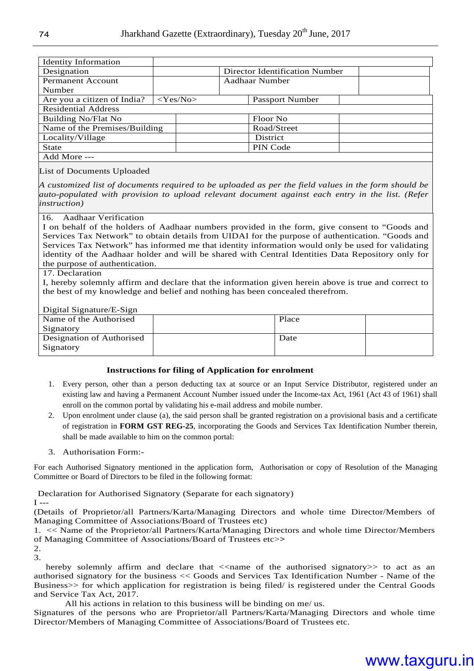| <b>Identity Information</b>   |  |             |  |                                |  |  |
|-------------------------------|--|-------------|--|--------------------------------|--|--|
| Designation                   |  |             |  | Director Identification Number |  |  |
| Permanent Account             |  |             |  | Aadhaar Number                 |  |  |
| Number                        |  |             |  |                                |  |  |
| Are you a citizen of India?   |  | $<$ Yes/No> |  | Passport Number                |  |  |
| <b>Residential Address</b>    |  |             |  |                                |  |  |
| <b>Building No/Flat No</b>    |  |             |  | Floor No                       |  |  |
| Name of the Premises/Building |  |             |  | Road/Street                    |  |  |
| Locality/Village              |  |             |  | <b>District</b>                |  |  |
| <b>State</b>                  |  |             |  | PIN Code                       |  |  |
| Add More ---                  |  |             |  |                                |  |  |

#### List of Documents Uploaded

*A customized list of documents required to be uploaded as per the field values in the form should be auto-populated with provision to upload relevant document against each entry in the list. (Refer instruction)* 

#### 16. Aadhaar Verification

I on behalf of the holders of Aadhaar numbers provided in the form, give consent to "Goods and Services Tax Network" to obtain details from UIDAI for the purpose of authentication. "Goods and Services Tax Network" has informed me that identity information would only be used for validating identity of the Aadhaar holder and will be shared with Central Identities Data Repository only for the purpose of authentication.

#### 17. Declaration

I, hereby solemnly affirm and declare that the information given herein above is true and correct to the best of my knowledge and belief and nothing has been concealed therefrom.

#### Digital Signature/E-Sign

| $P_{\rm L}$ $\sim$ $P_{\rm L}$ $\sim$ $P_{\rm L}$ $\sim$ $P_{\rm L}$ $\sim$ $P_{\rm L}$ |       |  |
|-----------------------------------------------------------------------------------------|-------|--|
| Name of the Authorised                                                                  | Place |  |
| Signatory                                                                               |       |  |
| Designation of Authorised                                                               | Date  |  |
| Signatory                                                                               |       |  |
|                                                                                         |       |  |

#### **Instructions for filing of Application for enrolment**

- 1. Every person, other than a person deducting tax at source or an Input Service Distributor, registered under an existing law and having a Permanent Account Number issued under the Income-tax Act, 1961 (Act 43 of 1961) shall enroll on the common portal by validating his e-mail address and mobile number.
- 2. Upon enrolment under clause (a), the said person shall be granted registration on a provisional basis and a certificate of registration in **FORM GST REG-25**, incorporating the Goods and Services Tax Identification Number therein, shall be made available to him on the common portal:
- 3. Authorisation Form:-

For each Authorised Signatory mentioned in the application form, Authorisation or copy of Resolution of the Managing Committee or Board of Directors to be filed in the following format:

Declaration for Authorised Signatory (Separate for each signatory)

 $I - -$ 

(Details of Proprietor/all Partners/Karta/Managing Directors and whole time Director/Members of Managing Committee of Associations/Board of Trustees etc)

1. << Name of the Proprietor/all Partners/Karta/Managing Directors and whole time Director/Members of Managing Committee of Associations/Board of Trustees etc>**>**

2. 3.

hereby solemnly affirm and declare that  $\le$ name of the authorised signatory  $\gt$  to act as an authorised signatory for the business << Goods and Services Tax Identification Number - Name of the Business>> for which application for registration is being filed/ is registered under the Central Goods and Service Tax Act, 2017.

All his actions in relation to this business will be binding on me/ us.

Signatures of the persons who are Proprietor/all Partners/Karta/Managing Directors and whole time Director/Members of Managing Committee of Associations/Board of Trustees etc.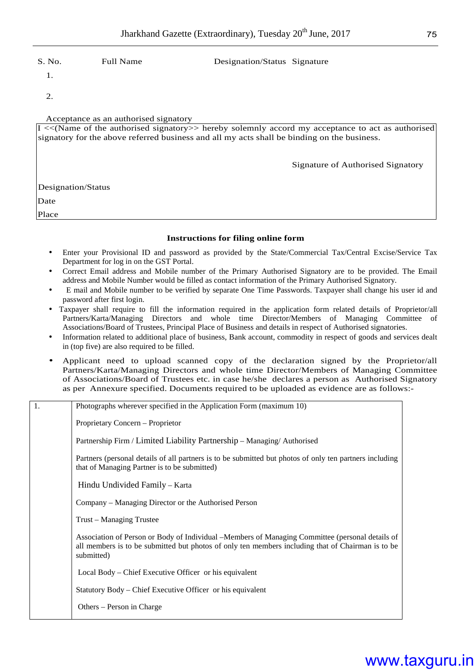#### S. No. Full Name Designation/Status Signature

1.

2.

#### Acceptance as an authorised signatory

| $I \ll(Name of the authorized signatory>> hereby solemnly accord my acceptance to act as authorized)$<br>signatory for the above referred business and all my acts shall be binding on the business. |                                   |  |  |  |  |
|------------------------------------------------------------------------------------------------------------------------------------------------------------------------------------------------------|-----------------------------------|--|--|--|--|
|                                                                                                                                                                                                      | Signature of Authorised Signatory |  |  |  |  |
| Designation/Status                                                                                                                                                                                   |                                   |  |  |  |  |
| Date                                                                                                                                                                                                 |                                   |  |  |  |  |
| Place                                                                                                                                                                                                |                                   |  |  |  |  |

#### **Instructions for filing online form**

- Enter your Provisional ID and password as provided by the State/Commercial Tax/Central Excise/Service Tax Department for log in on the GST Portal.
- Correct Email address and Mobile number of the Primary Authorised Signatory are to be provided. The Email address and Mobile Number would be filled as contact information of the Primary Authorised Signatory.
- E mail and Mobile number to be verified by separate One Time Passwords. Taxpayer shall change his user id and password after first login.
- Taxpayer shall require to fill the information required in the application form related details of Proprietor/all Partners/Karta/Managing Directors and whole time Director/Members of Managing Committee of Associations/Board of Trustees, Principal Place of Business and details in respect of Authorised signatories.
- Information related to additional place of business, Bank account, commodity in respect of goods and services dealt in (top five) are also required to be filled.
- Applicant need to upload scanned copy of the declaration signed by the Proprietor/all Partners/Karta/Managing Directors and whole time Director/Members of Managing Committee of Associations/Board of Trustees etc. in case he/she declares a person as Authorised Signatory as per Annexure specified. Documents required to be uploaded as evidence are as follows:-

| 1. | Photographs wherever specified in the Application Form (maximum 10)                                                                                                                                                 |
|----|---------------------------------------------------------------------------------------------------------------------------------------------------------------------------------------------------------------------|
|    | Proprietary Concern - Proprietor                                                                                                                                                                                    |
|    | Partnership Firm / Limited Liability Partnership - Managing/ Authorised                                                                                                                                             |
|    | Partners (personal details of all partners is to be submitted but photos of only ten partners including<br>that of Managing Partner is to be submitted)                                                             |
|    | Hindu Undivided Family - Karta                                                                                                                                                                                      |
|    | Company – Managing Director or the Authorised Person                                                                                                                                                                |
|    | Trust – Managing Trustee                                                                                                                                                                                            |
|    | Association of Person or Body of Individual – Members of Managing Committee (personal details of<br>all members is to be submitted but photos of only ten members including that of Chairman is to be<br>submitted) |
|    | Local Body – Chief Executive Officer or his equivalent                                                                                                                                                              |
|    | Statutory Body – Chief Executive Officer or his equivalent                                                                                                                                                          |
|    | Others – Person in Charge                                                                                                                                                                                           |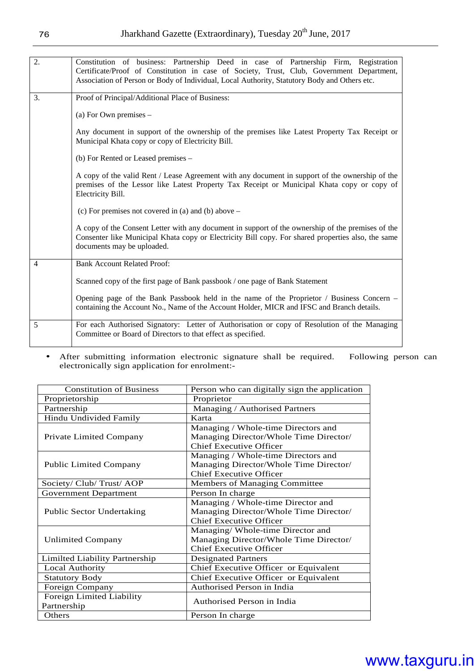| 2.             | Constitution of business: Partnership Deed in case of Partnership Firm, Registration<br>Certificate/Proof of Constitution in case of Society, Trust, Club, Government Department,<br>Association of Person or Body of Individual, Local Authority, Statutory Body and Others etc. |  |  |  |
|----------------|-----------------------------------------------------------------------------------------------------------------------------------------------------------------------------------------------------------------------------------------------------------------------------------|--|--|--|
| 3.             | Proof of Principal/Additional Place of Business:                                                                                                                                                                                                                                  |  |  |  |
|                | (a) For Own premises $-$                                                                                                                                                                                                                                                          |  |  |  |
|                | Any document in support of the ownership of the premises like Latest Property Tax Receipt or<br>Municipal Khata copy or copy of Electricity Bill.                                                                                                                                 |  |  |  |
|                | (b) For Rented or Leased premises –                                                                                                                                                                                                                                               |  |  |  |
|                | A copy of the valid Rent / Lease Agreement with any document in support of the ownership of the<br>premises of the Lessor like Latest Property Tax Receipt or Municipal Khata copy or copy of<br>Electricity Bill.                                                                |  |  |  |
|                | (c) For premises not covered in (a) and (b) above $-$                                                                                                                                                                                                                             |  |  |  |
|                | A copy of the Consent Letter with any document in support of the ownership of the premises of the<br>Consenter like Municipal Khata copy or Electricity Bill copy. For shared properties also, the same<br>documents may be uploaded.                                             |  |  |  |
| $\overline{4}$ | <b>Bank Account Related Proof:</b>                                                                                                                                                                                                                                                |  |  |  |
|                | Scanned copy of the first page of Bank passbook / one page of Bank Statement                                                                                                                                                                                                      |  |  |  |
|                | Opening page of the Bank Passbook held in the name of the Proprietor / Business Concern –<br>containing the Account No., Name of the Account Holder, MICR and IFSC and Branch details.                                                                                            |  |  |  |
| 5              | For each Authorised Signatory: Letter of Authorisation or copy of Resolution of the Managing<br>Committee or Board of Directors to that effect as specified.                                                                                                                      |  |  |  |

• After submitting information electronic signature shall be required. Following person can electronically sign application for enrolment:-

| <b>Constitution of Business</b>  | Person who can digitally sign the application |  |  |
|----------------------------------|-----------------------------------------------|--|--|
| Proprietorship                   | Proprietor                                    |  |  |
| Partnership                      | Managing / Authorised Partners                |  |  |
| Hindu Undivided Family           | Karta                                         |  |  |
|                                  | Managing / Whole-time Directors and           |  |  |
| Private Limited Company          | Managing Director/Whole Time Director/        |  |  |
|                                  | <b>Chief Executive Officer</b>                |  |  |
|                                  | Managing / Whole-time Directors and           |  |  |
| <b>Public Limited Company</b>    | Managing Director/Whole Time Director/        |  |  |
|                                  | <b>Chief Executive Officer</b>                |  |  |
| Society/ Club/ Trust/ AOP        | Members of Managing Committee                 |  |  |
| <b>Government Department</b>     | Person In charge                              |  |  |
|                                  | Managing / Whole-time Director and            |  |  |
| <b>Public Sector Undertaking</b> | Managing Director/Whole Time Director/        |  |  |
|                                  | <b>Chief Executive Officer</b>                |  |  |
|                                  | Managing/ Whole-time Director and             |  |  |
| <b>Unlimited Company</b>         | Managing Director/Whole Time Director/        |  |  |
|                                  | <b>Chief Executive Officer</b>                |  |  |
| Limilted Liability Partnership   | <b>Designated Partners</b>                    |  |  |
| <b>Local Authority</b>           | Chief Executive Officer or Equivalent         |  |  |
| <b>Statutory Body</b>            | Chief Executive Officer or Equivalent         |  |  |
| Foreign Company                  | Authorised Person in India                    |  |  |
| Foreign Limited Liability        | Authorised Person in India                    |  |  |
| Partnership                      |                                               |  |  |
| Others                           | Person In charge                              |  |  |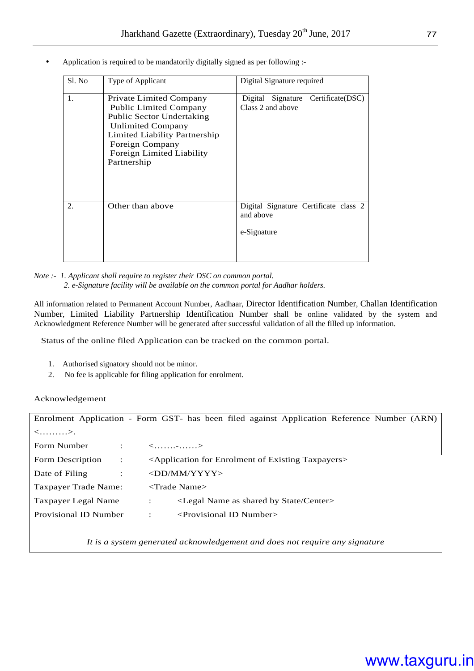• Application is required to be mandatorily digitally signed as per following :-

| Sl. No | Type of Applicant                                                                                                                                                                                                 | Digital Signature required                                        |
|--------|-------------------------------------------------------------------------------------------------------------------------------------------------------------------------------------------------------------------|-------------------------------------------------------------------|
| 1.     | Private Limited Company<br><b>Public Limited Company</b><br>Public Sector Undertaking<br><b>Unlimited Company</b><br>Limited Liability Partnership<br>Foreign Company<br>Foreign Limited Liability<br>Partnership | Certificate(DSC)<br>Digital Signature<br>Class 2 and above        |
| 2.     | Other than above                                                                                                                                                                                                  | Digital Signature Certificate class 2<br>and above<br>e-Signature |

*Note :- 1. Applicant shall require to register their DSC on common portal. 2. e-Signature facility will be available on the common portal for Aadhar holders.* 

All information related to Permanent Account Number, Aadhaar, Director Identification Number, Challan Identification Number, Limited Liability Partnership Identification Number shall be online validated by the system and Acknowledgment Reference Number will be generated after successful validation of all the filled up information.

Status of the online filed Application can be tracked on the common portal.

- 1. Authorised signatory should not be minor.
- 2. No fee is applicable for filing application for enrolment.

#### Acknowledgement

| Enrolment Application - Form GST- has been filed against Application Reference Number (ARN) |                                                                                                      |  |  |  |  |
|---------------------------------------------------------------------------------------------|------------------------------------------------------------------------------------------------------|--|--|--|--|
| $\langle \dots \dots \dots \rangle$ .                                                       |                                                                                                      |  |  |  |  |
| Form Number<br>÷                                                                            | $\langle$ >                                                                                          |  |  |  |  |
| Form Description<br>$\ddot{\cdot}$                                                          | <application enrolment="" existing="" for="" of="" taxpayers=""></application>                       |  |  |  |  |
| Date of Filing<br>$\ddot{\cdot}$                                                            | $\langle$ DD/MM/YYYY>                                                                                |  |  |  |  |
| Taxpayer Trade Name:                                                                        | $\langle$ Trade Name $\rangle$                                                                       |  |  |  |  |
| Taxpayer Legal Name                                                                         | <legal as="" by="" center="" name="" shared="" state=""><br/><math>\ddot{\phantom{a}}</math></legal> |  |  |  |  |
| Provisional ID Number                                                                       | $\le$ Provisional ID Number $>$<br>$\ddot{\phantom{a}}$                                              |  |  |  |  |
|                                                                                             |                                                                                                      |  |  |  |  |

*It is a system generated acknowledgement and does not require any signature*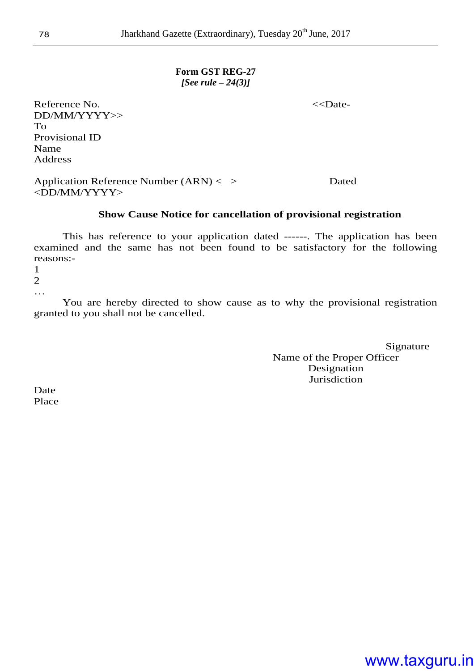#### **Form GST REG-27**  *[See rule – 24(3)]*

Reference No. *S*  $\lt$ Date-DD/MM/YYYY>> To Provisional ID Name Address

Application Reference Number (ARN) < > Dated <DD/MM/YYYY>

#### **Show Cause Notice for cancellation of provisional registration**

This has reference to your application dated ------. The application has been examined and the same has not been found to be satisfactory for the following reasons:-

1

2

…

You are hereby directed to show cause as to why the provisional registration granted to you shall not be cancelled.

> Signature Name of the Proper Officer Designation Jurisdiction

Date Place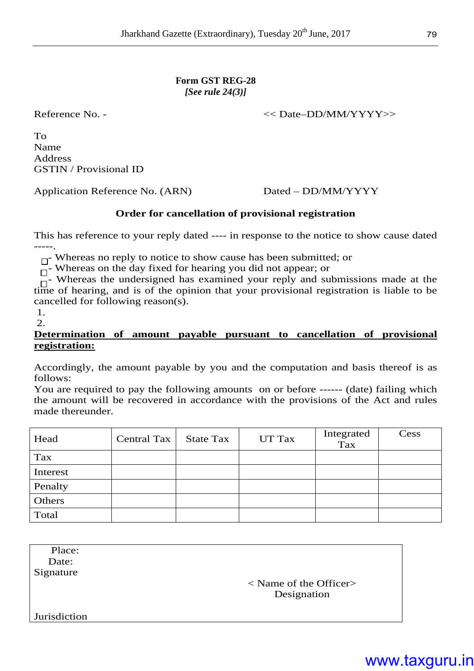Reference No. -  $\leq$  Date–DD/MM/YYYY>>

To Name Address GSTIN / Provisional ID

Application Reference No. (ARN) Dated – DD/MM/YYYY

#### **Order for cancellation of provisional registration**

This has reference to your reply dated ---- in response to the notice to show cause dated -----.

 $\Box$  Whereas no reply to notice to show cause has been submitted; or

 $\Box$ - Whereas on the day fixed for hearing you did not appear; or

 $\Box$ - Whereas the undersigned has examined your reply and submissions made at the time of hearing, and is of the opinion that your provisional registration is liable to be cancelled for following reason(s).

 1. 2.

#### **Determination of amount payable pursuant to cancellation of provisional registration:**

Accordingly, the amount payable by you and the computation and basis thereof is as follows:

You are required to pay the following amounts on or before ------ (date) failing which the amount will be recovered in accordance with the provisions of the Act and rules made thereunder.

| Head     | Central Tax | <b>State Tax</b> | UT Tax | Integrated<br>Tax | Cess |
|----------|-------------|------------------|--------|-------------------|------|
| Tax      |             |                  |        |                   |      |
| Interest |             |                  |        |                   |      |
| Penalty  |             |                  |        |                   |      |
| Others   |             |                  |        |                   |      |
| Total    |             |                  |        |                   |      |

 Place: Date: Signature < Name of the Officer> Designation Jurisdiction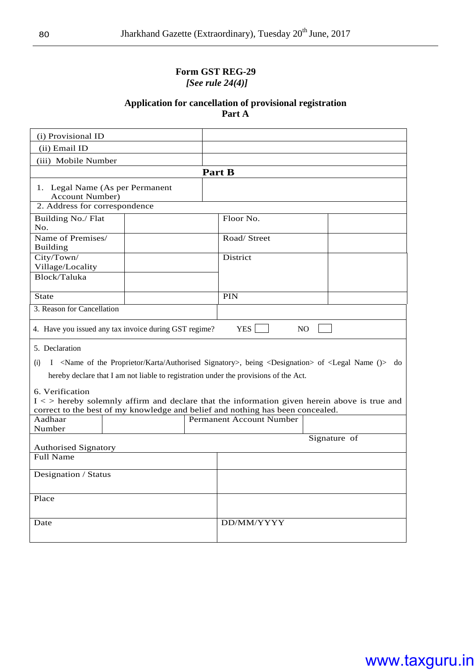#### **Form GST REG-29**  *[See rule 24(4)]*

#### **Application for cancellation of provisional registration Part A**

| (i) Provisional ID                                                                                                                                                                                                                             |                                                       |  |                                 |  |  |
|------------------------------------------------------------------------------------------------------------------------------------------------------------------------------------------------------------------------------------------------|-------------------------------------------------------|--|---------------------------------|--|--|
| (ii) Email ID                                                                                                                                                                                                                                  |                                                       |  |                                 |  |  |
| (iii) Mobile Number                                                                                                                                                                                                                            |                                                       |  |                                 |  |  |
|                                                                                                                                                                                                                                                | <b>Part B</b>                                         |  |                                 |  |  |
| 1. Legal Name (As per Permanent<br><b>Account Number)</b>                                                                                                                                                                                      |                                                       |  |                                 |  |  |
| 2. Address for correspondence                                                                                                                                                                                                                  |                                                       |  |                                 |  |  |
| Building No./ Flat<br>No.                                                                                                                                                                                                                      |                                                       |  | Floor No.                       |  |  |
| Name of Premises/<br><b>Building</b>                                                                                                                                                                                                           |                                                       |  | Road/ Street                    |  |  |
| City/Town/<br>Village/Locality                                                                                                                                                                                                                 |                                                       |  | District                        |  |  |
| Block/Taluka                                                                                                                                                                                                                                   |                                                       |  |                                 |  |  |
| <b>State</b>                                                                                                                                                                                                                                   |                                                       |  | <b>PIN</b>                      |  |  |
| 3. Reason for Cancellation                                                                                                                                                                                                                     |                                                       |  |                                 |  |  |
|                                                                                                                                                                                                                                                | 4. Have you issued any tax invoice during GST regime? |  | <b>YES</b><br>N <sub>O</sub>    |  |  |
| 5. Declaration                                                                                                                                                                                                                                 |                                                       |  |                                 |  |  |
| (i)                                                                                                                                                                                                                                            |                                                       |  |                                 |  |  |
| I <name authorised="" karta="" of="" proprietor="" signatory="" the="">, being <designation> of <legal ()="" name=""> do<br/>hereby declare that I am not liable to registration under the provisions of the Act.</legal></designation></name> |                                                       |  |                                 |  |  |
| 6. Verification<br>$I \le$ hereby solemnly affirm and declare that the information given herein above is true and<br>correct to the best of my knowledge and belief and nothing has been concealed.                                            |                                                       |  |                                 |  |  |
| Aadhaar                                                                                                                                                                                                                                        |                                                       |  | <b>Permanent Account Number</b> |  |  |
| Number                                                                                                                                                                                                                                         |                                                       |  |                                 |  |  |
| Signature of<br><b>Authorised Signatory</b>                                                                                                                                                                                                    |                                                       |  |                                 |  |  |
| <b>Full Name</b>                                                                                                                                                                                                                               |                                                       |  |                                 |  |  |
| Designation / Status                                                                                                                                                                                                                           |                                                       |  |                                 |  |  |
| Place                                                                                                                                                                                                                                          |                                                       |  |                                 |  |  |
| Date                                                                                                                                                                                                                                           |                                                       |  | DD/MM/YYYY                      |  |  |
|                                                                                                                                                                                                                                                |                                                       |  |                                 |  |  |